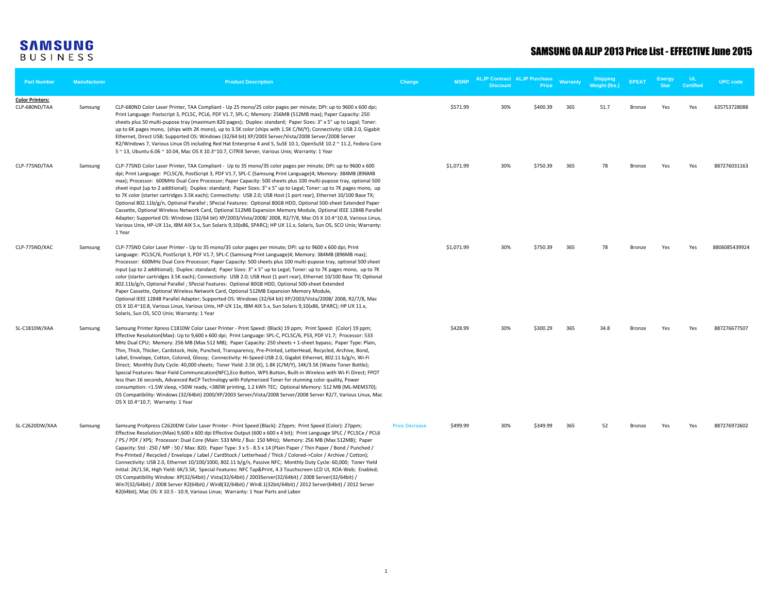| <b>Part Number</b>                      | <b>Manufacturer</b> | <b>Product Description</b>                                                                                                                                                                                                                                                                                                                                                                                                                                                                                                                                                                                                                                                                                                                                                                                                                                                                                                                                                                                                                                                                                                                                                                                | Change                | <b>MSRP</b> | <b>ALJP Contract ALJP Purchase</b><br><b>Discount</b> | Price    | <b>Warranty</b> | <b>Shipping</b><br><b>Weight (lbs.)</b> | <b>EPEAT</b> | <b>Energy</b><br><b>Star</b> | UL.<br><b>Certified</b> | <b>UPC</b> code |
|-----------------------------------------|---------------------|-----------------------------------------------------------------------------------------------------------------------------------------------------------------------------------------------------------------------------------------------------------------------------------------------------------------------------------------------------------------------------------------------------------------------------------------------------------------------------------------------------------------------------------------------------------------------------------------------------------------------------------------------------------------------------------------------------------------------------------------------------------------------------------------------------------------------------------------------------------------------------------------------------------------------------------------------------------------------------------------------------------------------------------------------------------------------------------------------------------------------------------------------------------------------------------------------------------|-----------------------|-------------|-------------------------------------------------------|----------|-----------------|-----------------------------------------|--------------|------------------------------|-------------------------|-----------------|
| <b>Color Printers:</b><br>CLP-680ND/TAA | Samsung             | CLP-680ND Color Laser Printer, TAA Compliant - Up 25 mono/25 color pages per minute; DPI: up to 9600 x 600 dpi;<br>Print Language: Postscript 3, PCL5C, PCL6, PDF V1.7, SPL-C; Memory: 256MB (512MB max); Paper Capacity: 250<br>sheets plus 50 multi-pupose tray (maximum 820 pages); Duplex: standard; Paper Sizes: 3" x 5" up to Legal; Toner:<br>up to 6K pages mono, (ships with 2K mono), up to 3.5K color (ships with 1.5K C/M/Y); Connectivity: USB 2.0, Gigabit<br>Ethernet, Direct USB; Supported OS: Windows (32/64 bit) XP/2003 Server/Vista/2008 Server/2008 Server<br>R2/Windows 7, Various Linux OS including Red Hat Enterprise 4 and 5, SuSE 10.1, OpenSuSE 10.2 ~ 11.2, Fedora Core<br>5 ~ 13, Ubuntu 6.06 ~ 10.04, Mac OS X 10.3~10.7, CiTRIX Server, Various Unix; Warranty: 1 Year                                                                                                                                                                                                                                                                                                                                                                                                   |                       | \$571.99    | 30%                                                   | \$400.39 | 365             | 51.7                                    | Bronze       | Yes                          | Yes                     | 635753728088    |
| CLP-775ND/TAA                           | Samsung             | CLP-775ND Color Laser Printer, TAA Compliant - Up to 35 mono/35 color pages per minute; DPI: up to 9600 x 600<br>dpi; Print Language: PCL5C/6, PostScript 3, PDF V1.7, SPL-C (Samsung Print Language)4; Memory: 384MB (896MB<br>max); Processor: 600MHz Dual Core Processor; Paper Capacity: 500 sheets plus 100 multi-pupose tray, optional 500<br>sheet input (up to 2 additional); Duplex: standard; Paper Sizes: 3" x 5" up to Legal; Toner: up to 7K pages mono, up<br>to 7K color (starter cartridges 3.5K each); Connectivity: USB 2.0; USB Host (1 port rear), Ethernet 10/100 Base TX;<br>Optional 802.11b/g/n, Optional Parallel; SPecial Features: Optional 80GB HDD, Optional 500-sheet Extended Paper<br>Cassette, Optional Wireless Network Card, Optional 512MB Expansion Memory Module, Optional IEEE 1284B Parallel<br>Adapter; Supported OS: Windows (32/64 bit) XP/2003/Vista/2008/2008, R2/7/8, Mac OS X 10.4~10.8, Various Linux,<br>Various Unix, HP-UX 11x, IBM AIX 5.x, Sun Solaris 9,10(x86, SPARC); HP UX 11.x, Solaris, Sun OS, SCO Unix; Warranty:<br>1 Year                                                                                                                  |                       | \$1,071.99  | 30%                                                   | \$750.39 | 365             | 78                                      | Bronze       | Yes                          | Yes                     | 887276031163    |
| CLP-775ND/XAC                           | Samsung             | CLP-775ND Color Laser Printer - Up to 35 mono/35 color pages per minute; DPI: up to 9600 x 600 dpi; Print<br>Language: PCL5C/6, PostScript 3, PDF V1.7, SPL-C (Samsung Print Language)4; Memory: 384MB (896MB max);<br>Processor: 600MHz Dual Core Processor; Paper Capacity: 500 sheets plus 100 multi-pupose tray, optional 500 sheet<br>input (up to 2 additional); Duplex: standard; Paper Sizes: 3" x 5" up to Legal; Toner: up to 7K pages mono, up to 7K<br>color (starter cartridges 3.5K each); Connectivity: USB 2.0; USB Host (1 port rear), Ethernet 10/100 Base TX; Optional<br>802.11b/g/n, Optional Parallel ; SPecial Features: Optional 80GB HDD, Optional 500-sheet Extended<br>Paper Cassette, Optional Wireless Network Card, Optional 512MB Expansion Memory Module,<br>Optional IEEE 1284B Parallel Adapter; Supported OS: Windows (32/64 bit) XP/2003/Vista/2008/2008, R2/7/8, Mac<br>OS X 10.4~10.8, Various Linux, Various Unix, HP-UX 11x, IBM AIX 5.x, Sun Solaris 9,10(x86, SPARC); HP UX 11.x,<br>Solaris, Sun OS, SCO Unix; Warranty: 1 Year                                                                                                                                |                       | \$1,071.99  | 30%                                                   | \$750.39 | 365             | 78                                      | Bronze       | Yes                          | Yes                     | 8806085439924   |
| SL-C1810W/XAA                           | Samsung             | Samsung Printer Xpress C1810W Color Laser Printer - Print Speed: (Black) 19 ppm; Print Speed: (Color) 19 ppm;<br>Effective Resolution(Max): Up to 9,600 x 600 dpi; Print Language: SPL-C, PCL5C/6, PS3, PDF V1.7; Processor: 533<br>MHz Dual CPU; Memory: 256 MB (Max 512 MB); Paper Capacity: 250 sheets + 1-sheet bypass; Paper Type: Plain,<br>Thin, Thick, Thicker, Cardstock, Hole, Punched, Transparency, Pre-Printed, LetterHead, Recycled, Archive, Bond,<br>Label, Envelope, Cotton, Colored, Glossy; Connectivity: Hi-Speed USB 2.0, Gigabit Ethernet, 802.11 b/g/n, Wi-Fi<br>Direct; Monthly Duty Cycle: 40,000 sheets; Toner Yield: 2.5K (K), 1.8K (C/M/Y), 14K/3.5K (Waste Toner Bottle);<br>Special Features: Near Field Communication(NFC), Eco Button, WPS Button, Built-in Wireless with Wi-Fi Direct; FPOT<br>less than 16 seconds, Advanced ReCP Technology with Polymerized Toner for stunning color quality, Power<br>consumption: <1.5W sleep, <50W ready, <380W printing, 1.2 kWh TEC; Optional Memory: 512 MB (ML-MEM370);<br>OS Compatibility: Windows (32/64bit) 2000/XP/2003 Server/Vista/2008 Server/2008 Server R2/7, Various Linux, Mac<br>OS X 10.4~10.7; Warranty: 1 Year |                       | \$428.99    | 30%                                                   | \$300.29 | 365             | 34.8                                    | Bronze       | Yes                          | Yes                     | 887276677507    |
| SL-C2620DW/XAA                          | Samsung             | Samsung ProXpress C2620DW Color Laser Printer - Print Speed (Black): 27ppm; Print Speed (Color): 27ppm;<br>Effective Resolution: (Max) 9,600 x 600 dpi Effective Output (600 x 600 x 4 bit); Print Language SPLC / PCL5Ce / PCL6<br>/ PS / PDF / XPS; Processor: Dual Core (Main: 533 MHz / Bus: 150 MHz); Memory: 256 MB (Max 512MB); Paper<br>Capacity: Std: 250 / MP: 50 / Max: 820; Paper Type: 3 x 5 - 8.5 x 14 (Plain Paper / Thin Paper / Bond / Punched /<br>Pre-Printed / Recycled / Envelope / Label / CardStock / Letterhead / Thick / Colored->Color / Archive / Cotton);<br>Connectivity: USB 2.0, Ethernet 10/100/1000, 802.11 b/g/n, Passive NFC; Monthly Duty Cycle: 60,000; Toner Yield<br>Initial: 2K/1.5K, High Yield: 6K/3.5K; Special Features: NFC Tap&Print, 4.3 Touchscreen LCD UI, XOA-Web; Enabled;<br>OS Compatibility Window: XP(32/64bit) / Vista(32/64bit) / 2003Server(32/64bit) / 2008 Server(32/64bit) /<br>Win7(32/64bit) / 2008 Server R2(64bit) / Win8(32/64bit) / Win8.1(32bit/64bit) / 2012 Server(64bit) / 2012 Server<br>R2(64bit), Mac OS: X 10.5 - 10.9, Various Linux; Warranty: 1 Year Parts and Labor                                                        | <b>Price Decrease</b> | \$499.99    | 30%                                                   | \$349.99 | 365             | 52                                      | Bronze       | Yes                          | Yes                     | 887276972602    |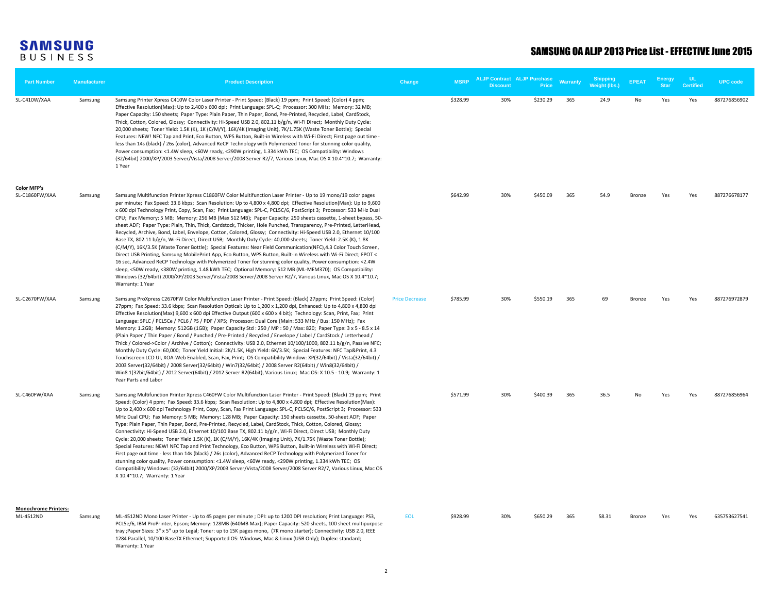| <b>Part Number</b>                       | <b>Manufacturer</b> | <b>Product Description</b>                                                                                                                                                                                                                                                                                                                                                                                                                                                                                                                                                                                                                                                                                                                                                                                                                                                                                                                                                                                                                                                                                                                                                                                                                                                                                                                                                                                                                         | Change                | <b>MSRP</b> | <b>Discount</b> | <b>ALJP Contract ALJP Purchase</b><br>Price | Warranty | <b>Shipping</b><br><b>Weight (lbs.)</b> | <b>EPEAT</b>  | <b>Energy</b><br><b>Star</b> | UL.<br><b>Certified</b> | <b>UPC code</b> |
|------------------------------------------|---------------------|----------------------------------------------------------------------------------------------------------------------------------------------------------------------------------------------------------------------------------------------------------------------------------------------------------------------------------------------------------------------------------------------------------------------------------------------------------------------------------------------------------------------------------------------------------------------------------------------------------------------------------------------------------------------------------------------------------------------------------------------------------------------------------------------------------------------------------------------------------------------------------------------------------------------------------------------------------------------------------------------------------------------------------------------------------------------------------------------------------------------------------------------------------------------------------------------------------------------------------------------------------------------------------------------------------------------------------------------------------------------------------------------------------------------------------------------------|-----------------------|-------------|-----------------|---------------------------------------------|----------|-----------------------------------------|---------------|------------------------------|-------------------------|-----------------|
| SL-C410W/XAA                             | Samsung             | Samsung Printer Xpress C410W Color Laser Printer - Print Speed: (Black) 19 ppm; Print Speed: (Color) 4 ppm;<br>Effective Resolution(Max): Up to 2,400 x 600 dpi; Print Language: SPL-C; Processor: 300 MHz; Memory: 32 MB;<br>Paper Capacity: 150 sheets; Paper Type: Plain Paper, Thin Paper, Bond, Pre-Printed, Recycled, Label, CardStock,<br>Thick, Cotton, Colored, Glossy; Connectivity: Hi-Speed USB 2.0, 802.11 b/g/n, Wi-Fi Direct; Monthly Duty Cycle:<br>20,000 sheets; Toner Yield: 1.5K (K), 1K (C/M/Y), 16K/4K (Imaging Unit), 7K/1.75K (Waste Toner Bottle); Special<br>Features: NEW! NFC Tap and Print, Eco Button, WPS Button, Built-in Wireless with Wi-Fi Direct; First page out time -<br>less than 14s (black) / 26s (color), Advanced ReCP Technology with Polymerized Toner for stunning color quality,<br>Power consumption: <1.4W sleep, <60W ready, <290W printing, 1.334 kWh TEC; OS Compatibility: Windows<br>(32/64bit) 2000/XP/2003 Server/Vista/2008 Server/2008 Server R2/7, Various Linux, Mac OS X 10.4~10.7; Warranty:<br>1 Year                                                                                                                                                                                                                                                                                                                                                                               |                       | \$328.99    | 30%             | \$230.29                                    | 365      | 24.9                                    | No            | Yes                          | Yes                     | 887276856902    |
| <b>Color MFP's</b><br>SL-C1860FW/XAA     | Samsung             | Samsung Multifunction Printer Xpress C1860FW Color Multifunction Laser Printer - Up to 19 mono/19 color pages<br>per minute; Fax Speed: 33.6 kbps; Scan Resolution: Up to 4,800 x 4,800 dpi; Effective Resolution(Max): Up to 9,600<br>x 600 dpi Technology Print, Copy, Scan, Fax; Print Language: SPL-C, PCL5C/6, PostScript 3; Processor: 533 MHz Dual<br>CPU; Fax Memory: 5 MB; Memory: 256 MB (Max 512 MB); Paper Capacity: 250 sheets cassette, 1-sheet bypass, 50-<br>sheet ADF; Paper Type: Plain, Thin, Thick, Cardstock, Thicker, Hole Punched, Transparency, Pre-Printed, LetterHead,<br>Recycled, Archive, Bond, Label, Envelope, Cotton, Colored, Glossy; Connectivity: Hi-Speed USB 2.0, Ethernet 10/100<br>Base TX, 802.11 b/g/n, Wi-Fi Direct, Direct USB; Monthly Duty Cycle: 40,000 sheets; Toner Yield: 2.5K (K), 1.8K<br>(C/M/Y), 16K/3.5K (Waste Toner Bottle); Special Features: Near Field Communication(NFC), 4.3 Color Touch Screen,<br>Direct USB Printing, Samsung MobilePrint App, Eco Button, WPS Button, Built-in Wireless with Wi-Fi Direct; FPOT <<br>16 sec, Advanced ReCP Technology with Polymerized Toner for stunning color quality, Power consumption: <2.4W<br>sleep, <50W ready, <380W printing, 1.48 kWh TEC; Optional Memory: 512 MB (ML-MEM370); OS Compatibility:<br>Windows (32/64bit) 2000/XP/2003 Server/Vista/2008 Server/2008 Server R2/7, Various Linux, Mac OS X 10.4~10.7;<br>Warranty: 1 Year |                       | \$642.99    | 30%             | \$450.09                                    | 365      | 54.9                                    | <b>Bronze</b> | Yes                          | Yes                     | 887276678177    |
| SL-C2670FW/XAA                           | Samsung             | Samsung ProXpress C2670FW Color Multifunction Laser Printer - Print Speed: (Black) 27ppm; Print Speed: (Color)<br>27ppm; Fax Speed: 33.6 kbps; Scan Resolution Optical: Up to 1,200 x 1,200 dpi, Enhanced: Up to 4,800 x 4,800 dpi<br>Effective Resolution(Max) 9,600 x 600 dpi Effective Output (600 x 600 x 4 bit); Technology: Scan, Print, Fax; Print<br>Language: SPLC / PCL5Ce / PCL6 / PS / PDF / XPS; Processor: Dual Core (Main: 533 MHz / Bus: 150 MHz); Fax<br>Memory: 1.2GB; Memory: 512GB (1GB); Paper Capacity Std: 250 / MP: 50 / Max: 820; Paper Type: 3 x 5 - 8.5 x 14<br>(Plain Paper / Thin Paper / Bond / Punched / Pre-Printed / Recycled / Envelope / Label / CardStock / Letterhead /<br>Thick / Colored->Color / Archive / Cotton); Connectivity: USB 2.0, Ethernet 10/100/1000, 802.11 b/g/n, Passive NFC;<br>Monthly Duty Cycle: 60,000; Toner Yield Initial: 2K/1.5K, High Yield: 6K/3.5K; Special Features: NFC Tap&Print, 4.3<br>Touchscreen LCD UI, XOA-Web Enabled, Scan, Fax, Print; OS Compatibility Window: XP(32/64bit) / Vista(32/64bit) /<br>2003 Server(32/64bit) / 2008 Server(32/64bit) / Win7(32/64bit) / 2008 Server R2(64bit) / Win8(32/64bit) /<br>Win8.1(32bit/64bit) / 2012 Server(64bit) / 2012 Server R2(64bit), Various Linux; Mac OS: X 10.5 - 10.9; Warranty: 1<br>Year Parts and Labor                                                                                                         | <b>Price Decrease</b> | \$785.99    | 30%             | \$550.19                                    | 365      | 69                                      | <b>Bronze</b> | Yes                          | Yes                     | 887276972879    |
| SL-C460FW/XAA                            | Samsung             | Samsung Multifunction Printer Xpress C460FW Color Multifunction Laser Printer - Print Speed: (Black) 19 ppm; Print<br>Speed: (Color) 4 ppm; Fax Speed: 33.6 kbps; Scan Resolution: Up to 4,800 x 4,800 dpi; Effective Resolution(Max):<br>Up to 2,400 x 600 dpi Technology Print, Copy, Scan, Fax Print Language: SPL-C, PCL5C/6, PostScript 3; Processor: 533<br>MHz Dual CPU; Fax Memory: 5 MB; Memory: 128 MB; Paper Capacity: 150 sheets cassette, 50-sheet ADF; Paper<br>Type: Plain Paper, Thin Paper, Bond, Pre-Printed, Recycled, Label, CardStock, Thick, Cotton, Colored, Glossy;<br>Connectivity: Hi-Speed USB 2.0, Ethernet 10/100 Base TX, 802.11 b/g/n, Wi-Fi Direct, Direct USB; Monthly Duty<br>Cycle: 20,000 sheets; Toner Yield 1.5K (K), 1K (C/M/Y), 16K/4K (Imaging Unit), 7K/1.75K (Waste Toner Bottle);<br>Special Features: NEW! NFC Tap and Print Technology, Eco Button, WPS Button, Built-in Wireless with Wi-Fi Direct;<br>First page out time - less than 14s (black) / 26s (color), Advanced ReCP Technology with Polymerized Toner for<br>stunning color quality, Power consumption: <1.4W sleep, <60W ready, <290W printing, 1.334 kWh TEC; OS<br>Compatibility Windows: (32/64bit) 2000/XP/2003 Server/Vista/2008 Server/2008 Server R2/7, Various Linux, Mac OS<br>X 10.4~10.7; Warranty: 1 Year                                                                                                                  |                       | \$571.99    | 30%             | \$400.39                                    | 365      | 36.5                                    | No            | Yes                          | Yes                     | 887276856964    |
| <b>Monochrome Printers:</b><br>ML-4512ND | Samsung             | ML-4512ND Mono Laser Printer - Up to 45 pages per minute ; DPI: up to 1200 DPI resolution; Print Language: PS3,<br>PCL5e/6, IBM ProPrinter, Epson; Memory: 128MB (640MB Max); Paper Capacity: 520 sheets, 100 sheet multipurpose<br>tray ; Paper Sizes: 3" x 5" up to Legal; Toner: up to 15K pages mono, (7K mono starter); Connectivity: USB 2.0, IEEE<br>1284 Parallel, 10/100 BaseTX Ethernet; Supported OS: Windows, Mac & Linux (USB Only); Duplex: standard;<br>Warranty: 1 Year                                                                                                                                                                                                                                                                                                                                                                                                                                                                                                                                                                                                                                                                                                                                                                                                                                                                                                                                                            | <b>EOL</b>            | \$928.99    | 30%             | \$650.29                                    | 365      | 58.31                                   | Bronze        | Yes                          | Yes                     | 635753627541    |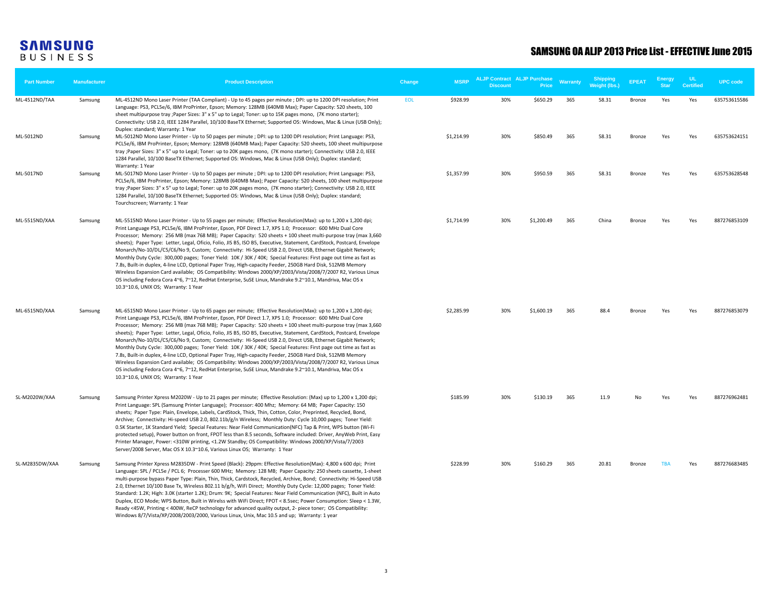| <b>Part Number</b> | <b>Manufacturer</b> | <b>Product Description</b>                                                                                                                                                                                                                                                                                                                                                                                                                                                                                                                                                                                                                                                                                                                                                                                                                                                                                                                                                                                                                                                                  | Change     | <b>MSRP</b> | <b>Discount</b> | <b>ALJP Contract ALJP Purchase</b><br>Price | Warranty | <b>Shipping</b><br><b>Weight (lbs.)</b> | <b>FPFAT</b>  | <b>Energy</b><br><b>Star</b> | u<br><b>Certified</b> | <b>UPC</b> code |
|--------------------|---------------------|---------------------------------------------------------------------------------------------------------------------------------------------------------------------------------------------------------------------------------------------------------------------------------------------------------------------------------------------------------------------------------------------------------------------------------------------------------------------------------------------------------------------------------------------------------------------------------------------------------------------------------------------------------------------------------------------------------------------------------------------------------------------------------------------------------------------------------------------------------------------------------------------------------------------------------------------------------------------------------------------------------------------------------------------------------------------------------------------|------------|-------------|-----------------|---------------------------------------------|----------|-----------------------------------------|---------------|------------------------------|-----------------------|-----------------|
| ML-4512ND/TAA      | Samsung             | ML-4512ND Mono Laser Printer (TAA Compliant) - Up to 45 pages per minute ; DPI: up to 1200 DPI resolution; Print<br>Language: PS3, PCL5e/6, IBM ProPrinter, Epson; Memory: 128MB (640MB Max); Paper Capacity: 520 sheets, 100<br>sheet multipurpose tray ; Paper Sizes: 3" x 5" up to Legal; Toner: up to 15K pages mono, (7K mono starter);<br>Connectivity: USB 2.0, IEEE 1284 Parallel, 10/100 BaseTX Ethernet; Supported OS: Windows, Mac & Linux (USB Only);<br>Duplex: standard; Warranty: 1 Year                                                                                                                                                                                                                                                                                                                                                                                                                                                                                                                                                                                     | <b>EOL</b> | \$928.99    | 30%             | \$650.29                                    | 365      | 58.31                                   | Bronze        | Yes                          | Yes                   | 635753615586    |
| ML-5012ND          | Samsung             | ML-5012ND Mono Laser Printer - Up to 50 pages per minute ; DPI: up to 1200 DPI resolution; Print Language: PS3,<br>PCL5e/6, IBM ProPrinter, Epson; Memory: 128MB (640MB Max); Paper Capacity: 520 sheets, 100 sheet multipurpose<br>tray ; Paper Sizes: 3" x 5" up to Legal; Toner: up to 20K pages mono, (7K mono starter); Connectivity: USB 2.0, IEEE<br>1284 Parallel, 10/100 BaseTX Ethernet; Supported OS: Windows, Mac & Linux (USB Only); Duplex: standard;<br>Warranty: 1 Year                                                                                                                                                                                                                                                                                                                                                                                                                                                                                                                                                                                                     |            | \$1,214.99  | 30%             | \$850.49                                    | 365      | 58.31                                   | Bronze        | Yes                          | Yes                   | 635753624151    |
| ML-5017ND          | Samsung             | ML-5017ND Mono Laser Printer - Up to 50 pages per minute ; DPI: up to 1200 DPI resolution; Print Language: PS3,<br>PCL5e/6, IBM ProPrinter, Epson; Memory: 128MB (640MB Max); Paper Capacity: 520 sheets, 100 sheet multipurpose<br>tray ; Paper Sizes: 3" x 5" up to Legal; Toner: up to 20K pages mono, (7K mono starter); Connectivity: USB 2.0, IEEE<br>1284 Parallel, 10/100 BaseTX Ethernet; Supported OS: Windows, Mac & Linux (USB Only); Duplex: standard;<br>Tourchscreen; Warranty: 1 Year                                                                                                                                                                                                                                                                                                                                                                                                                                                                                                                                                                                       |            | \$1,357.99  | 30%             | \$950.59                                    | 365      | 58.31                                   | Bronze        | Yes                          | Yes                   | 635753628548    |
| ML-5515ND/XAA      | Samsung             | ML-5515ND Mono Laser Printer - Up to 55 pages per minute; Effective Resolution(Max): up to 1,200 x 1,200 dpi;<br>Print Language PS3, PCL5e/6, IBM ProPrinter, Epson, PDF Direct 1.7, XPS 1.0; Processor: 600 MHz Dual Core<br>Processor; Memory: 256 MB (max 768 MB); Paper Capacity: 520 sheets + 100 sheet multi-purpose tray (max 3,660<br>sheets); Paper Type: Letter, Legal, Oficio, Folio, JIS B5, ISO B5, Executive, Statement, CardStock, Postcard, Envelope<br>Monarch/No-10/DL/C5/C6/No 9, Custom; Connectivity: Hi-Speed USB 2.0, Direct USB, Ethernet Gigabit Network;<br>Monthly Duty Cycle: 300,000 pages; Toner Yield: 10K / 30K / 40K; Special Features: First page out time as fast as<br>7.8s, Built-in duplex, 4-line LCD, Optional Paper Tray, High-capacity Feeder, 250GB Hard Disk, 512MB Memory<br>Wireless Expansion Card available; OS Compatibility: Windows 2000/XP/2003/Vista/2008/7/2007 R2, Various Linux<br>OS including Fedora Cora 4~6, 7~12, RedHat Enterprise, SuSE Linux, Mandrake 9.2~10.1, Mandriva, Mac OS x<br>10.3~10.6, UNIX OS; Warranty: 1 Year |            | \$1,714.99  | 30%             | \$1,200.49                                  | 365      | China                                   | <b>Bronze</b> | Yes                          | Yes                   | 887276853109    |
| ML-6515ND/XAA      | Samsung             | ML-6515ND Mono Laser Printer - Up to 65 pages per minute; Effective Resolution(Max): up to 1,200 x 1,200 dpi;<br>Print Language PS3, PCL5e/6, IBM ProPrinter, Epson, PDF Direct 1.7, XPS 1.0; Processor: 600 MHz Dual Core<br>Processor; Memory: 256 MB (max 768 MB); Paper Capacity: 520 sheets + 100 sheet multi-purpose tray (max 3,660<br>sheets); Paper Type: Letter, Legal, Oficio, Folio, JIS B5, ISO B5, Executive, Statement, CardStock, Postcard, Envelope<br>Monarch/No-10/DL/C5/C6/No 9, Custom; Connectivity: Hi-Speed USB 2.0, Direct USB, Ethernet Gigabit Network;<br>Monthly Duty Cycle: 300,000 pages; Toner Yield: 10K / 30K / 40K; Special Features: First page out time as fast as<br>7.8s, Built-in duplex, 4-line LCD, Optional Paper Tray, High-capacity Feeder, 250GB Hard Disk, 512MB Memory<br>Wireless Expansion Card available; OS Compatibility: Windows 2000/XP/2003/Vista/2008/7/2007 R2, Various Linux<br>OS including Fedora Cora 4~6, 7~12, RedHat Enterprise, SuSE Linux, Mandrake 9.2~10.1, Mandriva, Mac OS x<br>10.3~10.6, UNIX OS; Warranty: 1 Year |            | \$2,285.99  | 30%             | \$1,600.19                                  | 365      | 88.4                                    | <b>Bronze</b> | Yes                          | Yes                   | 887276853079    |
| SL-M2020W/XAA      | Samsung             | Samsung Printer Xpress M2020W - Up to 21 pages per minute; Effective Resolution: (Max) up to 1,200 x 1,200 dpi;<br>Print Language: SPL (Samsung Printer Language); Processor: 400 Mhz; Memory: 64 MB; Paper Capacity: 150<br>sheets; Paper Type: Plain, Envelope, Labels, CardStock, Thick, Thin, Cotton, Color, Preprinted, Recycled, Bond,<br>Archive; Connectivity: Hi-speed USB 2.0, 802.11b/g/n Wireless; Monthly Duty: Cycle 10,000 pages; Toner Yield:<br>0.5K Starter, 1K Standard Yield; Special Features: Near Field Communication(NFC) Tap & Print, WPS button (Wi-Fi<br>protected setup), Power button on front, FPOT less than 8.5 seconds, Software included: Driver, AnyWeb Print, Easy<br>Printer Manager, Power: <310W printing, <1.2W Standby; OS Compatibility: Windows 2000/XP/Vista/7/2003<br>Server/2008 Server, Mac OS X 10.3~10.6, Various Linux OS; Warranty: 1 Year                                                                                                                                                                                               |            | \$185.99    | 30%             | \$130.19                                    | 365      | 11.9                                    | No            | Yes                          | Yes                   | 887276962481    |
| SL-M2835DW/XAA     | Samsung             | Samsung Printer Xpress M2835DW - Print Speed (Black): 29ppm: Effective Resolution(Max): 4,800 x 600 dpi; Print<br>Language: SPL / PCL5e / PCL 6; Processer 600 MHz; Memory: 128 MB; Paper Capacity: 250 sheets cassette, 1-sheet<br>multi-purpose bypass Paper Type: Plain, Thin, Thick, Cardstock, Recycled, Archive, Bond; Connectivity: Hi-Speed USB<br>2.0, Ethernet 10/100 Base Tx, Wireless 802.11 b/g/h, WiFi Direct; Monthly Duty Cycle: 12,000 pages; Toner Yield:<br>Standard: 1.2K; High: 3.0K (starter 1.2K); Drum: 9K; Special Features: Near Field Communication (NFC), Built in Auto<br>Duplex, ECO Mode; WPS Button, Built in Wirelss with WiFi Direct; FPOT < 8.5sec; Power Consumption: Sleep < 1.3W,<br>Ready <45W, Printing <400W, ReCP technology for advanced quality output, 2- piece toner; OS Compatibility:<br>Windows 8/7/Vista/XP/2008/2003/2000, Various Linux, Unix, Mac 10.5 and up; Warranty: 1 year                                                                                                                                                        |            | \$228.99    | 30%             | \$160.29                                    | 365      | 20.81                                   | Bronze        | <b>TRA</b>                   | Yes                   | 887276683485    |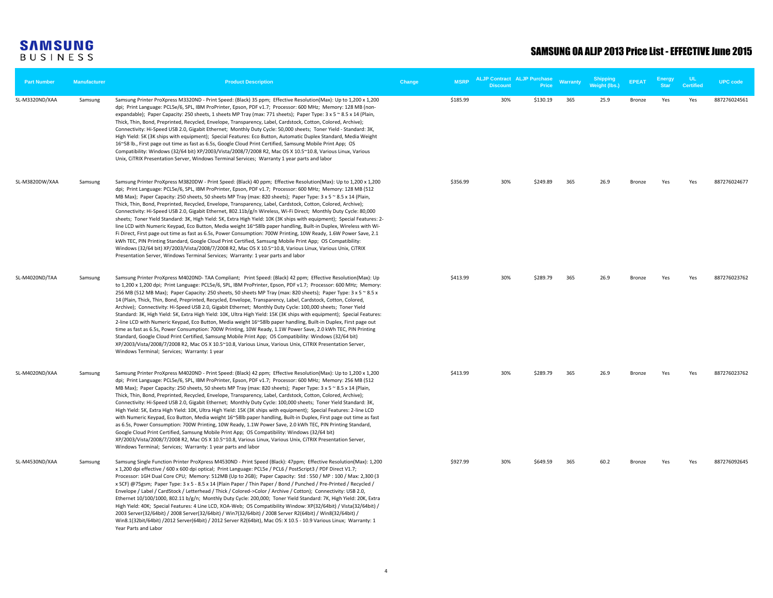| <b>Part Number</b> | <b>Manufacturer</b> | <b>Product Description</b>                                                                                                                                                                                                                                                                                                                                                                                                                                                                                                                                                                                                                                                                                                                                                                                                                                                                                                                                                                                                                                                                                                                                                                                                                                               | Change | <b>MSRP</b> | <b>ALJP Contract ALJP Purchase</b><br>Discount | <b>Price</b> | <b>Warranty</b> | Weight (lbs.) | <b>EPEAT</b> | <b>Energy</b><br><b>Star</b> | UL<br><b>Certified</b> | <b>UPC</b> code |
|--------------------|---------------------|--------------------------------------------------------------------------------------------------------------------------------------------------------------------------------------------------------------------------------------------------------------------------------------------------------------------------------------------------------------------------------------------------------------------------------------------------------------------------------------------------------------------------------------------------------------------------------------------------------------------------------------------------------------------------------------------------------------------------------------------------------------------------------------------------------------------------------------------------------------------------------------------------------------------------------------------------------------------------------------------------------------------------------------------------------------------------------------------------------------------------------------------------------------------------------------------------------------------------------------------------------------------------|--------|-------------|------------------------------------------------|--------------|-----------------|---------------|--------------|------------------------------|------------------------|-----------------|
| SL-M3320ND/XAA     | Samsung             | Samsung Printer ProXpress M3320ND - Print Speed: (Black) 35 ppm; Effective Resolution(Max): Up to 1,200 x 1,200<br>dpi; Print Language: PCL5e/6, SPL, IBM ProPrinter, Epson, PDF v1.7; Processor: 600 MHz; Memory: 128 MB (non-<br>expandable); Paper Capacity: 250 sheets, 1 sheets MP Tray (max: 771 sheets); Paper Type: 3 x 5 ~ 8.5 x 14 (Plain,<br>Thick, Thin, Bond, Preprinted, Recycled, Envelope, Transparency, Label, Cardstock, Cotton, Colored, Archive);<br>Connectivity: Hi-Speed USB 2.0, Gigabit Ethernet; Monthly Duty Cycle: 50,000 sheets; Toner Yield - Standard: 3K,<br>High Yield: 5K (3K ships with equipment); Special Features: Eco Button, Automatic Duplex Standard, Media Weight<br>16~58 lb., First page out time as fast as 6.5s, Google Cloud Print Certified, Samsung Mobile Print App; OS<br>Compatibility: Windows (32/64 bit) XP/2003/Vista/2008/7/2008 R2, Mac OS X 10.5~10.8, Various Linux, Various<br>Unix, CiTRIX Presentation Server, Windows Terminal Services; Warranty 1 year parts and labor                                                                                                                                                                                                                                |        | \$185.99    | 30%                                            | \$130.19     | 365             | 25.9          | Bronze       | Yes                          | Yes                    | 887276024561    |
| SL-M3820DW/XAA     | Samsung             | Samsung Printer ProXpress M3820DW - Print Speed: (Black) 40 ppm; Effective Resolution(Max): Up to 1,200 x 1,200<br>dpi; Print Language: PCL5e/6, SPL, IBM ProPrinter, Epson, PDF v1.7; Processor: 600 MHz; Memory: 128 MB (512<br>MB Max); Paper Capacity: 250 sheets, 50 sheets MP Tray (max: 820 sheets); Paper Type: 3 x 5 ~ 8.5 x 14 (Plain,<br>Thick, Thin, Bond, Preprinted, Recycled, Envelope, Transparency, Label, Cardstock, Cotton, Colored, Archive);<br>Connectivity: Hi-Speed USB 2.0, Gigabit Ethernet, 802.11b/g/n Wireless, Wi-Fi Direct; Monthly Duty Cycle: 80,000<br>sheets; Toner Yield Standard: 3K, High Yield: 5K, Extra High Yield: 10K (3K ships with equipment); Special Features: 2-<br>line LCD with Numeric Keypad, Eco Button, Media weight 16~58lb paper handling, Built-in Duplex, Wireless with Wi-<br>Fi Direct, First page out time as fast as 6.5s, Power Consumption: 700W Printing, 10W Ready, 1.6W Power Save, 2.1<br>kWh TEC, PIN Printing Standard, Google Cloud Print Certified, Samsung Mobile Print App; OS Compatibility:<br>Windows (32/64 bit) XP/2003/Vista/2008/7/2008 R2, Mac OS X 10.5~10.8, Various Linux, Various Unix, CiTRIX<br>Presentation Server, Windows Terminal Services; Warranty: 1 year parts and labor |        | \$356.99    | 30%                                            | \$249.89     | 365             | 26.9          | Bronze       | Yes                          | Yes                    | 887276024677    |
| SL-M4020ND/TAA     | Samsung             | Samsung Printer ProXpress M4020ND-TAA Compliant; Print Speed: (Black) 42 ppm; Effective Resolution(Max): Up<br>to 1,200 x 1,200 dpi; Print Language: PCL5e/6, SPL, IBM ProPrinter, Epson, PDF v1.7; Processor: 600 MHz; Memory:<br>256 MB (512 MB Max); Paper Capacity: 250 sheets, 50 sheets MP Tray (max: 820 sheets); Paper Type: 3 x 5 ~ 8.5 x<br>14 (Plain, Thick, Thin, Bond, Preprinted, Recycled, Envelope, Transparency, Label, Cardstock, Cotton, Colored,<br>Archive); Connectivity: Hi-Speed USB 2.0, Gigabit Ethernet; Monthly Duty Cycle: 100,000 sheets; Toner Yield<br>Standard: 3K, High Yield: 5K, Extra High Yield: 10K, Ultra High Yield: 15K (3K ships with equipment); Special Features:<br>2-line LCD with Numeric Keypad, Eco Button, Media weight 16~58lb paper handling, Built-in Duplex, First page out<br>time as fast as 6.5s, Power Consumption: 700W Printing, 10W Ready, 1.1W Power Save, 2.0 kWh TEC, PIN Printing<br>Standard, Google Cloud Print Certified, Samsung Mobile Print App; OS Compatibility: Windows (32/64 bit)<br>XP/2003/Vista/2008/7/2008 R2, Mac OS X 10.5~10.8, Various Linux, Various Unix, CiTRIX Presentation Server,<br>Windows Terminal; Services; Warranty: 1 year                                             |        | \$413.99    | 30%                                            | \$289.79     | 365             | 26.9          | Bronze       | Yes                          | Yes                    | 887276023762    |
| SL-M4020ND/XAA     | Samsung             | Samsung Printer ProXpress M4020ND - Print Speed: (Black) 42 ppm; Effective Resolution(Max): Up to 1,200 x 1,200<br>dpi; Print Language: PCL5e/6, SPL, IBM ProPrinter, Epson, PDF v1.7; Processor: 600 MHz; Memory: 256 MB (512<br>MB Max); Paper Capacity: 250 sheets, 50 sheets MP Tray (max: 820 sheets); Paper Type: 3 x 5 ~ 8.5 x 14 (Plain,<br>Thick, Thin, Bond, Preprinted, Recycled, Envelope, Transparency, Label, Cardstock, Cotton, Colored, Archive);<br>Connectivity: Hi-Speed USB 2.0, Gigabit Ethernet; Monthly Duty Cycle: 100,000 sheets; Toner Yield Standard: 3K,<br>High Yield: 5K, Extra High Yield: 10K, Ultra High Yield: 15K (3K ships with equipment); Special Features: 2-line LCD<br>with Numeric Keypad, Eco Button, Media weight 16~58lb paper handling, Built-in Duplex, First page out time as fast<br>as 6.5s, Power Consumption: 700W Printing, 10W Ready, 1.1W Power Save, 2.0 kWh TEC, PIN Printing Standard,<br>Google Cloud Print Certified, Samsung Mobile Print App; OS Compatibility: Windows (32/64 bit)<br>XP/2003/Vista/2008/7/2008 R2, Mac OS X 10.5~10.8, Various Linux, Various Unix, CiTRIX Presentation Server,<br>Windows Terminal; Services; Warranty: 1 year parts and labor                                          |        | \$413.99    | 30%                                            | \$289.79     | 365             | 26.9          | Bronze       | Yes                          | Yes                    | 887276023762    |
| SL-M4530ND/XAA     | Samsung             | Samsung Single Function Printer ProXpress M4530ND - Print Speed (Black): 47ppm; Effective Resolution(Max): 1,200<br>x 1,200 dpi effective / 600 x 600 dpi optical; Print Language: PCL5e / PCL6 / PostScript3 / PDF Direct V1.7;<br>Processor: 1GH Dual Core CPU; Memory: 512MB (Up to 2GB); Paper Capacity: Std: 550 / MP: 100 / Max: 2,300 (3<br>x SCF) @75gsm; Paper Type: 3 x 5 - 8.5 x 14 (Plain Paper / Thin Paper / Bond / Punched / Pre-Printed / Recycled /<br>Envelope / Label / CardStock / Letterhead / Thick / Colored->Color / Archive / Cotton); Connectivity: USB 2.0,<br>Ethernet 10/100/1000, 802.11 b/g/n; Monthly Duty Cycle: 200,000; Toner Yield Standard: 7K, High Yield: 20K, Extra<br>High Yield: 40K; Special Features: 4 Line LCD, XOA-Web; OS Compatibility Window: XP(32/64bit) / Vista(32/64bit) /<br>2003 Server(32/64bit) / 2008 Server(32/64bit) / Win7(32/64bit) / 2008 Server R2(64bit) / Win8(32/64bit) /<br>Win8.1(32bit/64bit) /2012 Server(64bit) / 2012 Server R2(64bit), Mac OS: X 10.5 - 10.9 Various Linux; Warranty: 1<br>Year Parts and Labor                                                                                                                                                                               |        | \$927.99    | 30%                                            | \$649.59     | 365             | 60.2          | Bronze       | Yes                          | Yes                    | 887276092645    |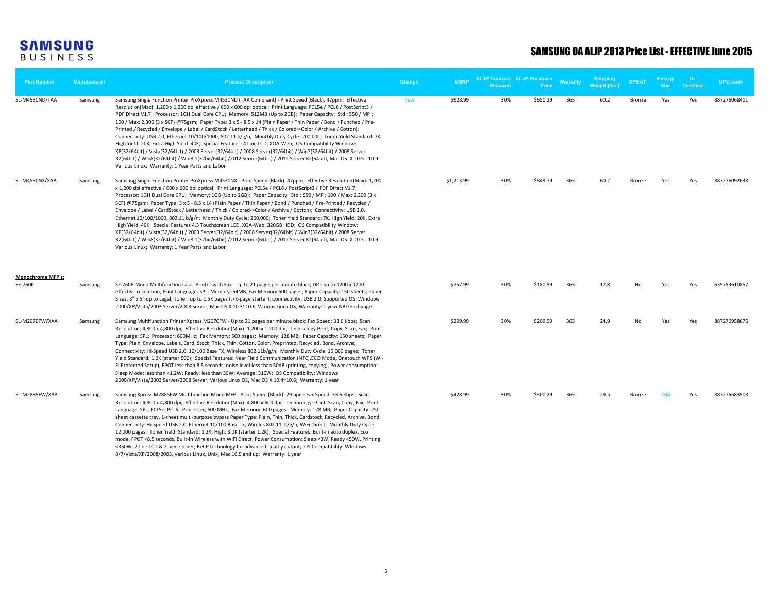#### SAMSUNG OA ALJP 2013 Price List - EFFECTIVE June 2015

| <b>Part Number</b>                         | <b>Manufacturer</b> | <b>Product Description</b>                                                                                                                                                                                                                                                                                                                                                                                                                                                                                                                                                                                                                                                                                                                                                                                                                                                                                                                                                                                                                                                                                  | Change     | <b>MSRP</b> | <b>ALJP Contract ALJP Purchase</b><br><b>Discount</b> | <b>Price</b> | <b>Warranty</b> | <b>Shipping</b><br>Weight (lbs.) | <b>EPEAT</b> | Energy<br><b>Star</b> | UL<br><b>Certified</b> | <b>UPC</b> code |
|--------------------------------------------|---------------------|-------------------------------------------------------------------------------------------------------------------------------------------------------------------------------------------------------------------------------------------------------------------------------------------------------------------------------------------------------------------------------------------------------------------------------------------------------------------------------------------------------------------------------------------------------------------------------------------------------------------------------------------------------------------------------------------------------------------------------------------------------------------------------------------------------------------------------------------------------------------------------------------------------------------------------------------------------------------------------------------------------------------------------------------------------------------------------------------------------------|------------|-------------|-------------------------------------------------------|--------------|-----------------|----------------------------------|--------------|-----------------------|------------------------|-----------------|
| SL-M4530ND/TAA                             | Samsung             | Samsung Single Function Printer ProXpress M4530ND (TAA Compliant) - Print Speed (Black): 47ppm; Effective<br>Resolution(Max): 1,200 x 1,200 dpi effective / 600 x 600 dpi optical; Print Language: PCL5e / PCL6 / PostScript3 /<br>PDF Direct V1.7; Processor: 1GH Dual Core CPU; Memory: 512MB (Up to 2GB); Paper Capacity: Std: 550 / MP:<br>100 / Max: 2,300 (3 x SCF) @75gsm; Paper Type: 3 x 5 - 8.5 x 14 (Plain Paper / Thin Paper / Bond / Punched / Pre-<br>Printed / Recycled / Envelope / Label / CardStock / Letterhead / Thick / Colored->Color / Archive / Cotton);<br>Connectivity: USB 2.0, Ethernet 10/100/1000, 802.11 b/g/n; Monthly Duty Cycle: 200,000; Toner Yield Standard: 7K,<br>High Yield: 20K, Extra High Yield: 40K; Special Features: 4 Line LCD, XOA-Web; OS Compatibility Window:<br>XP(32/64bit) / Vista(32/64bit) / 2003 Server(32/64bit) / 2008 Server(32/64bit) / Win7(32/64bit) / 2008 Server<br>R2(64bit) / Win8(32/64bit) / Win8.1(32bit/64bit) /2012 Server(64bit) / 2012 Server R2(64bit), Mac OS: X 10.5 - 10.9<br>Various Linux; Warranty: 1 Year Parts and Labor | <b>New</b> | \$928.99    | 30%                                                   | \$650.29     | 365             | 60.2                             | Bronze       | Yes                   | Yes                    | 887276068411    |
| SL-M4530NX/XAA                             | Samsung             | Samsung Single Function Printer ProXpress M4530NX - Print Speed (Black): 47ppm; Effective Resolution(Max): 1,200<br>x 1,200 dpi effective / 600 x 600 dpi optical; Print Language: PCL5e / PCL6 / PostScript3 / PDF Direct V1.7;<br>Processor: 1GH Dual Core CPU; Memory: 1GB (Up to 2GB); Paper Capacity: Std: 550 / MP: 100 / Max: 2,300 (3 x<br>SCF) @75gsm; Paper Type: 3 x 5 - 8.5 x 14 (Plain Paper / Thin Paper / Bond / Punched / Pre-Printed / Recycled /<br>Envelope / Label / CardStock / Letterhead / Thick / Colored->Color / Archive / Cotton); Connectivity: USB 2.0,<br>Ethernet 10/100/1000, 802.11 b/g/n; Monthly Duty Cycle: 200,000; Toner Yield Standard: 7K, High Yield: 20K, Extra<br>High Yield: 40K; Special Features 4.3 Touchscreen LCD, XOA-Web, 320GB HDD; OS Compatibility Window:<br>XP(32/64bit) / Vista(32/64bit) / 2003 Server(32/64bit) / 2008 Server(32/64bit) / Win7(32/64bit) / 2008 Server<br>R2(64bit) / Win8(32/64bit) / Win8.1(32bit/64bit) /2012 Server(64bit) / 2012 Server R2(64bit), Mac OS: X 10.5 - 10.9<br>Various Linux; Warranty: 1 Year Parts and Labor |            | \$1,213.99  | 30%                                                   | \$849.79     | 365             | 60.2                             | Bronze       | Yes                   | Yes                    | 887276092638    |
| <b>Monochrome MFP's:</b><br><b>SF-760P</b> | Samsung             | SF-760P Mono Multifunction Laser Printer with Fax - Up to 21 pages per minute black; DPI: up to 1200 x 1200<br>effective resolution; Print Language: SPL; Memory: 64MB, Fax Memory 500 pages; Paper Capacity: 150 sheets; Paper<br>Sizes: 3" x 5" up to Legal; Toner: up to 1.5K pages (.7K-page starter); Connectivity: USB 2.0; Supported OS: Windows<br>2000/XP/Vista/2003 Server/2008 Server, Mac OS X 10.3~10.6, Various Linux OS; Warranty: 1 year NBD Exchange                                                                                                                                                                                                                                                                                                                                                                                                                                                                                                                                                                                                                                       |            | \$257.99    | 30%                                                   | \$180.59     | 365             | 17.8                             | No           | Yes                   | Yes                    | 635753610857    |
| SL-M2070FW/XAA                             | Samsung             | Samsung Multifunction Printer Xpress M2070FW - Up to 21 pages per minute black: Fax Speed: 33.6 Kbps; Scan<br>Resolution: 4,800 x 4,800 dpi; Effective Resolution(Max): 1,200 x 1,200 dpi; Technology Print, Copy, Scan, Fax; Print<br>Language: SPL; Processor: 600MHz; Fax Memory: 500 pages; Memory: 128 MB; Paper Capacity: 150 sheets; Paper<br>Type: Plain, Envelope, Labels, Card, Stock, Thick, Thin, Cotton, Color, Preprinted, Recycled, Bond, Archive;<br>Connectivity: Hi-Speed USB 2.0, 10/100 Base TX, Wireless 802.11b/g/n; Monthly Duty Cycle: 10,000 pages; Toner<br>Yield Standard: 1.0K (starter 500); Special Features: Near Field Communication (NFC), ECO Mode, Onetouch WPS (Wi-<br>Fi Protected Setup), FPOT less than 8.5 seconds, noise level less than 50dB (printing, copying), Power consumption:<br>Sleep Mode: less than <1.2W; Ready: less than 30W; Average: 310W; OS Compatibility: Windows<br>2000/XP/Vista/2003 Server/2008 Server, Various Linux OS, Mac OS X 10.4~10.6; Warranty: 1 year                                                                              |            | \$299.99    | 30%                                                   | \$209.99     | 365             | 24.9                             | No           | Yes                   | Yes                    | 887276958675    |
| SL-M2885FW/XAA                             | Samsung             | Samsung Xpress M2885FW Multifunction Mono MFP - Print Speed (Black): 29 ppm: Fax Speed: 33.6 Kbps; Scan<br>Resolution: 4,800 x 4,800 dpi; Effective Resolution(Max): 4,800 x 600 dpi; Technology: Print, Scan, Copy, Fax; Print<br>Language: SPL, PCL5e, PCL6; Processer; 600 MHz; Fax Memory: 600 pages; Memory: 128 MB; Paper Capacity: 250<br>sheet cassette tray, 1-sheet multi-purpose bypass Paper Type: Plain, Thin, Thick, Cardstock, Recycled, Archive, Bond;<br>Connectivity: Hi-Speed USB 2.0, Ethernet 10/100 Base Tx, Wireles 802.11. b/g/n, WiFi Direct; Monthly Duty Cycle:<br>12,000 pages; Toner Yield: Standard: 1.2K; High: 3.0K (starter 1.2K); Special Features: Built-in auto duplex, Eco<br>mode, FPOT <8.5 seconds, Built-in Wireless with WiFi Direct; Power Consumption: Sleep <3W, Ready <50W, Printing<br><350W; 2-line LCD & 2 piece toner; ReCP technology for advanced qualtiy output; OS Compatibility: WIndows                                                                                                                                                             |            | \$428.99    | 30%                                                   | \$300.29     | 365             | 29.5                             | Bronze       | <b>TBA</b>            | Yes                    | 887276683508    |

8/7/Vista/XP/2008/2003, Various Linux, Unix, Mac 10.5 and up; Warranty: 1 year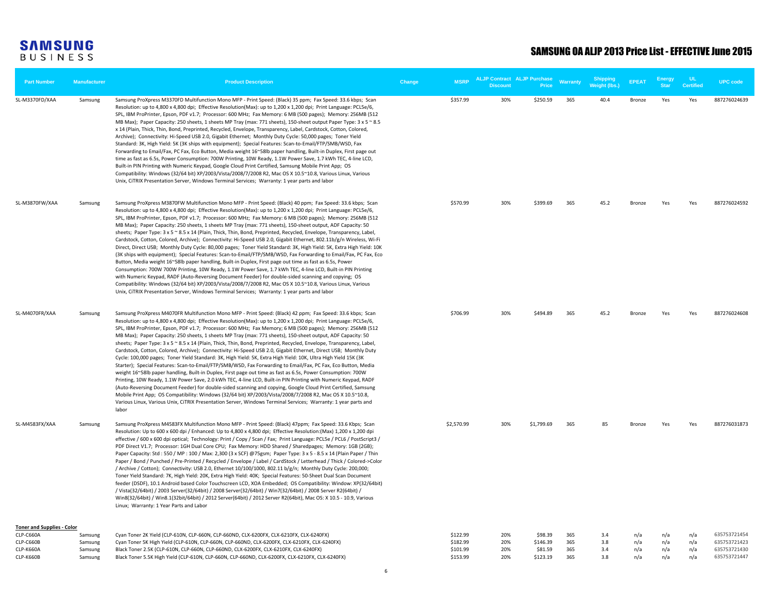| <b>Part Number</b>                | <b>Manufacturer</b> | <b>Product Description</b>                                                                                                                                                                                                                                                                                                                                                                                                                                                                                                                                                                                                                                                                                                                                                                                                                                                                                                                                                                                                                                                                                                                                                                                                                                                                                                                                                                                                                                                                                                              | Change | <b>MSRP</b>          | <b>Discount</b> | <b>ALJP Contract ALJP Purchase</b><br>Price | <b>Warranty</b> | <b>Shipping</b><br>Weight (lbs.) | <b>EPEAT</b>  | Energy<br>Star | ш<br><b>Certified</b> | <b>UPC code</b>              |
|-----------------------------------|---------------------|-----------------------------------------------------------------------------------------------------------------------------------------------------------------------------------------------------------------------------------------------------------------------------------------------------------------------------------------------------------------------------------------------------------------------------------------------------------------------------------------------------------------------------------------------------------------------------------------------------------------------------------------------------------------------------------------------------------------------------------------------------------------------------------------------------------------------------------------------------------------------------------------------------------------------------------------------------------------------------------------------------------------------------------------------------------------------------------------------------------------------------------------------------------------------------------------------------------------------------------------------------------------------------------------------------------------------------------------------------------------------------------------------------------------------------------------------------------------------------------------------------------------------------------------|--------|----------------------|-----------------|---------------------------------------------|-----------------|----------------------------------|---------------|----------------|-----------------------|------------------------------|
| SL-M3370FD/XAA                    | Samsung             | Samsung ProXpress M3370FD Multifunction Mono MFP - Print Speed: (Black) 35 ppm; Fax Speed: 33.6 kbps; Scan<br>Resolution: up to 4,800 x 4,800 dpi; Effective Resolution(Max): up to 1,200 x 1,200 dpi; Print Language: PCL5e/6,<br>SPL, IBM ProPrinter, Epson, PDF v1.7; Processor: 600 MHz; Fax Memory: 6 MB (500 pages); Memory: 256MB (512<br>MB Max); Paper Capacity: 250 sheets, 1 sheets MP Tray (max: 771 sheets), 150-sheet output Paper Type: 3 x 5 ~ 8.5<br>x 14 (Plain, Thick, Thin, Bond, Preprinted, Recycled, Envelope, Transparency, Label, Cardstock, Cotton, Colored,<br>Archive); Connectivity: Hi-Speed USB 2.0, Gigabit Ethernet; Monthly Duty Cycle: 50,000 pages; Toner Yield<br>Standard: 3K, High Yield: 5K (3K ships with equipment); Special Features: Scan-to-Email/FTP/SMB/WSD, Fax<br>Forwarding to Email/Fax, PC Fax, Eco Button, Media weight 16~58lb paper handling, Built-in Duplex, First page out<br>time as fast as 6.5s, Power Consumption: 700W Printing, 10W Ready, 1.1W Power Save, 1.7 kWh TEC, 4-line LCD,<br>Built-in PIN Printing with Numeric Keypad, Google Cloud Print Certified, Samsung Mobile Print App; OS<br>Compatibility: Windows (32/64 bit) XP/2003/Vista/2008/7/2008 R2, Mac OS X 10.5~10.8, Various Linux, Various<br>Unix, CiTRIX Presentation Server, Windows Terminal Services; Warranty: 1 year parts and labor                                                                                                                                                           |        | \$357.99             | 30%             | \$250.59                                    | 365             | 40.4                             | Bronze        | Yes            | Yes                   | 887276024639                 |
| SL-M3870FW/XAA                    | Samsung             | Samsung ProXpress M3870FW Multifunction Mono MFP - Print Speed: (Black) 40 ppm; Fax Speed: 33.6 kbps; Scan<br>Resolution: up to 4,800 x 4,800 dpi; Effective Resolution(Max): up to 1,200 x 1,200 dpi; Print Language: PCL5e/6,<br>SPL, IBM ProPrinter, Epson, PDF v1.7; Processor: 600 MHz; Fax Memory: 6 MB (500 pages); Memory: 256MB (512<br>MB Max); Paper Capacity: 250 sheets, 1 sheets MP Tray (max: 771 sheets), 150-sheet output, ADF Capacity: 50<br>sheets; Paper Type: 3 x 5 ~ 8.5 x 14 (Plain, Thick, Thin, Bond, Preprinted, Recycled, Envelope, Transparency, Label,<br>Cardstock, Cotton, Colored, Archive); Connectivity: Hi-Speed USB 2.0, Gigabit Ethernet, 802.11b/g/n Wireless, Wi-Fi<br>Direct, Direct USB; Monthly Duty Cycle: 80,000 pages; Toner Yield Standard: 3K, High Yield: 5K, Extra High Yield: 10K<br>(3K ships with equipment); Special Features: Scan-to-Email/FTP/SMB/WSD, Fax Forwarding to Email/Fax, PC Fax, Eco<br>Button, Media weight 16~58lb paper handling, Built-in Duplex, First page out time as fast as 6.5s, Power<br>Consumption: 700W 700W Printing, 10W Ready, 1.1W Power Save, 1.7 kWh TEC, 4-line LCD, Built-in PIN Printing<br>with Numeric Keypad, RADF (Auto-Reversing Document Feeder) for double-sided scanning and copying; OS<br>Compatibility: Windows (32/64 bit) XP/2003/Vista/2008/7/2008 R2, Mac OS X 10.5~10.8, Various Linux, Various<br>Unix, CiTRIX Presentation Server, Windows Terminal Services; Warranty: 1 year parts and labor                             |        | \$570.99             | 30%             | \$399.69                                    | 365             | 45.2                             | Bronze        | Yes            | Yes                   | 887276024592                 |
| SL-M4070FR/XAA                    | Samsung             | Samsung ProXpress M4070FR Multifunction Mono MFP - Print Speed: (Black) 42 ppm; Fax Speed: 33.6 kbps; Scan<br>Resolution: up to 4,800 x 4,800 dpi; Effective Resolution(Max): up to 1,200 x 1,200 dpi; Print Language: PCL5e/6,<br>SPL, IBM ProPrinter, Epson, PDF v1.7; Processor: 600 MHz; Fax Memory; 6 MB (500 pages); Memory: 256MB (512<br>MB Max); Paper Capacity: 250 sheets, 1 sheets MP Tray (max: 771 sheets), 150-sheet output, ADF Capacity: 50<br>sheets; Paper Type: 3 x 5 ~ 8.5 x 14 (Plain, Thick, Thin, Bond, Preprinted, Recycled, Envelope, Transparency, Label,<br>Cardstock, Cotton, Colored, Archive); Connectivity: Hi-Speed USB 2.0, Gigabit Ethernet, Direct USB; Monthly Duty<br>Cycle: 100,000 pages; Toner Yield Standard: 3K, High Yield: 5K, Extra High Yield: 10K, Ultra High Yield 15K (3K<br>Starter); Special Features: Scan-to-Email/FTP/SMB/WSD, Fax Forwarding to Email/Fax, PC Fax, Eco Button, Media<br>weight 16~58lb paper handling, Built-in Duplex, First page out time as fast as 6.5s, Power Consumption: 700W<br>Printing, 10W Ready, 1.1W Power Save, 2.0 kWh TEC, 4-line LCD, Built-in PIN Printing with Numeric Keypad, RADF<br>(Auto-Reversing Document Feeder) for double-sided scanning and copying, Google Cloud Print Certified, Samsung<br>Mobile Print App; OS Compatibility: Windows (32/64 bit) XP/2003/Vista/2008/7/2008 R2, Mac OS X 10.5~10.8,<br>Various Linux, Various Unix, CiTRIX Presentation Server, Windows Terminal Services; Warranty: 1 year parts and<br>labor |        | \$706.99             | 30%             | \$494.89                                    | 365             | 45.2                             | <b>Bronze</b> | Yes            | Yes                   | 887276024608                 |
| SL-M4583FX/XAA                    | Samsung             | Samsung ProXpress M4583FX Multifunction Mono MFP - Print Speed: (Black) 47ppm; Fax Speed: 33.6 Kbps; Scan<br>Resolution: Up to 600 x 600 dpi / Enhanced: Up to 4,800 x 4,800 dpi; Effective Resolution: (Max) 1,200 x 1,200 dpi<br>effective / 600 x 600 dpi optical; Technology: Print / Copy / Scan / Fax; Print Language: PCL5e / PCL6 / PostScript3 /<br>PDF Direct V1.7; Processor: 1GH Dual Core CPU; Fax Memory: HDD Shared / Sharedpages; Memory: 1GB (2GB);<br>Paper Capacity: Std: 550 / MP: 100 / Max: 2,300 (3 x SCF) @75gsm; Paper Type: 3 x 5 - 8.5 x 14 (Plain Paper / Thin<br>Paper / Bond / Punched / Pre-Printed / Recycled / Envelope / Label / CardStock / Letterhead / Thick / Colored->Color<br>/ Archive / Cotton); Connectivity: USB 2.0, Ethernet 10/100/1000, 802.11 b/g/n; Monthly Duty Cycle: 200,000;<br>Toner Yield Standard: 7K, High Yield: 20K, Extra High Yield: 40K; Special Features: 50-Sheet Dual Scan Document<br>feeder (DSDF), 10.1 Android based Color Touchscreen LCD, XOA Embedded; OS Compatibility: Window: XP(32/64bit)<br>/ Vista(32/64bit) / 2003 Server(32/64bit) / 2008 Server(32/64bit) / Win7(32/64bit) / 2008 Server R2(64bit) /<br>Win8(32/64bit) / Win8.1(32bit/64bit) / 2012 Server(64bit) / 2012 Server R2(64bit), Mac OS: X 10.5 - 10.9, Various<br>Linux; Warranty: 1 Year Parts and Labor                                                                                                                                                                                  |        | \$2,570.99           | 30%             | \$1,799.69                                  | 365             | 85                               | <b>Bronze</b> | Yes            | Yes                   | 887276031873                 |
| <b>Toner and Supplies - Color</b> |                     |                                                                                                                                                                                                                                                                                                                                                                                                                                                                                                                                                                                                                                                                                                                                                                                                                                                                                                                                                                                                                                                                                                                                                                                                                                                                                                                                                                                                                                                                                                                                         |        |                      |                 |                                             |                 |                                  |               |                |                       |                              |
| CLP-C660A                         | Samsung             | Cyan Toner 2K Yield (CLP-610N, CLP-660N, CLP-660ND, CLX-6200FX, CLX-6210FX, CLX-6240FX)                                                                                                                                                                                                                                                                                                                                                                                                                                                                                                                                                                                                                                                                                                                                                                                                                                                                                                                                                                                                                                                                                                                                                                                                                                                                                                                                                                                                                                                 |        | \$122.99             | 20%             | \$98.39                                     | 365             | 3.4                              | n/a           | n/a            | n/a                   | 635753721454                 |
| CLP-C660B<br><b>CLP-K660A</b>     | Samsung<br>Samsung  | Cyan Toner 5K High Yield (CLP-610N, CLP-660N, CLP-660ND, CLX-6200FX, CLX-6210FX, CLX-6240FX)<br>Black Toner 2.5K (CLP-610N, CLP-660N, CLP-660ND, CLX-6200FX, CLX-6210FX, CLX-6240FX)                                                                                                                                                                                                                                                                                                                                                                                                                                                                                                                                                                                                                                                                                                                                                                                                                                                                                                                                                                                                                                                                                                                                                                                                                                                                                                                                                    |        | \$182.99<br>\$101.99 | 20%<br>20%      | \$146.39<br>\$81.59                         | 365<br>365      | 3.8<br>3.4                       | n/a<br>n/a    | n/a<br>n/a     | n/a<br>n/a            | 635753721423<br>635753721430 |
| CLP-K660B                         | Samsung             | Black Toner 5.5K High Yield (CLP-610N, CLP-660N, CLP-660ND, CLX-6200FX, CLX-6210FX, CLX-6240FX)                                                                                                                                                                                                                                                                                                                                                                                                                                                                                                                                                                                                                                                                                                                                                                                                                                                                                                                                                                                                                                                                                                                                                                                                                                                                                                                                                                                                                                         |        | \$153.99             | 20%             | \$123.19                                    | 365             | 3.8                              | n/a           | n/a            | n/a                   | 635753721447                 |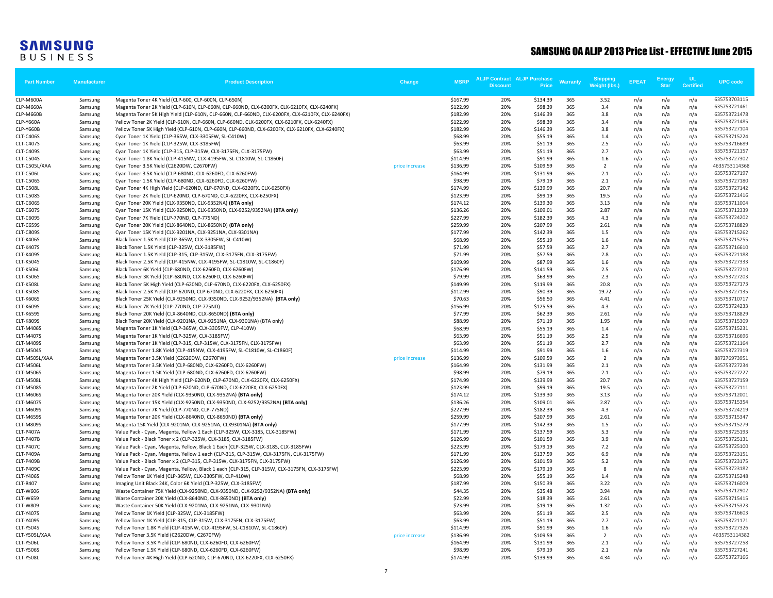| <b>Part Number</b>                   | Manufacturer       | <b>Product Description</b>                                                                                                            | Change         | <b>MSRP</b>          | <b>ALJP Contract ALJP Purchase</b><br><b>Discount</b> | Price               | <b>Warranty</b> | <b>Shipping</b><br>Weight (lbs.) | <b>EPEAT</b> | <b>Energy</b><br><b>Star</b> | <b>UL</b><br><b>Certified</b> | <b>UPC</b> code              |
|--------------------------------------|--------------------|---------------------------------------------------------------------------------------------------------------------------------------|----------------|----------------------|-------------------------------------------------------|---------------------|-----------------|----------------------------------|--------------|------------------------------|-------------------------------|------------------------------|
| CLP-M600A                            | Samsung            | Magenta Toner 4K Yield (CLP-600, CLP-600N, CLP-650N)                                                                                  |                | \$167.99             | 20%                                                   | \$134.39            | 365             | 3.52                             | n/a          | n/a                          | n/a                           | 635753703115                 |
| CLP-M660A                            | Samsung            | Magenta Toner 2K Yield (CLP-610N, CLP-660N, CLP-660ND, CLX-6200FX, CLX-6210FX, CLX-6240FX)                                            |                | \$122.99             | 20%                                                   | \$98.39             | 365             | 3.4                              | n/a          | n/a                          | n/a                           | 635753721461                 |
| CLP-M660B                            | Samsung            | Magenta Toner 5K High Yield (CLP-610N, CLP-660N, CLP-660ND, CLX-6200FX, CLX-6210FX, CLX-6240FX)                                       |                | \$182.99             | 20%                                                   | \$146.39            | 365             | 3.8                              | n/a          | n/a                          | n/a                           | 635753721478                 |
| CLP-Y660A                            | Samsung            | Yellow Toner 2K Yield (CLP-610N, CLP-660N, CLP-660ND, CLX-6200FX, CLX-6210FX, CLX-6240FX)                                             |                | \$122.99             | 20%                                                   | \$98.39             | 365             | 3.4                              | n/a          | n/a                          | n/a                           | 635753721485                 |
| CLP-Y660B                            | Samsung            | Yellow Toner 5K High Yield (CLP-610N, CLP-660N, CLP-660ND, CLX-6200FX, CLX-6210FX, CLX-6240FX)                                        |                | \$182.99             | 20%                                                   | \$146.39            | 365             | 3.8                              | n/a          | n/a                          | n/a                           | 635753727104                 |
| <b>CLT-C406S</b>                     | Samsung            | Cyan Toner 1K Yield (CLP-365W, CLX-3305FW, SL-C410W)                                                                                  |                | \$68.99              | 20%                                                   | \$55.19             | 365             | 1.4                              | n/a          | n/a                          | n/a                           | 635753715224                 |
| <b>CLT-C407S</b>                     | Samsung            | Cyan Toner 1K Yield (CLP-325W, CLX-3185FW)                                                                                            |                | \$63.99              | 20%                                                   | \$51.19             | 365             | 2.5                              | n/a          | n/a                          | n/a                           | 635753716689                 |
| <b>CLT-C409S</b>                     | Samsung            | Cyan Toner 1K Yield (CLP-315, CLP-315W, CLX-3175FN, CLX-3175FW)                                                                       |                | \$63.99              | 20%                                                   | \$51.19             | 365             | 2.7                              | n/a          | n/a                          | n/a                           | 635753721157                 |
| <b>CLT-C504S</b>                     | Samsung            | Cyan Toner 1.8K Yield (CLP-415NW, CLX-4195FW, SL-C1810W, SL-C1860F)                                                                   |                | \$114.99             | 20%                                                   | \$91.99             | 365             | 1.6                              | n/a          | n/a                          | n/a                           | 635753727302                 |
| CLT-C505L/XAA                        | Samsung            | Cyan Toner 3.5K Yield (C2620DW, C2670FW)                                                                                              | price increase | \$136.99             | 20%                                                   | \$109.59            | 365             | $\overline{2}$                   | n/a          | n/a                          | n/a                           | 4635753114368                |
| CLT-C506L                            | Samsung            | Cyan Toner 3.5K Yield (CLP-680ND, CLX-6260FD, CLX-6260FW)                                                                             |                | \$164.99             | 20%                                                   | \$131.99            | 365             | 2.1                              | n/a          | n/a                          | n/a                           | 635753727197                 |
| <b>CLT-C506S</b>                     | Samsung            | Cyan Toner 1.5K Yield (CLP-680ND, CLX-6260FD, CLX-6260FW)                                                                             |                | \$98.99              | 20%                                                   | \$79.19             | 365             | 2.1                              | n/a          | n/a                          | n/a                           | 635753727180                 |
| CLT-C508L                            | Samsung            | Cyan Toner 4K High Yield (CLP-620ND, CLP-670ND, CLX-6220FX, CLX-6250FX)                                                               |                | \$174.99             | 20%<br>20%                                            | \$139.99            | 365<br>365      | 20.7                             | n/a          | n/a                          | n/a                           | 635753727142<br>635753721416 |
| <b>CLT-C508S</b>                     | Samsung            | Cyan Toner 2K Yield (CLP-620ND, CLP-670ND, CLX-6220FX, CLX-6250FX)                                                                    |                | \$123.99<br>\$174.12 | 20%                                                   | \$99.19<br>\$139.30 | 365             | 19.5<br>3.13                     | n/a          | n/a                          | n/a<br>n/a                    | 635753711004                 |
| <b>CLT-C606S</b><br><b>CLT-C607S</b> | Samsung<br>Samsung | Cyan Toner 20K Yield (CLX-9350ND, CLX-9352NA) (BTA only)<br>Cyan Toner 15K Yield (CLX-9250ND, CLX-9350ND, CLX-9252/9352NA) (BTA only) |                | \$136.26             | 20%                                                   | \$109.01            | 365             | 2.87                             | n/a<br>n/a   | n/a<br>n/a                   | n/a                           | 635753712339                 |
| <b>CLT-C609S</b>                     | Samsung            | Cyan Toner 7K Yield (CLP-770ND, CLP-775ND)                                                                                            |                | \$227.99             | 20%                                                   | \$182.39            | 365             | 4.3                              | n/a          | n/a                          | n/a                           | 635753724202                 |
| CLT-C659S                            | Samsung            | Cyan Toner 20K Yield (CLX-8640ND, CLX-8650ND) (BTA only)                                                                              |                | \$259.99             | 20%                                                   | \$207.99            | 365             | 2.61                             | n/a          | n/a                          | n/a                           | 635753718829                 |
| <b>CLT-C809S</b>                     | Samsung            | Cyan Toner 15K Yield (CLX-9201NA, CLX-9251NA, CLX-9301NA)                                                                             |                | \$177.99             | 20%                                                   | \$142.39            | 365             | 1.5                              | n/a          | n/a                          | n/a                           | 635753715262                 |
| <b>CLT-K406S</b>                     | Samsung            | Black Toner 1.5K Yield (CLP-365W, CLX-3305FW, SL-C410W)                                                                               |                | \$68.99              | 20%                                                   | \$55.19             | 365             | 1.6                              | n/a          | n/a                          | n/a                           | 635753715255                 |
| <b>CLT-K407S</b>                     | Samsung            | Black Toner 1.5K Yield (CLP-325W, CLX-3185FW)                                                                                         |                | \$71.99              | 20%                                                   | \$57.59             | 365             | 2.7                              | n/a          | n/a                          | n/a                           | 635753716610                 |
| <b>CLT-K409S</b>                     | Samsung            | Black Toner 1.5K Yield (CLP-315, CLP-315W, CLX-3175FN, CLX-3175FW)                                                                    |                | \$71.99              | 20%                                                   | \$57.59             | 365             | 2.8                              | n/a          | n/a                          | n/a                           | 635753721188                 |
| <b>CLT-K504S</b>                     | Samsung            | Black Toner 2.5K Yield (CLP-415NW, CLX-4195FW, SL-C1810W, SL-C1860F)                                                                  |                | \$109.99             | 20%                                                   | \$87.99             | 365             | 1.6                              | n/a          | n/a                          | n/a                           | 635753727333                 |
| CLT-K506L                            | Samsung            | Black Toner 6K Yield (CLP-680ND, CLX-6260FD, CLX-6260FW)                                                                              |                | \$176.99             | 20%                                                   | \$141.59            | 365             | 2.5                              | n/a          | n/a                          | n/a                           | 635753727210                 |
| <b>CLT-K506S</b>                     | Samsung            | Black Toner 3K Yield (CLP-680ND, CLX-6260FD, CLX-6260FW)                                                                              |                | \$79.99              | 20%                                                   | \$63.99             | 365             | 2.3                              | n/a          | n/a                          | n/a                           | 635753727203                 |
| <b>CLT-K508L</b>                     | Samsung            | Black Toner 5K High Yield (CLP-620ND, CLP-670ND, CLX-6220FX, CLX-6250FX)                                                              |                | \$149.99             | 20%                                                   | \$119.99            | 365             | 20.8                             | n/a          | n/a                          | n/a                           | 635753727173                 |
| <b>CLT-K508S</b>                     | Samsung            | Black Toner 2.5K Yield (CLP-620ND, CLP-670ND, CLX-6220FX, CLX-6250FX)                                                                 |                | \$112.99             | 20%                                                   | \$90.39             | 365             | 19.72                            | n/a          | n/a                          | n/a                           | 635753727135                 |
| <b>CLT-K606S</b>                     | Samsung            | Black Toner 25K Yield (CLX-9250ND, CLX-9350ND, CLX-9252/9352NA) (BTA only)                                                            |                | \$70.63              | 20%                                                   | \$56.50             | 365             | 4.41                             | n/a          | n/a                          | n/a                           | 635753710717                 |
| <b>CLT-K609S</b>                     | Samsung            | Black Toner 7K Yield (CLP-770ND, CLP-775ND)                                                                                           |                | \$156.99             | 20%                                                   | \$125.59            | 365             | 4.3                              | n/a          | n/a                          | n/a                           | 635753724233                 |
| <b>CLT-K659S</b>                     | Samsung            | Black Toner 20K Yield (CLX-8640ND, CLX-8650ND) (BTA only)                                                                             |                | \$77.99              | 20%                                                   | \$62.39             | 365             | 2.61                             | n/a          | n/a                          | n/a                           | 635753718829                 |
| <b>CLT-K809S</b>                     | Samsung            | Black Toner 20K Yield (CLX-9201NA, CLX-9251NA, CLX-9301NA) (BTA only)                                                                 |                | \$88.99              | 20%                                                   | \$71.19             | 365             | 1.95                             | n/a          | n/a                          | n/a                           | 635753715309                 |
| CLT-M406S                            | Samsung            | Magenta Toner 1K Yield (CLP-365W, CLX-3305FW, CLP-410W)                                                                               |                | \$68.99              | 20%                                                   | \$55.19             | 365             | 1.4                              | n/a          | n/a                          | n/a                           | 635753715231                 |
| <b>CLT-M407S</b>                     | Samsung            | Magenta Toner 1K Yield (CLP-325W, CLX-3185FW)                                                                                         |                | \$63.99              | 20%                                                   | \$51.19             | 365             | 2.5                              | n/a          | n/a                          | n/a                           | 635753716696                 |
| CLT-M409S                            | Samsung            | Magenta Toner 1K Yield (CLP-315, CLP-315W, CLX-3175FN, CLX-3175FW)                                                                    |                | \$63.99              | 20%                                                   | \$51.19             | 365             | 2.7                              | n/a          | n/a                          | n/a                           | 635753721164                 |
| CLT-M504S                            | Samsung            | Magenta Toner 1.8K Yield (CLP-415NW, CLX-4195FW, SL-C1810W, SL-C1860F)                                                                |                | \$114.99             | 20%                                                   | \$91.99             | 365             | 1.6                              | n/a          | n/a                          | n/a                           | 635753727319                 |
| CLT-M505L/XAA                        | Samsung            | Magenta Toner 3.5K Yield (C2620DW, C2670FW)                                                                                           | price increase | \$136.99             | 20%                                                   | \$109.59            | 365             | $\overline{2}$                   | n/a          | n/a                          | n/a                           | 887276973951                 |
| CLT-M506L<br>CLT-M506S               | Samsung            | Magenta Toner 3.5K Yield (CLP-680ND, CLX-6260FD, CLX-6260FW)<br>Magenta Toner 1.5K Yield (CLP-680ND, CLX-6260FD, CLX-6260FW)          |                | \$164.99<br>\$98.99  | 20%<br>20%                                            | \$131.99<br>\$79.19 | 365<br>365      | 2.1<br>2.1                       | n/a<br>n/a   | n/a<br>n/a                   | n/a<br>n/a                    | 635753727234<br>635753727227 |
| CLT-M508L                            | Samsung<br>Samsung | Magenta Toner 4K High Yield (CLP-620ND, CLP-670ND, CLX-6220FX, CLX-6250FX)                                                            |                | \$174.99             | 20%                                                   | \$139.99            | 365             | 20.7                             | n/a          | n/a                          | n/a                           | 635753727159                 |
| CLT-M508S                            | Samsung            | Magenta Toner 2K Yield (CLP-620ND, CLP-670ND, CLX-6220FX, CLX-6250FX)                                                                 |                | \$123.99             | 20%                                                   | \$99.19             | 365             | 19.5                             | n/a          | n/a                          | n/a                           | 635753727111                 |
| CLT-M606S                            | Samsung            | Magenta Toner 20K Yield (CLX-9350ND, CLX-9352NA) (BTA only)                                                                           |                | \$174.12             | 20%                                                   | \$139.30            | 365             | 3.13                             | n/a          | n/a                          | n/a                           | 635753712001                 |
| <b>CLT-M607S</b>                     | Samsung            | Magenta Toner 15K Yield (CLX-9250ND, CLX-9350ND, CLX-9252/9352NA) (BTA only)                                                          |                | \$136.26             | 20%                                                   | \$109.01            | 365             | 2.87                             | n/a          | n/a                          | n/a                           | 635753715354                 |
| CLT-M609S                            | Samsung            | Magenta Toner 7K Yield (CLP-770ND, CLP-775ND)                                                                                         |                | \$227.99             | 20%                                                   | \$182.39            | 365             | 4.3                              | n/a          | n/a                          | n/a                           | 635753724219                 |
| CLT-M659S                            | Samsung            | Magenta Toner 20K Yield (CLX-8640ND, CLX-8650ND) (BTA only)                                                                           |                | \$259.99             | 20%                                                   | \$207.99            | 365             | 2.61                             | n/a          | n/a                          | n/a                           | 635753715347                 |
| CLT-M809S                            | Samsung            | Magenta 15K Yield (CLX-9201NA, CLX-9251NA, CLX9301NA) (BTA only)                                                                      |                | \$177.99             | 20%                                                   | \$142.39            | 365             | 1.5                              | n/a          | n/a                          | n/a                           | 635753715279                 |
| CLT-P407A                            | Samsung            | Value Pack - Cyan, Magenta, Yellow 1 Each (CLP-325W, CLX-3185, CLX-3185FW)                                                            |                | \$171.99             | 20%                                                   | \$137.59            | 365             | 5.3                              | n/a          | n/a                          | n/a                           | 635753725193                 |
| CLT-P407B                            | Samsung            | Value Pack - Black Toner x 2 (CLP-325W, CLX-3185, CLX-3185FW)                                                                         |                | \$126.99             | 20%                                                   | \$101.59            | 365             | 3.9                              | n/a          | n/a                          | n/a                           | 635753725131                 |
| <b>CLT-P407C</b>                     | Samsung            | Value Pack - Cyan, Magenta, Yellow, Black 1 Each (CLP-325W, CLX-3185, CLX-3185FW)                                                     |                | \$223.99             | 20%                                                   | \$179.19            | 365             | 7.2                              | n/a          | n/a                          | n/a                           | 635753725100                 |
| CLT-P409A                            | Samsung            | Value Pack - Cyan, Magenta, Yellow 1 each (CLP-315, CLP-315W, CLX-3175FN, CLX-3175FW)                                                 |                | \$171.99             | 20%                                                   | \$137.59            | 365             | 6.9                              | n/a          | n/a                          | n/a                           | 635753723151                 |
| CLT-P409B                            | Samsung            | Value Pack - Black Toner x 2 (CLP-315, CLP-315W, CLX-3175FN, CLX-3175FW)                                                              |                | \$126.99             | 20%                                                   | \$101.59            | 365             | 5.2                              | n/a          | n/a                          | n/a                           | 635753723175                 |
| <b>CLT-P409C</b>                     | Samsung            | Value Pack - Cyan, Magenta, Yellow, Black 1 each (CLP-315, CLP-315W, CLX-3175FN, CLX-3175FW)                                          |                | \$223.99             | 20%                                                   | \$179.19            | 365             | 8                                | n/a          | n/a                          | n/a                           | 635753723182                 |
| <b>CLT-Y406S</b>                     | Samsung            | Yellow Toner 1K Yield (CLP-365W, CLX-3305FW, CLP-410W)                                                                                |                | \$68.99              | 20%                                                   | \$55.19             | 365             | 1.4                              | n/a          | n/a                          | n/a                           | 635753715248                 |
| <b>CLT-R407</b>                      | Samsung            | Imaging Unit Black 24K, Color 6K Yield (CLP-325W, CLX-3185FW)                                                                         |                | \$187.99             | 20%                                                   | \$150.39            | 365             | 3.22                             | n/a          | n/a                          | n/a                           | 635753716009                 |
| <b>CLT-W606</b>                      | Samsung            | Waste Container 75K Yield (CLX-9250ND, CLX-9350ND, CLX-9252/9352NA) (BTA only)                                                        |                | \$44.35              | 20%                                                   | \$35.48             | 365             | 3.94                             | n/a          | n/a                          | n/a                           | 635753712902                 |
| <b>CLT-W659</b>                      | Samsung            | Waste Container 20K Yield (CLX-8640ND, CLX-8650ND) (BTA only)                                                                         |                | \$22.99              | 20%                                                   | \$18.39             | 365             | 2.61                             | n/a          | n/a                          | n/a                           | 635753715415                 |
| <b>CLT-W809</b>                      | Samsung            | Waste Container 50K Yield (CLX-9201NA, CLX-9251NA, CLX-9301NA)                                                                        |                | \$23.99              | 20%                                                   | \$19.19             | 365             | 1.32                             | n/a          | n/a                          | n/a                           | 635753715323                 |
| <b>CLT-Y407S</b>                     | Samsung            | Yellow Toner 1K Yield (CLP-325W, CLX-3185FW)                                                                                          |                | \$63.99              | 20%                                                   | \$51.19             | 365             | 2.5                              | n/a          | n/a                          | n/a                           | 635753716603                 |
| <b>CLT-Y409S</b>                     | Samsung            | Yellow Toner 1K Yield (CLP-315, CLP-315W, CLX-3175FN, CLX-3175FW)                                                                     |                | \$63.99              | 20%                                                   | \$51.19             | 365             | 2.7                              | n/a          | n/a                          | n/a                           | 635753721171                 |
| <b>CLT-Y504S</b>                     | Samsung            | Yellow Toner 1.8K Yield (CLP-415NW, CLX-4195FW, SL-C1810W, SL-C1860F)                                                                 |                | \$114.99             | 20%                                                   | \$91.99             | 365             | 1.6                              | n/a          | n/a                          | n/a                           | 635753727326                 |
| CLT-Y505L/XAA                        | Samsung            | Yellow Toner 3.5K Yield (C2620DW, C2670FW)                                                                                            | price increase | \$136.99             | 20%                                                   | \$109.59            | 365             | $\overline{2}$                   | n/a          | n/a                          | n/a                           | 4635753114382                |
| CLT-Y506L<br><b>CLT-Y506S</b>        | Samsung            | Yellow Toner 3.5K Yield (CLP-680ND, CLX-6260FD, CLX-6260FW)<br>Yellow Toner 1.5K Yield (CLP-680ND, CLX-6260FD, CLX-6260FW)            |                | \$164.99<br>\$98.99  | 20%<br>20%                                            | \$131.99<br>\$79.19 | 365<br>365      | 2.1<br>2.1                       | n/a          | n/a                          | n/a<br>n/a                    | 635753727258<br>635753727241 |
| CLT-Y508L                            | Samsung            | Yellow Toner 4K High Yield (CLP-620ND, CLP-670ND, CLX-6220FX, CLX-6250FX)                                                             |                | \$174.99             | 20%                                                   | \$139.99            | 365             | 4.34                             | n/a          | n/a                          |                               | 635753727166                 |
|                                      | Samsung            |                                                                                                                                       |                |                      |                                                       |                     |                 |                                  | n/a          | n/a                          | n/a                           |                              |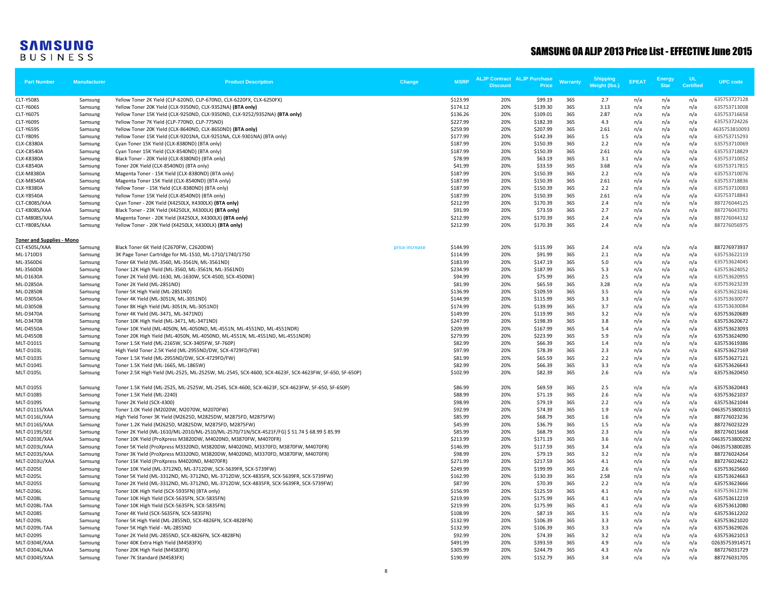| <b>Part Number</b>               | <b>Manufacturer</b> | <b>Product Description</b>                                                                           | Change         | <b>MSRP</b> | <b>ALJP Contract ALJP Purchase</b><br><b>Discount</b> | Price    | Warranty | <b>Shipping</b><br>Weight (lbs.) | <b>EPEAT</b> | Energy<br><b>Star</b> | UL<br><b>Certified</b> | <b>UPC</b> code |
|----------------------------------|---------------------|------------------------------------------------------------------------------------------------------|----------------|-------------|-------------------------------------------------------|----------|----------|----------------------------------|--------------|-----------------------|------------------------|-----------------|
| <b>CLT-Y508S</b>                 | Samsung             | Yellow Toner 2K Yield (CLP-620ND, CLP-670ND, CLX-6220FX, CLX-6250FX)                                 |                | \$123.99    | 20%                                                   | \$99.19  | 365      | 2.7                              | n/a          | n/a                   | n/a                    | 635753727128    |
| <b>CLT-Y606S</b>                 | Samsung             | Yellow Toner 20K Yield (CLX-9350ND, CLX-9352NA) (BTA only)                                           |                | \$174.12    | 20%                                                   | \$139.30 | 365      | 3.13                             | n/a          | n/a                   | n/a                    | 635753713008    |
| CLT-Y607S                        | Samsung             | Yellow Toner 15K Yield (CLX-9250ND, CLX-9350ND, CLX-9252/9352NA) (BTA only)                          |                | \$136.26    | 20%                                                   | \$109.01 | 365      | 2.87                             | n/a          | n/a                   | n/a                    | 635753716658    |
| <b>CLT-Y609S</b>                 | Samsung             | Yellow Toner 7K Yield (CLP-770ND, CLP-775ND)                                                         |                | \$227.99    | 20%                                                   | \$182.39 | 365      | 4.3                              | n/a          | n/a                   | n/a                    | 635753724226    |
| <b>CLT-Y659S</b>                 | Samsung             | Yellow Toner 20K Yield (CLX-8640ND, CLX-8650ND) (BTA only)                                           |                | \$259.99    | 20%                                                   | \$207.99 | 365      | 2.61                             | n/a          | n/a                   | n/a                    | 463575381009    |
| <b>CLT-Y809S</b>                 | Samsung             | Yellow Toner 15K Yield (CLX-9201NA, CLX-9251NA, CLX-9301NA) (BTA only)                               |                | \$177.99    | 20%                                                   | \$142.39 | 365      | 1.5                              | n/a          | n/a                   | n/a                    | 635753715293    |
| <b>CLX-C8380A</b>                | Samsung             | Cyan Toner 15K Yield (CLX-8380ND) (BTA only)                                                         |                | \$187.99    | 20%                                                   | \$150.39 | 365      | 2.2                              | n/a          | n/a                   | n/a                    | 635753710069    |
| <b>CLX-C8540A</b>                | Samsung             | Cyan Toner 15K Yield (CLX-8540ND) (BTA only)                                                         |                | \$187.99    | 20%                                                   | \$150.39 | 365      | 2.61                             | n/a          | n/a                   | n/a                    | 635753718829    |
| <b>CLX-K8380A</b>                | Samsung             | Black Toner - 20K Yield (CLX-8380ND) (BTA only)                                                      |                | \$78.99     | 20%                                                   | \$63.19  | 365      | 3.1                              | n/a          | n/a                   | n/a                    | 635753710052    |
| <b>CLX-K8540A</b>                | Samsung             | Toner 20K Yield (CLX-8540ND) (BTA only)                                                              |                | \$41.99     | 20%                                                   | \$33.59  | 365      | 3.68                             | n/a          | n/a                   | n/a                    | 635753717815    |
| <b>CLX-M8380A</b>                | Samsung             | Magenta Toner - 15K Yield (CLX-8380ND) (BTA only)                                                    |                | \$187.99    | 20%                                                   | \$150.39 | 365      | 2.2                              | n/a          | n/a                   | n/a                    | 635753710076    |
| <b>CLX-M8540A</b>                | Samsung             | Magenta Toner 15K Yield (CLX-8540ND) (BTA only)                                                      |                | \$187.99    | 20%                                                   | \$150.39 | 365      | 2.61                             | n/a          | n/a                   | n/a                    | 635753718836    |
| <b>CLX-Y8380A</b>                | Samsung             | Yellow Toner - 15K Yield (CLX-8380ND) (BTA only)                                                     |                | \$187.99    | 20%                                                   | \$150.39 | 365      | 2.2                              | n/a          | n/a                   | n/a                    | 635753710083    |
| <b>CLX-Y8540A</b>                | Samsung             | Yellow Toner 15K Yield (CLX-8540ND) (BTA only)                                                       |                | \$187.99    | 20%                                                   | \$150.39 | 365      | 2.61                             | n/a          | n/a                   | n/a                    | 635753718843    |
| CLT-C808S/XAA                    | Samsung             | Cyan Toner - 20K Yield (X4250LX, X4300LX) (BTA only)                                                 |                | \$212.99    | 20%                                                   | \$170.39 | 365      | 2.4                              | n/a          | n/a                   | n/a                    | 887276044125    |
| CLT-K808S/XAA                    | Samsung             | Black Toner - 23K Yield (X4250LX, X4300LX) (BTA only)                                                |                | \$91.99     | 20%                                                   | \$73.59  | 365      | 2.7                              | n/a          | n/a                   | n/a                    | 887276043791    |
| CLT-M808S/XAA                    | Samsung             | Magenta Toner - 20K Yield (X4250LX, X4300LX) (BTA only)                                              |                | \$212.99    | 20%                                                   | \$170.39 | 365      | 2.4                              | n/a          | n/a                   | n/a                    | 887276044132    |
| CLT-Y808S/XAA                    | Samsung             | Yellow Toner - 20K Yield (X4250LX, X4300LX) (BTA only)                                               |                | \$212.99    | 20%                                                   | \$170.39 | 365      | 2.4                              | n/a          | n/a                   | n/a                    | 887276056975    |
| <b>Toner and Supplies - Mono</b> |                     |                                                                                                      |                |             |                                                       |          |          |                                  |              |                       |                        |                 |
| CLT-K505L/XAA                    | Samsung             | Black Toner 6K Yield (C2670FW, C2620DW)                                                              | price increase | \$144.99    | 20%                                                   | \$115.99 | 365      | 2.4                              | n/a          | n/a                   | n/a                    | 887276973937    |
| ML-1710D3                        | Samsung             | 3K Page Toner Cartridge for ML-1510, ML-1710/1740/1750                                               |                | \$114.99    | 20%                                                   | \$91.99  | 365      | 2.1                              | n/a          | n/a                   | n/a                    | 635753622119    |
| ML-3560D6                        | Samsung             | Toner 6K Yield (ML-3560, ML-3561N, ML-3561ND)                                                        |                | \$183.99    | 20%                                                   | \$147.19 | 365      | 5.0                              | n/a          | n/a                   | n/a                    | 635753624045    |
| ML-3560DB                        | Samsung             | Toner 12K High Yield (ML-3560, ML-3561N, ML-3561ND)                                                  |                | \$234.99    | 20%                                                   | \$187.99 | 365      | 5.3                              | n/a          | n/a                   | n/a                    | 635753624052    |
| ML-D1630A                        | Samsung             | Toner 2K Yield (ML-1630, ML-1630W, SCX-4500, SCX-4500W)                                              |                | \$94.99     | 20%                                                   | \$75.99  | 365      | 2.5                              | n/a          | n/a                   | n/a                    | 635753620955    |
| <b>ML-D2850A</b>                 | Samsung             | Toner 2K Yield (ML-2851ND)                                                                           |                | \$81.99     | 20%                                                   | \$65.59  | 365      | 3.28                             | n/a          | n/a                   | n/a                    | 635753623239    |
| ML-D2850B                        | Samsung             | Toner 5K High Yield (ML-2851ND)                                                                      |                | \$136.99    | 20%                                                   | \$109.59 | 365      | 3.5                              | n/a          | n/a                   | n/a                    | 635753623246    |
| ML-D3050A                        | Samsung             | Toner 4K Yield (ML-3051N, ML-3051ND)                                                                 |                | \$144.99    | 20%                                                   | \$115.99 | 365      | 3.3                              | n/a          | n/a                   | n/a                    | 635753630077    |
| ML-D3050B                        | Samsung             | Toner 8K High Yield (ML-3051N, ML-3051ND)                                                            |                | \$174.99    | 20%                                                   | \$139.99 | 365      | 3.7                              | n/a          | n/a                   | n/a                    | 635753630084    |
| ML-D3470A                        | Samsung             | Toner 4K Yield (ML-3471, ML-3471ND)                                                                  |                | \$149.99    | 20%                                                   | \$119.99 | 365      | 3.2                              | n/a          | n/a                   | n/a                    | 635753620689    |
| ML-D3470B                        | Samsung             | Toner 10K High Yield (ML-3471, ML-3471ND)                                                            |                | \$247.99    | 20%                                                   | \$198.39 | 365      | 3.8                              | n/a          | n/a                   | n/a                    | 635753620672    |
| <b>ML-D4550A</b>                 | Samsung             | Toner 10K Yield (ML-4050N, ML-4050ND, ML-4551N, ML-4551ND, ML-4551NDR)                               |                | \$209.99    | 20%                                                   | \$167.99 | 365      | 5.4                              | n/a          | n/a                   | n/a                    | 635753623093    |
| <b>ML-D4550B</b>                 | Samsung             | Toner 20K High Yield (ML-4050N, ML-4050ND, ML-4551N, ML-4551ND, ML-4551NDR)                          |                | \$279.99    | 20%                                                   | \$223.99 | 365      | 5.9                              | n/a          | n/a                   | n/a                    | 635753624090    |
| <b>MLT-D101S</b>                 | Samsung             | Toner 1.5K Yield (ML-2165W, SCX-3405FW, SF-760P)                                                     |                | \$82.99     | 20%                                                   | \$66.39  | 365      | 1.4                              | n/a          | n/a                   | n/a                    | 635753619386    |
| MLT-D103L                        | Samsung             | High Yield Toner 2.5K Yield (ML-2955ND/DW, SCX-4729FD/FW)                                            |                | \$97.99     | 20%                                                   | \$78.39  | 365      | 2.3                              | n/a          | n/a                   | n/a                    | 635753627169    |
| <b>MLT-D103S</b>                 | Samsung             | Toner 1.5K Yield (ML-2955ND/DW, SCX-4729FD/FW)                                                       |                | \$81.99     | 20%                                                   | \$65.59  | 365      | 2.2                              | n/a          | n/a                   | n/a                    | 635753627121    |
| <b>MLT-D104S</b>                 | Samsung             | Toner 1.5K Yield (ML-1665, ML-1865W)                                                                 |                | \$82.99     | 20%                                                   | \$66.39  | 365      | 3.3                              | n/a          | n/a                   | n/a                    | 635753626643    |
| MLT-D105L                        | Samsung             | Toner 2.5K High Yield (ML-2525, ML-2525W, ML-2545, SCX-4600, SCX-4623F, SCX-4623FW, SF-650, SF-650P) |                | \$102.99    | 20%                                                   | \$82.39  | 365      | 2.6                              | n/a          | n/a                   | n/a                    | 635753620450    |
| <b>MLT-D105S</b>                 | Samsung             | Toner 1.5K Yield (ML-2525, ML-2525W, ML-2545, SCX-4600, SCX-4623F, SCX-4623FW, SF-650, SF-650P)      |                | \$86.99     | 20%                                                   | \$69.59  | 365      | 2.5                              | n/a          | n/a                   | n/a                    | 635753620443    |
| <b>MLT-D108S</b>                 | Samsung             | Toner 1.5K Yield (ML-2240)                                                                           |                | \$88.99     | 20%                                                   | \$71.19  | 365      | 2.6                              | n/a          | n/a                   | n/a                    | 635753621037    |
| <b>MLT-D109S</b>                 | Samsung             | Toner 2K Yield (SCX-4300)                                                                            |                | \$98.99     | 20%                                                   | \$79.19  | 365      | 2.2                              | n/a          | n/a                   | n/a                    | 635753621044    |
| MLT-D111S/XAA                    | Samsung             | Toner 1.0K Yield (M2020W, M2070W, M2070FW)                                                           |                | \$92.99     | 20%                                                   | \$74.39  | 365      | 1.9                              | n/a          | n/a                   | n/a                    | 0463575380031   |
| MLT-D116L/XAA                    | Samsung             | High Yield Toner 3K Yield (M2625D, M2825DW, M2875FD, M2875FW)                                        |                | \$85.99     | 20%                                                   | \$68.79  | 365      | 1.6                              | n/a          | n/a                   | n/a                    | 887276023236    |
| MLT-D116S/XAA                    | Samsung             | Toner 1.2K Yield (M2625D, M2825DW, M2875FD, M2875FW)                                                 |                | \$45.99     | 20%                                                   | \$36.79  | 365      | 1.5                              | n/a          | n/a                   | n/a                    | 887276023229    |
| MLT-D119S/SEE                    | Samsung             | Toner 2K Yield (ML-1610/ML-2010/ML-2510/ML-2570/71N/SCX-4521F/FG) \$ 51.74 \$ 68.99 \$ 85.99         |                | \$85.99     | 20%                                                   | \$68.79  | 365      | 2.3                              | n/a          | n/a                   | n/a                    | 887276015668    |
| MLT-D203E/XAA                    | Samsung             | Toner 10K Yield (ProXpress M3820DW, M4020ND, M3870FW, M4070FR)                                       |                | \$213.99    | 20%                                                   | \$171.19 | 365      | 3.6                              | n/a          | n/a                   | n/a                    | 04635753800292  |
| MLT-D203L/XAA                    | Samsung             | Toner 5K Yield (ProXpress M3320ND, M3820DW, M4020ND, M3370FD, M3870FW, M4070FR)                      |                | \$146.99    | 20%                                                   | \$117.59 | 365      | 3.4                              | n/a          | n/a                   | n/a                    | 04635753800285  |
| MLT-D203S/XAA                    | Samsung             | Toner 3K Yield (ProXpress M3320ND, M3820DW, M4020ND, M3370FD, M3870FW, M4070FR)                      |                | \$98.99     | 20%                                                   | \$79.19  | 365      | 3.2                              | n/a          | n/a                   | n/a                    | 887276024264    |
| MLT-D203U/XAA                    | Samsung             | Toner 15K Yield (ProXpress M4020ND, M4070FR)                                                         |                | \$271.99    | 20%                                                   | \$217.59 | 365      | 4.1                              | n/a          | n/a                   | n/a                    | 887276024622    |
| MLT-D205E                        | Samsung             | Toner 10K Yield (ML-3712ND, ML-3712DW, SCX-5639FR, SCX-5739FW)                                       |                | \$249.99    | 20%                                                   | \$199.99 | 365      | 2.6                              | n/a          | n/a                   | n/a                    | 635753625660    |
| MLT-D205L                        | Samsung             | Toner 5K Yield (ML-3312ND, ML-3712ND, ML-3712DW, SCX-4835FR, SCX-5639FR, SCX-5739FW)                 |                | \$162.99    | 20%                                                   | \$130.39 | 365      | 2.58                             | n/a          | n/a                   | n/a                    | 635753624663    |
| <b>MLT-D205S</b>                 | Samsung             | Toner 2K Yield (ML-3312ND, ML-3712ND, ML-3712DW, SCX-4835FR, SCX-5639FR, SCX-5739FW)                 |                | \$87.99     | 20%                                                   | \$70.39  | 365      | 2.2                              | n/a          | n/a                   | n/a                    | 635753623666    |
| MLT-D206L                        | Samsung             | Toner 10K High Yield (SCX-5935FN) (BTA only)                                                         |                | \$156.99    | 20%                                                   | \$125.59 | 365      | 4.1                              | n/a          | n/a                   | n/a                    | 635753612196    |
| MLT-D208L                        | Samsung             | Toner 10K High Yield (SCX-5635FN, SCX-5835FN)                                                        |                | \$219.99    | 20%                                                   | \$175.99 | 365      | 4.1                              | n/a          | n/a                   | n/a                    | 635753612219    |
| MLT-D208L-TAA                    | Samsung             | Toner 10K High Yield (SCX-5635FN, SCX-5835FN)                                                        |                | \$219.99    | 20%                                                   | \$175.99 | 365      | 4.1                              | n/a          | n/a                   | n/a                    | 635753612080    |
| <b>MLT-D208S</b>                 | Samsung             | Toner 4K Yield (SCX-5635FN, SCX-5835FN)                                                              |                | \$108.99    | 20%                                                   | \$87.19  | 365      | 3.5                              | n/a          | n/a                   | n/a                    | 635753612202    |
| MLT-D209L                        | Samsung             | Toner 5K High Yield (ML-2855ND, SCX-4826FN, SCX-4828FN)                                              |                | \$132.99    | 20%                                                   | \$106.39 | 365      | 3.3                              | n/a          | n/a                   | n/a                    | 635753621020    |
| MLT-D209L-TAA                    | Samsung             | Toner 5K High Yield - ML-2855ND                                                                      |                | \$132.99    | 20%                                                   | \$106.39 | 365      | 3.3                              | n/a          | n/a                   | n/a                    | 635753629026    |
| <b>MLT-D209S</b>                 | Samsung             | Toner 2K Yield (ML-2855ND, SCX-4826FN, SCX-4828FN)                                                   |                | \$92.99     | 20%                                                   | \$74.39  | 365      | 3.2                              | n/a          | n/a                   | n/a                    | 635753621013    |
| MLT-D304E/XAA                    | Samsung             | Toner 40K Extra High Yield (M4583FX)                                                                 |                | \$491.99    | 20%                                                   | \$393.59 | 365      | 4.9                              | n/a          | n/a                   | n/a                    | 0263575391457   |
| MLT-D304L/XAA                    | Samsung             | Toner 20K High Yield (M4583FX)                                                                       |                | \$305.99    | 20%                                                   | \$244.79 | 365      | 4.3                              | n/a          | n/a                   | n/a                    | 887276031729    |
| MLT-D304S/XAA                    | Samsung             | Toner 7K Standard (M4583FX)                                                                          |                | \$190.99    | 20%                                                   | \$152.79 | 365      | 3.4                              | n/a          | n/a                   | n/a                    | 887276031705    |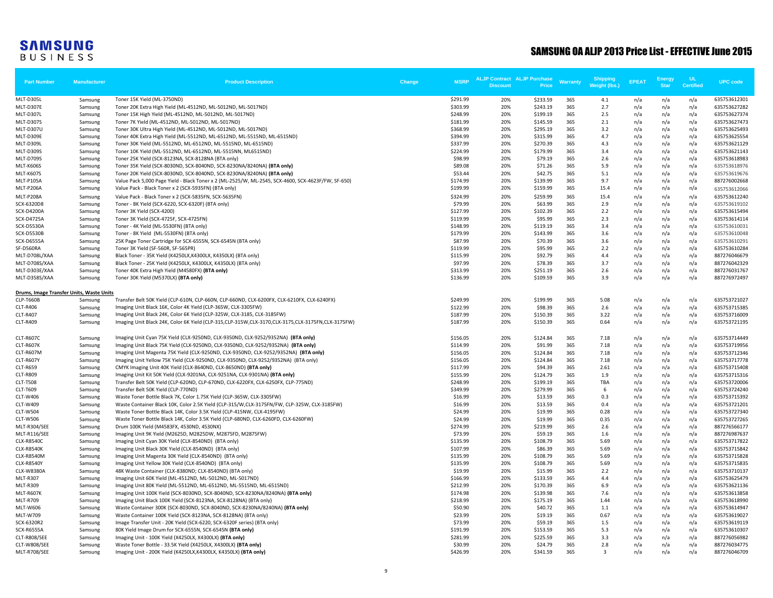| <b>Part Number</b>                       | <b>Manufacturer</b> | <b>Product Description</b>                                                                                                                                                   | Change | <b>MSRP</b>          | <b>ALJP Contract ALJP Purchase</b><br><b>Discount</b> | Price               | Warranty   | Shipping<br>Weight (lbs.) | <b>EPEAT</b> | <b>Energy</b><br><b>Star</b> | <b>UL</b><br><b>Certified</b> | <b>UPC</b> code              |
|------------------------------------------|---------------------|------------------------------------------------------------------------------------------------------------------------------------------------------------------------------|--------|----------------------|-------------------------------------------------------|---------------------|------------|---------------------------|--------------|------------------------------|-------------------------------|------------------------------|
| MLT-D305L                                | Samsung             | Toner 15K Yield (ML-3750ND)                                                                                                                                                  |        | \$291.99             | 20%                                                   | \$233.59            | 365        | 4.1                       | n/a          | n/a                          | n/a                           | 635753612301                 |
| MLT-D307E                                | Samsung             | Toner 20K Extra High Yield (ML-4512ND, ML-5012ND, ML-5017ND)                                                                                                                 |        | \$303.99             | 20%                                                   | \$243.19            | 365        | 2.7                       | n/a          | n/a                          | n/a                           | 635753627282                 |
| MLT-D307L                                | Samsung             | Toner 15K High Yield (ML-4512ND, ML-5012ND, ML-5017ND)                                                                                                                       |        | \$248.99             | 20%                                                   | \$199.19            | 365        | 2.5                       | n/a          | n/a                          | n/a                           | 635753627374                 |
| <b>MLT-D307S</b>                         | Samsung             | Toner 7K Yield (ML-4512ND, ML-5012ND, ML-5017ND)                                                                                                                             |        | \$181.99             | 20%                                                   | \$145.59            | 365        | 2.1                       | n/a          | n/a                          | n/a                           | 635753627473                 |
| <b>MLT-D307U</b>                         | Samsung             | Toner 30K Ultra High Yield (ML-4512ND, ML-5012ND, ML-5017ND)                                                                                                                 |        | \$368.99             | 20%                                                   | \$295.19            | 365        | 3.2                       | n/a          | n/a                          | n/a                           | 635753625493                 |
| MLT-D309E                                | Samsung             | Toner 40K Extra High Yield (ML-5512ND, ML-6512ND, ML-5515ND, ML-6515ND)                                                                                                      |        | \$394.99             | 20%                                                   | \$315.99            | 365        | 4.7                       | n/a          | n/a                          | n/a                           | 635753625554                 |
| MLT-D309L                                | Samsung             | Toner 30K Yield (ML-5512ND, ML-6512ND, ML-5515ND, ML-6515ND)                                                                                                                 |        | \$337.99             | 20%                                                   | \$270.39            | 365        | 4.3                       | n/a          | n/a                          | n/a                           | 635753621129                 |
| <b>MLT-D309S</b>                         | Samsung             | Toner 10K Yield (ML-5512ND, ML-6512ND, ML-5515NN, ML6515ND)                                                                                                                  |        | \$224.99             | 20%                                                   | \$179.99            | 365        | 3.4                       | n/a          | n/a                          | n/a                           | 635753621143                 |
| <b>MLT-D709S</b>                         | Samsung             | Toner 25K Yield (SCX-8123NA, SCX-8128NA (BTA only)                                                                                                                           |        | \$98.99              | 20%                                                   | \$79.19             | 365        | 2.6                       | n/a          | n/a                          | n/a                           | 635753618983                 |
| <b>MLT-K606S</b>                         | Samsung             | Toner 35K Yield (SCX-8030ND, SCX-8040ND, SCX-8230NA/8240NA) (BTA only)                                                                                                       |        | \$89.08<br>\$53.44   | 20%<br>20%                                            | \$71.26<br>\$42.75  | 365<br>365 | 5.9<br>5.1                | n/a          | n/a                          | n/a                           | 635753618976                 |
| <b>MLT-K607S</b><br><b>MLT-P105A</b>     | Samsung             | Toner 20K Yield (SCX-8030ND, SCX-8040ND, SCX-8230NA/8240NA) (BTA only)<br>Value Pack 5,000 Page Yield - Black Toner x 2 (ML-2525/W, ML-2545, SCX-4600, SCX-4623F/FW, SF-650) |        | \$174.99             | 20%                                                   | \$139.99            | 365        | 9.7                       | n/a<br>n/a   | n/a<br>n/a                   | n/a<br>n/a                    | 635753619676<br>887276002668 |
| <b>MLT-P206A</b>                         | Samsung<br>Samsung  | Value Pack - Black Toner x 2 (SCX-5935FN) (BTA only)                                                                                                                         |        | \$199.99             | 20%                                                   | \$159.99            | 365        | 15.4                      | n/a          | n/a                          | n/a                           |                              |
| MLT-P208A                                | Samsung             | Value Pack - Black Toner x 2 (SCX-5835FN, SCX-5635FN)                                                                                                                        |        | \$324.99             | 20%                                                   | \$259.99            | 365        | 15.4                      | n/a          | n/a                          | n/a                           | 635753612066<br>635753612240 |
| SCX-6320D8                               |                     | Toner - 8K Yield (SCX-6220, SCX-6320F) (BTA only)                                                                                                                            |        | \$79.99              | 20%                                                   | \$63.99             | 365        | 2.9                       | n/a          | n/a                          | n/a                           | 635753619102                 |
| <b>SCX-D4200A</b>                        | Samsung<br>Samsung  | Toner 3K Yield (SCX-4200)                                                                                                                                                    |        | \$127.99             | 20%                                                   | \$102.39            | 365        | 2.2                       | n/a          | n/a                          | n/a                           | 635753615494                 |
| <b>SCX-D4725A</b>                        | Samsung             | Toner 3K Yield (SCX-4725F, SCX-4725FN)                                                                                                                                       |        | \$119.99             | 20%                                                   | \$95.99             | 365        | 2.3                       | n/a          | n/a                          | n/a                           | 635753614114                 |
| <b>SCX-D5530A</b>                        | Samsung             | Toner - 4K Yield (ML-5530FN) (BTA only)                                                                                                                                      |        | \$148.99             | 20%                                                   | \$119.19            | 365        | 3.4                       | n/a          | n/a                          | n/a                           | 635753610031                 |
| <b>SCX-D5530B</b>                        | Samsung             | Toner - 8K Yield (ML-5530FN) (BTA only)                                                                                                                                      |        | \$179.99             | 20%                                                   | \$143.99            | 365        | 3.6                       | n/a          | n/a                          | n/a                           | 635753610048                 |
| SCX-D6555A                               | Samsung             | 25K Page Toner Cartridge for SCX-6555N, SCX-6545N (BTA only)                                                                                                                 |        | \$87.99              | 20%                                                   | \$70.39             | 365        | 3.6                       | n/a          | n/a                          | n/a                           | 635753610291                 |
| SF-D560RA                                | Samsung             | Toner 3K Yield (SF-560R, SF-565PR)                                                                                                                                           |        | \$119.99             | 20%                                                   | \$95.99             | 365        | 2.2                       | n/a          | n/a                          | n/a                           | 635753610284                 |
| MLT-D708L/XAA                            | Samsung             | Black Toner - 35K Yield (K4250LX,K4300LX, K4350LX) (BTA only)                                                                                                                |        | \$115.99             | 20%                                                   | \$92.79             | 365        | 4.4                       | n/a          | n/a                          | n/a                           | 887276046679                 |
| MLT-D708S/XAA                            | Samsung             | Black Toner - 25K Yield (K4250LX, K4300LX, K4350LX) (BTA only)                                                                                                               |        | \$97.99              | 20%                                                   | \$78.39             | 365        | 3.7                       | n/a          | n/a                          | n/a                           | 887276042329                 |
| MLT-D303E/XAA                            | Samsung             | Toner 40K Extra High Yield (M4580FX) (BTA only)                                                                                                                              |        | \$313.99             | 20%                                                   | \$251.19            | 365        | 2.6                       | n/a          | n/a                          | n/a                           | 887276031767                 |
| MLT-D358S/XAA                            | Samsung             | Toner 30K Yield (M5370LX) (BTA only)                                                                                                                                         |        | \$136.99             | 20%                                                   | \$109.59            | 365        | 3.9                       | n/a          | n/a                          | n/a                           | 887276972497                 |
| Drums, Image Transfer Units, Waste Units |                     |                                                                                                                                                                              |        |                      |                                                       |                     |            |                           |              |                              |                               |                              |
| CLP-T660B                                | Samsung             | Transfer Belt 50K Yield (CLP-610N, CLP-660N, CLP-660ND, CLX-6200FX, CLX-6210FX, CLX-6240FX)                                                                                  |        | \$249.99             | 20%                                                   | \$199.99            | 365        | 5.08                      | n/a          | n/a                          | n/a                           | 635753721027                 |
| <b>CLT-R406</b>                          | Samsung             | Imaging Unit Black 16K, Color 4K Yield (CLP-365W, CLX-3305FW)                                                                                                                |        | \$122.99             | 20%                                                   | \$98.39             | 365        | 2.6                       | n/a          | n/a                          | n/a                           | 635753715385                 |
| <b>CLT-R407</b>                          | Samsung             | Imaging Unit Black 24K, Color 6K Yield (CLP-325W, CLX-3185, CLX-3185FW)                                                                                                      |        | \$187.99             | 20%                                                   | \$150.39            | 365        | 3.22                      | n/a          | n/a                          | n/a                           | 635753716009                 |
| <b>CLT-R409</b>                          | Samsung             | Imaging Unit Black 24K, Color 6K Yield (CLP-315, CLP-315W, CLX-3170, CLX-3175, CLX-3175FN, CLX-3175FW)                                                                       |        | \$187.99             | 20%                                                   | \$150.39            | 365        | 0.64                      | n/a          | n/a                          | n/a                           | 635753721195                 |
| <b>CLT-R607C</b>                         | Samsung             | Imaging Unit Cyan 75K Yield (CLX-9250ND, CLX-9350ND, CLX-9252/9352NA) (BTA only)                                                                                             |        | \$156.05             | 20%                                                   | \$124.84            | 365        | 7.18                      | n/a          | n/a                          | n/a                           | 635753714449                 |
| CLT-R607K                                | Samsung             | Imaging Unit Black 75K Yield (CLX-9250ND, CLX-9350ND, CLX-9252/9352NA) (BTA only)                                                                                            |        | \$114.99             | 20%                                                   | \$91.99             | 365        | 7.18                      | n/a          | n/a                          | n/a                           | 635753719956                 |
| CLT-R607M                                | Samsung             | Imaging Unit Magenta 75K Yield (CLX-9250ND, CLX-9350ND, CLX-9252/9352NA) (BTA only)                                                                                          |        | \$156.05             | 20%                                                   | \$124.84            | 365        | 7.18                      | n/a          | n/a                          | n/a                           | 635753712346                 |
| <b>CLT-R607Y</b>                         | Samsung             | Imaging Unit Yellow 75K Yield (CLX-9250ND, CLX-9350ND, CLX-9252/9352NA) (BTA only)                                                                                           |        | \$156.05             | 20%                                                   | \$124.84            | 365        | 7.18                      | n/a          | n/a                          | n/a                           | 635753717778                 |
| <b>CLT-R659</b>                          | Samsung             | CMYK Imaging Unit 40K Yield (CLX-8640ND, CLX-8650ND) (BTA only)                                                                                                              |        | \$117.99             | 20%                                                   | \$94.39             | 365        | 2.61                      | n/a          | n/a                          | n/a                           | 635753715408                 |
| <b>CLT-R809</b>                          | Samsung             | Imaging Unit Kit 50K Yield (CLX-9201NA, CLX-9251NA, CLX-9301NA) (BTA only)                                                                                                   |        | \$155.99             | 20%                                                   | \$124.79            | 365        | 1.9                       | n/a          | n/a                          | n/a                           | 635753715316                 |
| <b>CLT-T508</b>                          | Samsung             | Transfer Belt 50K Yield (CLP-620ND, CLP-670ND, CLX-6220FX, CLX-6250FX, CLP-775ND)                                                                                            |        | \$248.99             | 20%                                                   | \$199.19            | 365        | <b>TBA</b>                | n/a          | n/a                          | n/a                           | 635753720006                 |
| CLT-T609                                 | Samsung             | Transfer Belt 50K Yield (CLP-770ND)                                                                                                                                          |        | \$349.99             | 20%                                                   | \$279.99            | 365        | 6                         | n/a          | n/a                          | n/a                           | 635753724240                 |
| CLT-W406                                 | Samsung             | Waste Toner Bottle Black 7K, Color 1.75K Yield (CLP-365W, CLX-3305FW)                                                                                                        |        | \$16.99              | 20%                                                   | \$13.59             | 365        | 0.3                       | n/a          | n/a                          | n/a                           | 635753715392                 |
| CLT-W409                                 | Samsung             | Waste Container Black 10K, Color 2.5K Yield (CLP-315/W,CLX-3175FN/FW, CLP-325W, CLX-3185FW)                                                                                  |        | \$16.99              | 20%                                                   | \$13.59             | 365        | 0.4                       | n/a          | n/a                          | n/a                           | 635753721201                 |
| <b>CLT-W504</b>                          | Samsung             | Waste Toner Bottle Black 14K, Color 3.5K Yield (CLP-415NW, CLX-4195FW)                                                                                                       |        | \$24.99              | 20%                                                   | \$19.99             | 365        | 0.28                      | n/a          | n/a                          | n/a                           | 635753727340                 |
| <b>CLT-W506</b>                          | Samsung             | Waste Toner Bottle Black 14K, Color 3.5K Yield (CLP-680ND, CLX-6260FD, CLX-6260FW)                                                                                           |        | \$24.99              | 20%                                                   | \$19.99             | 365        | 0.35                      | n/a          | n/a                          | n/a                           | 635753727265                 |
| MLT-R304/SEE                             | Samsung             | Drum 100K Yield (M4583FX, 4530ND, 4530NX)                                                                                                                                    |        | \$274.99             | 20%                                                   | \$219.99            | 365        | 2.6                       | n/a          | n/a                          | n/a                           | 887276566177                 |
| MLT-R116/SEE                             | Samsung             | Imaging Unit 9K Yield (M2625D, M2825DW, M2875FD, M2875FW)                                                                                                                    |        | \$73.99              | 20%                                                   | \$59.19             | 365        | 1.6                       | n/a          | n/a                          | n/a                           | 887276987637                 |
| <b>CLX-R8540C</b><br><b>CLX-R8540K</b>   | Samsung             | Imaging Unit Cyan 30K Yield (CLX-8540ND) (BTA only)<br>Imaging Unit Black 30K Yield (CLX-8540ND) (BTA only)                                                                  |        | \$135.99<br>\$107.99 | 20%<br>20%                                            | \$108.79<br>\$86.39 | 365<br>365 | 5.69<br>5.69              | n/a<br>n/a   | n/a<br>n/a                   | n/a<br>n/a                    | 635753717822<br>635753715842 |
| <b>CLX-R8540M</b>                        | Samsung<br>Samsung  | Imaging Unit Magenta 30K Yield (CLX-8540ND) (BTA only)                                                                                                                       |        | \$135.99             | 20%                                                   | \$108.79            | 365        | 5.69                      | n/a          | n/a                          | n/a                           | 635753715828                 |
| <b>CLX-R8540Y</b>                        | Samsung             | Imaging Unit Yellow 30K Yield (CLX-8540ND) (BTA only)                                                                                                                        |        | \$135.99             | 20%                                                   | \$108.79            | 365        | 5.69                      | n/a          | n/a                          | n/a                           | 635753715835                 |
| <b>CLX-W8380A</b>                        | Samsung             | 48K Waste Container (CLX-8380ND; CLX-8540ND) (BTA only)                                                                                                                      |        | \$19.99              | 20%                                                   | \$15.99             | 365        | 2.2                       | n/a          | n/a                          | n/a                           | 635753710137                 |
| <b>MLT-R307</b>                          | Samsung             | Imaging Unit 60K Yield (ML-4512ND, ML-5012ND, ML-5017ND)                                                                                                                     |        | \$166.99             | 20%                                                   | \$133.59            | 365        | 4.4                       | n/a          | n/a                          | n/a                           | 635753625479                 |
| <b>MLT-R309</b>                          | Samsung             | Imaging Unit 80K Yield (ML-5512ND, ML-6512ND, ML-5515ND, ML-6515ND)                                                                                                          |        | \$212.99             | 20%                                                   | \$170.39            | 365        | 6.9                       | n/a          | n/a                          | n/a                           | 635753621136                 |
| MLT-R607K                                | Samsung             | Imaging Unit 100K Yield (SCX-8030ND, SCX-8040ND, SCX-8230NA/8240NA) (BTA only)                                                                                               |        | \$174.98             | 20%                                                   | \$139.98            | 365        | 7.6                       | n/a          | n/a                          | n/a                           | 635753613858                 |
| <b>MLT-R709</b>                          | Samsung             | Imaging Unit Black 100K Yield (SCX-8123NA, SCX-8128NA) (BTA only)                                                                                                            |        | \$218.99             | 20%                                                   | \$175.19            | 365        | 1.44                      | n/a          | n/a                          | n/a                           | 635753618990                 |
| <b>MLT-W606</b>                          | Samsung             | Waste Container 300K (SCX-8030ND, SCX-8040ND, SCX-8230NA/8240NA) (BTA only)                                                                                                  |        | \$50.90              | 20%                                                   | \$40.72             | 365        | 1.1                       | n/a          | n/a                          | n/a                           | 635753614947                 |
| <b>MLT-W709</b>                          | Samsung             | Waste Container 100K Yield (SCX-8123NA, SCX-8128NA) (BTA only)                                                                                                               |        | \$23.99              | 20%                                                   | \$19.19             | 365        | 0.67                      | n/a          | n/a                          | n/a                           | 635753619027                 |
| SCX-6320R2                               | Samsung             | Image Transfer Unit - 20K Yield (SCX-6220, SCX-6320F series) (BTA only)                                                                                                      |        | \$73.99              | 20%                                                   | \$59.19             | 365        | 1.5                       | n/a          | n/a                          | n/a                           | 635753619119                 |
| <b>SCX-R6555A</b>                        | Samsung             | 80K Yield Image Drum for SCX-6555N, SCX-6545N (BTA only)                                                                                                                     |        | \$191.99             | 20%                                                   | \$153.59            | 365        | 5.3                       | n/a          | n/a                          | n/a                           | 635753610307                 |
| CLT-R808/SEE                             | Samsung             | Imaging Unit - 100K Yield (X4250LX, X4300LX) (BTA only)                                                                                                                      |        | \$281.99             | 20%                                                   | \$225.59            | 365        | 3.3                       | n/a          | n/a                          | n/a                           | 887276056982                 |
| CLT-W808/SEE                             | Samsung             | Waste Toner Bottle - 33.5K Yield (X4250LX, X4300LX) (BTA only)                                                                                                               |        | \$30.99              | 20%                                                   | \$24.79             | 365        | 2.8                       | n/a          | n/a                          | n/a                           | 887276034775                 |
| MLT-R708/SEE                             | Samsung             | Imaging Unit - 200K Yield (K4250LX, K4300LX, K4350LX) (BTA only)                                                                                                             |        | \$426.99             | 20%                                                   | \$341.59            | 365        | 3                         | n/a          | n/a                          | n/a                           | 887276046709                 |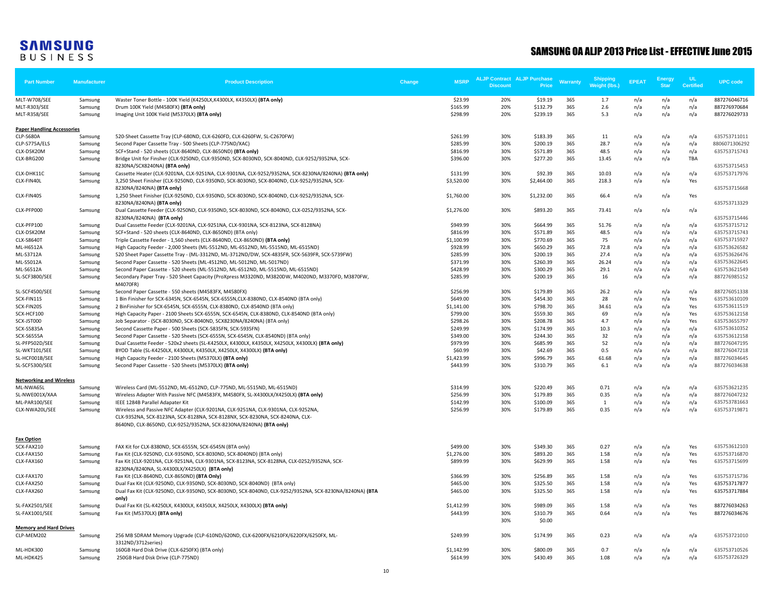| <b>Part Number</b>                | <b>Manufacturer</b> | <b>Product Description</b>                                                                                                                  | Change | <b>MSRP</b> | <b>ALJP Contract ALJP Purchase</b><br><b>Discount</b> | Price              | Warranty | Shipping<br>Weight (lbs.) | <b>EPEAT</b> | Energy<br><b>Star</b> | - UL<br><b>Certified</b> | <b>UPC</b> code |
|-----------------------------------|---------------------|---------------------------------------------------------------------------------------------------------------------------------------------|--------|-------------|-------------------------------------------------------|--------------------|----------|---------------------------|--------------|-----------------------|--------------------------|-----------------|
| MLT-W708/SEE                      | Samsung             | Waster Toner Bottle - 100K Yield (K4250LX, K4300LX, K4350LX) (BTA only)                                                                     |        | \$23.99     | 20%                                                   | \$19.19            | 365      | 1.7                       | n/a          | n/a                   | n/a                      | 887276046716    |
| MLT-R303/SEE                      | Samsung             | Drum 100K Yield (M4580FX) (BTA only)                                                                                                        |        | \$165.99    | 20%                                                   | \$132.79           | 365      | 2.6                       | n/a          | n/a                   | n/a                      | 887276970684    |
| MLT-R358/SEE                      | Samsung             | Imaging Unit 100K Yield (M5370LX) (BTA only)                                                                                                |        | \$298.99    | 20%                                                   | \$239.19           | 365      | 5.3                       | n/a          | n/a                   | n/a                      | 887276029733    |
| <b>Paper Handling Accessories</b> |                     |                                                                                                                                             |        |             |                                                       |                    |          |                           |              |                       |                          |                 |
| CLP-S680A                         | Samsung             | 520-Sheet Cassette Tray (CLP-680ND, CLX-6260FD, CLX-6260FW, SL-C2670FW)                                                                     |        | \$261.99    | 30%                                                   | \$183.39           | 365      | 11                        | n/a          | n/a                   | n/a                      | 635753711011    |
| CLP-S775A/ELS                     | Samsung             | Second Paper Cassette Tray - 500 Sheets (CLP-775ND/XAC)                                                                                     |        | \$285.99    | 30%                                                   | \$200.19           | 365      | 28.7                      | n/a          | n/a                   | n/a                      | 8806071306292   |
| CLX-DSK20M                        | Samsung             | SCF+Stand - 520 sheets (CLX-8640ND, CLX-8650ND) (BTA only)                                                                                  |        | \$816.99    | 30%                                                   | \$571.89           | 365      | 48.5                      | n/a          | n/a                   | n/a                      | 635753715743    |
| CLX-BRG200                        | Samsung             | Bridge Unit for Finsher (CLX-9250ND, CLX-9350ND, SCX-8030ND, SCX-8040ND, CLX-9252/9352NA, SCX-<br>8230NA/SCX8240NA) (BTA only)              |        | \$396.00    | 30%                                                   | \$277.20           | 365      | 13.45                     | n/a          | n/a                   | TBA                      | 635753715453    |
| CLX-DHK11C                        | Samsung             | Cassette Heater (CLX-9201NA, CLX-9251NA, CLX-9301NA, CLX-9252/9352NA, SCX-8230NA/8240NA) (BTA only)                                         |        | \$131.99    | 30%                                                   | \$92.39            | 365      | 10.03                     | n/a          | n/a                   | n/a                      | 635753717976    |
| CLX-FIN40L                        | Samsung             | 3,250 Sheet Finisher (CLX-9250ND, CLX-9350ND, SCX-8030ND, SCX-8040ND, CLX-9252/9352NA, SCX-<br>8230NA/8240NA) (BTA only)                    |        | \$3,520.00  | 30%                                                   | \$2,464.00         | 365      | 218.3                     | n/a          | n/a                   | Yes                      | 635753715668    |
| CLX-FIN40S                        | Samsung             | 1,250 Sheet Finisher (CLX-9250ND, CLX-9350ND, SCX-8030ND, SCX-8040ND, CLX-9252/9352NA, SCX-<br>8230NA/8240NA) (BTA only)                    |        | \$1,760.00  | 30%                                                   | \$1,232.00         | 365      | 66.4                      | n/a          | n/a                   | Yes                      | 635753713329    |
| CLX-PFP000                        | Samsung             | Dual Cassette Feeder (CLX-9250ND, CLX-9350ND, SCX-8030ND, SCX-8040ND, CLX-0252/9352NA, SCX-<br>8230NA/8240NA) (BTA only)                    |        | \$1,276.00  | 30%                                                   | \$893.20           | 365      | 73.41                     | n/a          | n/a                   | n/a                      | 635753715446    |
| CLX-PFP100                        | Samsung             | Dual Cassette Feeder (CLX-9201NA, CLX-9251NA, CLX-9301NA, SCX-8123NA, SCX-8128NA)                                                           |        | \$949.99    | 30%                                                   | \$664.99           | 365      | 51.76                     | n/a          | n/a                   | n/a                      | 635753715712    |
| CLX-DSK20M                        | Samsung             | SCF+Stand - 520 sheets (CLX-8640ND, CLX-8650ND) (BTA only)                                                                                  |        | \$816.99    | 30%                                                   | \$571.89           | 365      | 48.5                      | n/a          | n/a                   | n/a                      | 635753715743    |
| <b>CLX-S8640T</b>                 | Samsung             | Triple Cassette Feeder - 1,560 sheets (CLX-8640ND, CLX-8650ND) (BTA only)                                                                   |        | \$1,100.99  | 30%                                                   | \$770.69           | 365      | 75                        | n/a          | n/a                   | n/a                      | 635753715927    |
| ML-H6512A                         | Samsung             | High Capacity Feeder - 2,000 Sheets (ML-5512ND, ML-6512ND, ML-5515ND, ML-6515ND)                                                            |        | \$928.99    | 30%                                                   | \$650.29           | 365      | 72.8                      | n/a          | n/a                   | n/a                      | 635753626582    |
| ML-S3712A                         | Samsung             | 520 Sheet Paper Cassette Tray - (ML-3312ND, ML-3712ND/DW, SCX-4835FR, SCX-5639FR, SCX-5739FW)                                               |        | \$285.99    | 30%                                                   | \$200.19           | 365      | 27.4                      | n/a          | n/a                   | n/a                      | 635753626476    |
| ML-S5012A                         | Samsung             | Second Paper Cassette - 520 Sheets (ML-4512ND, ML-5012ND, ML-5017ND)                                                                        |        | \$371.99    | 30%                                                   | \$260.39           | 365      | 26.24                     | n/a          | n/a                   | n/a                      | 635753622645    |
| <b>ML-S6512A</b>                  | Samsung             | Second Paper Cassette - 520 sheets (ML-5512ND, ML-6512ND, ML-5515ND, ML-6515ND)                                                             |        | \$428.99    | 30%                                                   | \$300.29           | 365      | 29.1                      | n/a          | n/a                   | n/a                      | 635753621549    |
| <b>SL-SCF3800/SEE</b>             | Samsung             | Secondary Paper Tray - 520 Sheet Capacity (ProXpress M3320ND, M3820DW, M4020ND, M3370FD, M3870FW,<br>M4070FR)                               |        | \$285.99    | 30%                                                   | \$200.19           | 365      | 16                        | n/a          | n/a                   | n/a                      | 887276985152    |
| SL-SCF4500/SEE                    | Samsung             | Second Paper Cassette - 550 sheets (M4583FX, M4580FX)                                                                                       |        | \$256.99    | 30%                                                   | \$179.89           | 365      | 26.2                      | n/a          | n/a                   | n/a                      | 887276051338    |
| SCX-FIN11S                        | Samsung             | 1 Bin Finisher for SCX-6345N, SCX-6545N, SCX-6555N, CLX-8380ND, CLX-8540ND (BTA only)                                                       |        | \$649.00    | 30%                                                   | \$454.30           | 365      | 28                        | n/a          | n/a                   | Yes                      | 635753610109    |
| SCX-FIN20S                        | Samsung             | 2 BinFinisher for SCX-6545N, SCX-6555N, CLX-8380ND, CLX-8540ND (BTA only)                                                                   |        | \$1,141.00  | 30%                                                   | \$798.70           | 365      | 34.61                     | n/a          | n/a                   | Yes                      | 635753611519    |
| SCX-HCF100                        | Samsung             | High Capacity Paper - 2100 Sheets SCX-6555N, SCX-6545N, CLX-8380ND, CLX-8540ND (BTA only)                                                   |        | \$799.00    | 30%                                                   | \$559.30           | 365      | 69                        | n/a          | n/a                   | Yes                      | 635753612158    |
| SCX-JST000                        | Samsung             | Job Separator - (SCX-8030ND, SCX-8040ND, SCX8230NA/8240NA) (BTA only)                                                                       |        | \$298.26    | 30%                                                   | \$208.78           | 365      | 4.7                       | n/a          | n/a                   | Yes                      | 635753655797    |
| SCX-S5835A                        | Samsung             | Second Cassette Paper - 500 Sheets (SCX-5835FN, SCX-5935FN)                                                                                 |        | \$249.99    | 30%                                                   | \$174.99           | 365      | 10.3                      | n/a          | n/a                   | n/a                      | 635753610352    |
| <b>SCX-S6555A</b>                 | Samsung             | Second Paper Cassette - 520 Sheets (SCX-6555N, SCX-6545N, CLX-8540ND) (BTA only)                                                            |        | \$349.00    | 30%                                                   | \$244.30           | 365      | 32                        | n/a          | n/a                   | n/a                      | 635753612158    |
| SL-PFP502D/SEE                    | Samsung             | Dual Cassette Feeder - 520x2 sheets (SL-K4250LX, K4300LX, K4350LX, X4250LX, X4300LX) (BTA only)                                             |        | \$979.99    | 30%                                                   | \$685.99           | 365      | 52                        | n/a          | n/a                   | n/a                      | 887276047195    |
| SL-WKT101/SEE                     | Samsung             | BYOD Table (SL-K4250LX, K4300LX, K4350LX, X4250LX, X4300LX) (BTA only)                                                                      |        | \$60.99     | 30%                                                   | \$42.69            | 365      | 0.5                       | n/a          | n/a                   | n/a                      | 887276047218    |
| SL-HCF001B/SEE                    | Samsung             | High Capacity Feeder - 2100 Sheets (M5370LX) (BTA only)                                                                                     |        | \$1,423.99  | 30%                                                   | \$996.79           | 365      | 61.68                     | n/a          | n/a                   | n/a                      | 887276034645    |
| SL-SCF5300/SEE                    | Samsung             | Second Paper Cassette - 520 Sheets (M5370LX) (BTA only)                                                                                     |        | \$443.99    | 30%                                                   | \$310.79           | 365      | 6.1                       | n/a          | n/a                   | n/a                      | 887276034638    |
| <b>Networking and Wireless</b>    |                     |                                                                                                                                             |        |             |                                                       |                    |          |                           |              |                       |                          |                 |
| ML-NWA65L                         | Samsung             | Wireless Card (ML-5512ND, ML-6512ND, CLP-775ND, ML-5515ND, ML-6515ND)                                                                       |        | \$314.99    | 30%                                                   | \$220.49           | 365      | 0.71                      | n/a          | n/a                   | n/a                      | 635753621235    |
| SL-NWE001X/XAA                    | Samsung             | Wireless Adapter With Passive NFC (M4583FX, M4580FX, SL-X4300LX/X4250LX) (BTA only)                                                         |        | \$256.99    | 30%                                                   | \$179.89           | 365      | 0.35                      | n/a          | n/a                   | n/a                      | 887276047232    |
| ML-PAR100/SEE                     | Samsung             | IEEE 1284B Parallel Adapater Kit                                                                                                            |        | \$142.99    | 30%                                                   | \$100.09           | 365      | $\mathbf{1}$              | n/a          | n/a                   | n/a                      | 635753781663    |
| CLX-NWA20L/SEE                    | Samsung             | Wireless and Passive NFC Adapter (CLX-9201NA, CLX-9251NA, CLX-9301NA, CLX-9252NA,                                                           |        | \$256.99    | 30%                                                   | \$179.89           | 365      | 0.35                      | n/a          | n/a                   | n/a                      | 635753719871    |
|                                   |                     | CLX-9352NA, SCX-8123NA, SCX-8128NA, SCX-8128NX, SCX-8230NA, SCX-8240NA, CLX-                                                                |        |             |                                                       |                    |          |                           |              |                       |                          |                 |
|                                   |                     | 8640ND, CLX-8650ND, CLX-9252/9352NA, SCX-8230NA/8240NA) (BTA only)                                                                          |        |             |                                                       |                    |          |                           |              |                       |                          |                 |
| Fax Option                        |                     |                                                                                                                                             |        |             |                                                       |                    |          |                           |              |                       |                          |                 |
| SCX-FAX210                        | Samsung             | FAX Kit for CLX-8380ND, SCX-6555N, SCX-6545N (BTA only)                                                                                     |        | \$499.00    | 30%                                                   | \$349.30           | 365      | 0.27                      | n/a          | n/a                   | Yes                      | 635753612103    |
| CLX-FAX150                        | Samsung             | Fax Kit (CLX-9250ND, CLX-9350ND, SCX-8030ND, SCX-8040ND) (BTA only)                                                                         |        | \$1,276.00  | 30%                                                   | \$893.20           | 365      | 1.58                      | n/a          | n/a                   | Yes                      | 635753716870    |
| CLX-FAX160                        | Samsung             | Fax Kit (CLX-9201NA, CLX-9251NA, CLX-9301NA, SCX-8123NA, SCX-8128NA, CLX-0252/9352NA, SCX-<br>8230NA/8240NA, SL-X4300LX/X4250LX) (BTA only) |        | \$899.99    | 30%                                                   | \$629.99           | 365      | 1.58                      | n/a          | n/a                   | Yes                      | 635753715699    |
| CLX-FAX170                        | Samsung             | Fax Kit (CLX-8640ND, CLX-8650ND) (BTA Only)                                                                                                 |        | \$366.99    | 30%                                                   | \$256.89           | 365      | 1.58                      | n/a          | n/a                   | Yes                      | 635753715736    |
| CLX-FAX250                        | Samsung             | Dual Fax Kit (CLX-9250ND, CLX-9350ND, SCX-8030ND, SCX-8040ND) (BTA only)                                                                    |        | \$465.00    | 30%                                                   | \$325.50           | 365      | 1.58                      | n/a          | n/a                   | Yes                      | 635753717877    |
| CLX-FAX260                        | Samsung             | Dual Fax Kit (CLX-9250ND, CLX-9350ND, SCX-8030ND, SCX-8040ND, CLX-9252/9352NA, SCX-8230NA/8240NA) (BTA<br>only)                             |        | \$465.00    | 30%                                                   | \$325.50           | 365      | 1.58                      | n/a          | n/a                   | Yes                      | 635753717884    |
| SL-FAX2501/SEE                    | Samsung             | Dual Fax Kit (SL-K4250LX, K4300LX, K4350LX, X4250LX, X4300LX) (BTA only)                                                                    |        | \$1,412.99  | 30%                                                   | \$989.09           | 365      | 1.58                      | n/a          | n/a                   | Yes                      | 887276034263    |
| SL-FAX1001/SEE                    | Samsung             | Fax Kit (M5370LX) (BTA only)                                                                                                                |        | \$443.99    | 30%<br>30%                                            | \$310.79<br>\$0.00 | 365      | 0.64                      | n/a          | n/a                   | Yes                      | 887276034676    |
| <b>Memory and Hard Drives</b>     |                     |                                                                                                                                             |        |             |                                                       |                    |          |                           |              |                       |                          |                 |
| CLP-MEM202                        | Samsung             | 256 MB SDRAM Memory Upgrade (CLP-610ND/620ND, CLX-6200FX/6210FX/6220FX/6250FX, ML-<br>3312ND/3712series)                                    |        | \$249.99    | 30%                                                   | \$174.99           | 365      | 0.23                      | n/a          | n/a                   | n/a                      | 635753721010    |
| ML-HDK300                         | Samsung             | 160GB Hard Disk Drive (CLX-6250FX) (BTA only)                                                                                               |        | \$1,142.99  | 30%                                                   | \$800.09           | 365      | 0.7                       | n/a          | n/a                   | n/a                      | 635753710526    |
| ML-HDK425                         | Samsung             | 250GB Hard Disk Drive (CLP-775ND)                                                                                                           |        | \$614.99    | 30%                                                   | \$430.49           | 365      | 1.08                      | n/a          | n/a                   | n/a                      | 635753726329    |
|                                   |                     |                                                                                                                                             |        |             |                                                       |                    |          |                           |              |                       |                          |                 |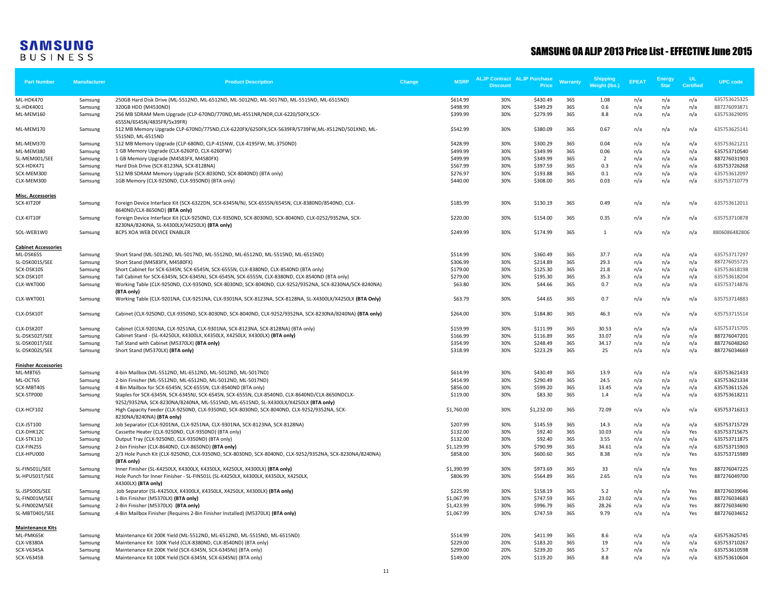| <b>Part Number</b>                      | <b>Manufacturer</b> | <b>Product Description</b>                                                                                                                                                            | Change | <b>MSRP</b>              | <b>ALJP Contract ALJP Purchase</b> |                      | <b>Warranty</b> | Shipping<br>Weight (lbs.) | <b>EPEAT</b> | <b>Energy</b> | UL.              | <b>UPC</b> code              |
|-----------------------------------------|---------------------|---------------------------------------------------------------------------------------------------------------------------------------------------------------------------------------|--------|--------------------------|------------------------------------|----------------------|-----------------|---------------------------|--------------|---------------|------------------|------------------------------|
|                                         |                     |                                                                                                                                                                                       |        |                          | <b>Discount</b>                    | <b>Price</b>         |                 |                           |              | <b>Star</b>   | <b>Certified</b> |                              |
| ML-HDK470                               | Samsung             | 250GB Hard Disk Drive (ML-5512ND, ML-6512ND, ML-5012ND, ML-5017ND, ML-5515ND, ML-6515ND)                                                                                              |        | \$614.99                 | 30%                                | \$430.49             | 365             | 1.08                      | n/a          | n/a           | n/a              | 635753625325                 |
| <b>SL-HDK4001</b>                       | Samsung             | 320GB HDD (M4530ND)                                                                                                                                                                   |        | \$498.99                 | 30%                                | \$349.29             | 365             | 0.6                       | n/a          | n/a           | n/a              | 887276093871                 |
| ML-MEM160                               | Samsung             | 256 MB SDRAM Mem Upgrade (CLP-670ND/770ND,ML-4551NR/NDR,CLX-6220/50FX,SCX-<br>6555N/6545N/4835FR/5x39FR)                                                                              |        | \$399.99                 | 30%                                | \$279.99             | 365             | 8.8                       | n/a          | n/a           | n/a              | 635753629095                 |
| ML-MEM170                               | Samsung             | 512 MB Memory Upgrade CLP-670ND/775ND,CLX-6220FX/6250FX,SCX-5639FR/5739FW,ML-X512ND/501XND, ML-<br>5515ND, ML-6515ND                                                                  |        | \$542.99                 | 30%                                | \$380.09             | 365             | 0.67                      | n/a          | n/a           | n/a              | 635753625141                 |
| ML-MEM370                               | Samsung             | 512 MB Memory Upgrade (CLP-680ND, CLP-415NW, CLX-4195FW, ML-3750ND)                                                                                                                   |        | \$428.99                 | 30%                                | \$300.29             | 365             | 0.04                      | n/a          | n/a           | n/a              | 635753621211                 |
| ML-MEM380                               | Samsung             | 1 GB Memory Upgrade (CLX-6260FD, CLX-6260FW)                                                                                                                                          |        | \$499.99                 | 30%                                | \$349.99             | 365             | 0.06                      | n/a          | n/a           | n/a              | 635753710540                 |
| SL-MEM001/SEE                           | Samsung             | 1 GB Memory Upgrade (M4583FX, M4580FX)                                                                                                                                                |        | \$499.99                 | 30%                                | \$349.99             | 365             | $\overline{2}$            | n/a          | n/a           | n/a              | 887276031903                 |
| SCX-HDK471                              | Samsung             | Hard Disk Drive (SCX-8123NA, SCX-8128NA)                                                                                                                                              |        | \$567.99                 | 30%                                | \$397.59             | 365             | 0.3                       | n/a          | n/a           | n/a              | 635753726268                 |
| SCX-MEM300                              | Samsung             | 512 MB SDRAM Memory Upgrade (SCX-8030ND, SCX-8040ND) (BTA only)                                                                                                                       |        | \$276.97                 | 30%                                | \$193.88             | 365             | 0.1                       | n/a          | n/a           | n/a              | 635753612097                 |
| CLX-MEM300                              | Samsung             | 1GB Memory (CLX-9250ND, CLX-9350ND) (BTA only)                                                                                                                                        |        | \$440.00                 | 30%                                | \$308.00             | 365             | 0.03                      | n/a          | n/a           | n/a              | 635753710779                 |
| <b>Misc. Accessories</b>                |                     |                                                                                                                                                                                       |        |                          |                                    |                      |                 |                           |              |               |                  |                              |
| SCX-KIT20F                              | Samsung             | Foreign Device Interface Kit (SCX-6322DN, SCX-6345N/NJ, SCX-6555N/6545N, CLX-8380ND/8540ND, CLX-                                                                                      |        | \$185.99                 | 30%                                | \$130.19             | 365             | 0.49                      | n/a          | n/a           | n/a              | 635753612011                 |
| CLX-KIT10F                              | Samsung             | 8640ND/CLX-8650ND) (BTA only)<br>Foreign Device Interface Kit (CLX-9250ND, CLX-9350ND, SCX-8030ND, SCX-8040ND, CLX-0252/9352NA, SCX-                                                  |        | \$220.00                 | 30%                                | \$154.00             | 365             | 0.35                      | n/a          | n/a           | n/a              | 635753710878                 |
| SOL-WEB1W0                              |                     | 8230NA/8240NA, SL-X4300LX/X4250LX) (BTA only)<br>BCPS XOA WEB DEVICE ENABLER                                                                                                          |        | \$249.99                 | 30%                                | \$174.99             | 365             | 1                         |              |               |                  | 8806086482806                |
|                                         | Samsung             |                                                                                                                                                                                       |        |                          |                                    |                      |                 |                           | n/a          | n/a           | n/a              |                              |
| <b>Cabinet Accessories</b><br>ML-DSK65S | Samsung             | Short Stand (ML-5012ND, ML-5017ND, ML-5512ND, ML-6512ND, ML-5515ND, ML-6515ND)                                                                                                        |        | \$514.99                 | 30%                                | \$360.49             | 365             | 37.7                      | n/a          | n/a           | n/a              | 635753717297                 |
| SL-DSK001S/SEE                          | Samsung             | Short Stand (M4583FX, M4580FX)                                                                                                                                                        |        | \$306.99                 | 30%                                | \$214.89             | 365             | 29.3                      | n/a          | n/a           | n/a              | 887276055725                 |
| SCX-DSK10S                              | Samsung             | Short Cabinet for SCX-6345N, SCX-6545N, SCX-6555N, CLX-8380ND, CLX-8540ND (BTA only)                                                                                                  |        | \$179.00                 | 30%                                | \$125.30             | 365             | 21.8                      | n/a          | n/a           | n/a              | 635753618198                 |
| SCX-DSK10T                              | Samsung             | Tall Cabinet for SCX-6345N, SCX-6345NJ, SCX-6545N, SCX-6555N, CLX-8380ND, CLX-8540ND (BTA only)                                                                                       |        | \$279.00                 | 30%                                | \$195.30             | 365             | 35.3                      | n/a          | n/a           | n/a              | 635753618204                 |
| CLX-WKT000                              | Samsung             | Working Table (CLX-9250ND, CLX-9350ND, SCX-8030ND, SCX-8040ND, CLX-9252/9352NA, SCX-8230NA/SCX-8240NA)<br>(BTA only)                                                                  |        | \$63.80                  | 30%                                | \$44.66              | 365             | 0.7                       | n/a          | n/a           | n/a              | 635753714876                 |
| CLX-WKT001                              | Samsung             | Working Table (CLX-9201NA, CLX-9251NA, CLX-9301NA, SCX-8123NA, SCX-8128NA, SL-X4300LX/X4250LX (BTA Only)                                                                              |        | \$63.79                  | 30%                                | \$44.65              | 365             | 0.7                       | n/a          | n/a           | n/a              | 635753714883                 |
| CLX-DSK10T                              | Samsung             | Cabinet (CLX-9250ND, CLX-9350ND, SCX-8030ND, SCX-8040ND, CLX-9252/9352NA, SCX-8230NA/8240NA) (BTA only)                                                                               |        | \$264.00                 | 30%                                | \$184.80             | 365             | 46.3                      | n/a          | n/a           | n/a              | 635753715514                 |
| CLX-DSK20T                              | Samsung             | Cabinet (CLX-9201NA, CLX-9251NA, CLX-9301NA, SCX-8123NA, SCX-8128NA) (BTA only)                                                                                                       |        | \$159.99                 | 30%                                | \$111.99             | 365             | 30.53                     | n/a          | n/a           | n/a              | 635753715705                 |
| SL-DSK502T/SEE                          | Samsung             | Cabinet Stand - (SL-K4250LX, K4300LX, K4350LX, X4250LX, X4300LX) (BTA only)                                                                                                           |        | \$166.99                 | 30%                                | \$116.89             | 365             | 33.07                     | n/a          | n/a           | n/a              | 887276047201                 |
| SL-DSK001T/SEE                          | Samsung             | Tall Stand with Cabinet (M5370LX) (BTA only)                                                                                                                                          |        | \$354.99                 | 30%                                | \$248.49             | 365             | 34.17                     | n/a          | n/a           | n/a              | 887276048260                 |
| SL-DSK002S/SEE                          | Samsung             | Short Stand (M5370LX) (BTA only)                                                                                                                                                      |        | \$318.99                 | 30%                                | \$223.29             | 365             | 25                        | n/a          | n/a           | n/a              | 887276034669                 |
| <b>Finisher Accessories</b>             |                     |                                                                                                                                                                                       |        |                          |                                    |                      |                 |                           |              |               |                  |                              |
| ML-MBT65                                | Samsung             | 4-bin Mailbox (ML-5512ND, ML-6512ND, ML-5012ND, ML-5017ND)                                                                                                                            |        | \$614.99                 | 30%                                | \$430.49             | 365             | 13.9                      | n/a          | n/a           | n/a              | 635753621433                 |
| ML-OCT65                                | Samsung             | 2-bin Finisher (ML-5512ND, ML-6512ND, ML-5012ND, ML-5017ND)                                                                                                                           |        | \$414.99                 | 30%                                | \$290.49             | 365             | 24.5                      | n/a          | n/a           | n/a              | 635753621334                 |
| SCX-MBT40S                              | Samsung             | 4 Bin Mailbox for SCX-6545N, SCX-6555N, CLX-8540ND (BTA only)                                                                                                                         |        | \$856.00                 | 30%                                | \$599.20             | 365             | 13.45                     | n/a          | n/a           | n/a              | 635753611526                 |
| SCX-STP000                              | Samsung             | Staples for SCX-6345N, SCX-6345NJ, SCX-6545N, SCX-6555N, CLX-8540ND, CLX-8640ND/CLX-8650NDCLX-<br>9252/9352NA, SCX-8230NA/8240NA, ML-5515ND, ML-6515ND, SL-X4300LX/X4250LX (BTA only) |        | \$119.00                 | 30%                                | \$83.30              | 365             | 1.4                       | n/a          | n/a           | n/a              | 635753618211                 |
| CLX-HCF102                              | Samsung             | High Capacity Feeder (CLX-9250ND, CLX-9350ND, SCX-8030ND, SCX-8040ND, CLX-9252/9352NA, SCX-<br>8230NA/8240NA) (BTA only)                                                              |        | \$1,760.00               | 30%                                | \$1,232.00           | 365             | 72.09                     | n/a          | n/a           | n/a              | 635753716313                 |
| CLX-JST100                              | Samsung             | Job Separator (CLX-9201NA, CLX-9251NA, CLX-9301NA, SCX-8123NA, SCX-8128NA)                                                                                                            |        | \$207.99                 | 30%                                | \$145.59             | 365             | 14.3                      | n/a          | n/a           | n/a              | 635753715729                 |
| CLX-DHK12C                              | Samsung             | Cassette Heater (CLX-9250ND, CLX-9350ND) (BTA only)                                                                                                                                   |        | \$132.00                 | 30%                                | \$92.40              | 365             | 10.03                     | n/a          | n/a           | Yes              | 635753715675                 |
| CLX-STK110                              | Samsung             | Output Tray (CLX-9250ND, CLX-9350ND) (BTA only)                                                                                                                                       |        | \$132.00                 | 30%                                | \$92.40              | 365             | 3.55                      | n/a          | n/a           | n/a              | 635753711875                 |
| CLX-FIN25S                              | Samsung             | 2-bin Finisher (CLX-8640ND, CLX-8650ND) (BTA only)                                                                                                                                    |        | \$1,129.99               | 30%                                | \$790.99             | 365             | 34.61                     | n/a          | n/a           | n/a              | 635753715903                 |
| CLX-HPU000                              | Samsung             | 2/3 Hole Punch Kit (CLX-9250ND, CLX-9350ND, SCX-8030ND, SCX-8040ND, CLX-9252/9352NA, SCX-8230NA/8240NA)<br>(BTA only)                                                                 |        | \$858.00                 | 30%                                | \$600.60             | 365             | 8.38                      | n/a          | n/a           | Yes              | 635753715989                 |
| SL-FIN501L/SEE                          | Samsung             | Inner Finisher (SL-K4250LX, K4300LX, K4350LX, X4250LX, X4300LX) (BTA only)                                                                                                            |        | \$1,390.99               | 30%                                | \$973.69             | 365             | 33                        | n/a          | n/a           | Yes              | 887276047225                 |
| SL-HPU501T/SEE                          | Samsung             | Hole Punch for Inner Finisher - SL-FIN501L (SL-K4250LX, K4300LX, K4350LX, X4250LX,                                                                                                    |        | \$806.99                 | 30%                                | \$564.89             | 365             | 2.65                      | n/a          | n/a           | Yes              | 887276049700                 |
|                                         |                     | X4300LX) (BTA only)                                                                                                                                                                   |        |                          |                                    |                      |                 |                           |              |               |                  |                              |
| SL-JSP500S/SEE                          | Samsung             | Job Separator (SL-K4250LX, K4300LX, K4350LX, X4250LX, X4300LX) (BTA only)                                                                                                             |        | \$225.99                 | 30%<br>30%                         | \$158.19<br>\$747.59 | 365<br>365      | 5.2<br>23.02              | n/a          | n/a           | Yes              | 887276039046                 |
| SL-FIN001M/SEE<br>SL-FIN002M/SEE        | Samsung             | 1-Bin Finisher (M5370LX) (BTA only)<br>2-Bin Finisher (M5370LX) (BTA only)                                                                                                            |        | \$1,067.99<br>\$1,423.99 | 30%                                | \$996.79             | 365             | 28.26                     | n/a<br>n/a   | n/a<br>n/a    | Yes<br>Yes       | 887276034683<br>887276034690 |
| SL-MBT0401/SEE                          | Samsung<br>Samsung  | 4-Bin Mailbox Finisher (Requires 2-Bin Finisher Installed) (M5370LX) (BTA only)                                                                                                       |        | \$1,067.99               | 30%                                | \$747.59             | 365             | 9.79                      | n/a          | n/a           | Yes              | 887276034652                 |
| <b>Maintenance Kits</b>                 |                     |                                                                                                                                                                                       |        |                          |                                    |                      |                 |                           |              |               |                  |                              |
| ML-PMK65K                               | Samsung             | Maintenance Kit 200K Yield (ML-5512ND, ML-6512ND, ML-5515ND, ML-6515ND)                                                                                                               |        | \$514.99                 | 20%                                | \$411.99             | 365             | 8.6                       | n/a          | n/a           | n/a              | 635753625745                 |
| <b>CLX-V8380A</b>                       | Samsung             | Maintenance Kit 100K Yield (CLX-8380ND, CLX-8540ND) (BTA only)                                                                                                                        |        | \$229.00                 | 20%                                | \$183.20             | 365             | 19                        | n/a          | n/a           | n/a              | 635753710267                 |
| <b>SCX-V6345A</b>                       | Samsung             | Maintenance Kit 200K Yield (SCX-6345N, SCX-6345NJ) (BTA only)                                                                                                                         |        | \$299.00                 | 20%                                | \$239.20             | 365             | 5.7                       | n/a          | n/a           | n/a              | 635753610598                 |
| SCX-V6345B                              | Samsung             | Maintenance Kit 100K Yield (SCX-6345N, SCX-6345NJ) (BTA only)                                                                                                                         |        | \$149.00                 | 20%                                | \$119.20             | 365             | 8.8                       | n/a          | n/a           | n/a              | 635753610604                 |
|                                         |                     |                                                                                                                                                                                       |        |                          |                                    |                      |                 |                           |              |               |                  |                              |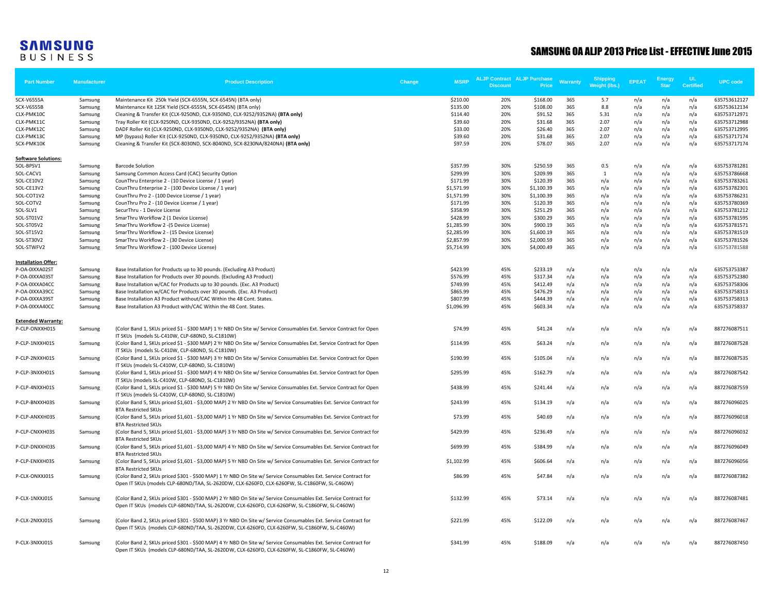| <b>Part Number</b>         | Manufacturer | <b>Product Description</b>                                                                                                                                            | Change | <b>MSRP</b> | <b>ALJP Contract ALJP Purchase</b><br><b>Discount</b> | Price      | <b>Warranty</b> | Shipping<br><b>Weight (lbs.)</b> | <b>EPEAT</b> | <b>Energy</b><br><b>Star</b> | <b>UL</b><br><b>Certified</b> | <b>UPC</b> code |
|----------------------------|--------------|-----------------------------------------------------------------------------------------------------------------------------------------------------------------------|--------|-------------|-------------------------------------------------------|------------|-----------------|----------------------------------|--------------|------------------------------|-------------------------------|-----------------|
| <b>SCX-V6555A</b>          | Samsung      | Maintenance Kit 250k Yield (SCX-6555N, SCX-6545N) (BTA only)                                                                                                          |        | \$210.00    | 20%                                                   | \$168.00   | 365             | 5.7                              | n/a          | n/a                          | n/a                           | 635753612127    |
| <b>SCX-V6555B</b>          | Samsung      | Maintenance Kit 125K Yield (SCX-6555N, SCX-6545N) (BTA only)                                                                                                          |        | \$135.00    | 20%                                                   | \$108.00   | 365             | 8.8                              | n/a          | n/a                          | n/a                           | 635753612134    |
| CLX-PMK10C                 | Samsung      | Cleaning & Transfer Kit (CLX-9250ND, CLX-9350ND, CLX-9252/9352NA) (BTA only)                                                                                          |        | \$114.40    | 20%                                                   | \$91.52    | 365             | 5.31                             | n/a          | n/a                          | n/a                           | 635753712971    |
| CLX-PMK11C                 | Samsung      | Tray Roller Kit (CLX-9250ND, CLX-9350ND, CLX-9252/9352NA) (BTA only)                                                                                                  |        | \$39.60     | 20%                                                   | \$31.68    | 365             | 2.07                             | n/a          | n/a                          | n/a                           | 635753712988    |
| CLX-PMK12C                 | Samsung      | DADF Roller Kit (CLX-9250ND, CLX-9350ND, CLX-9252/9352NA) (BTA only)                                                                                                  |        | \$33.00     | 20%                                                   | \$26.40    | 365             | 2.07                             | n/a          | n/a                          | n/a                           | 635753712995    |
| CLX-PMK13C                 | Samsung      | MP (bypass) Roller Kit (CLX-9250ND, CLX-9350ND, CLX-9252/9352NA) (BTA only)                                                                                           |        | \$39.60     | 20%                                                   | \$31.68    | 365             | 2.07                             | n/a          | n/a                          | n/a                           | 635753717174    |
| SCX-PMK10K                 | Samsung      | Cleaning & Transfer Kit (SCX-8030ND, SCX-8040ND, SCX-8230NA/8240NA) (BTA only)                                                                                        |        | \$97.59     | 20%                                                   | \$78.07    | 365             | 2.07                             | n/a          | n/a                          | n/a                           | 635753717174    |
| <b>Software Solutions:</b> |              |                                                                                                                                                                       |        |             |                                                       |            |                 |                                  |              |                              |                               |                 |
| SOL-BPSV1                  | Samsung      | <b>Barcode Solution</b>                                                                                                                                               |        | \$357.99    | 30%                                                   | \$250.59   | 365             | 0.5                              | n/a          | n/a                          | n/a                           | 635753781281    |
| SOL-CACV1                  | Samsung      | Samsung Common Access Card (CAC) Security Option                                                                                                                      |        | \$299.99    | 30%                                                   | \$209.99   | 365             | 1                                | n/a          | n/a                          | n/a                           | 635753786668    |
| SOL-CE10V2                 | Samsung      | CounThru Enterprise 2 - (10 Device License / 1 year)                                                                                                                  |        | \$171.99    | 30%                                                   | \$120.39   | 365             | n/a                              | n/a          | n/a                          | n/a                           | 635753783261    |
| SOL-CE13V2                 | Samsung      | CounThru Enterprise 2 - (100 Device License / 1 year)                                                                                                                 |        | \$1,571.99  | 30%                                                   | \$1,100.39 | 365             | n/a                              | n/a          | n/a                          | n/a                           | 635753782301    |
| SOL-COT1V2                 | Samsung      | CounThru Pro 2 - (100 Device License / 1 year)                                                                                                                        |        | \$1,571.99  | 30%                                                   | \$1,100.39 | 365             | n/a                              | n/a          | n/a                          | n/a                           | 635753786231    |
| SOL-COTV2                  | Samsung      | CounThru Pro 2 - (10 Device License / 1 year)                                                                                                                         |        | \$171.99    | 30%                                                   | \$120.39   | 365             | n/a                              | n/a          | n/a                          | n/a                           | 635753780369    |
| SOL-SLV1                   | Samsung      | SecurThru - 1 Device License                                                                                                                                          |        | \$358.99    | 30%                                                   | \$251.29   | 365             | n/a                              | n/a          | n/a                          | n/a                           | 635753781212    |
| SOL-ST01V2                 | Samsung      | SmarThru Workflow 2 (1 Device License)                                                                                                                                |        | \$428.99    | 30%                                                   | \$300.29   | 365             | n/a                              | n/a          | n/a                          | n/a                           | 635753781595    |
| SOL-ST05V2                 | Samsung      | SmarThru Workflow 2 - (5 Device License)                                                                                                                              |        | \$1,285.99  | 30%                                                   | \$900.19   | 365             | n/a                              | n/a          | n/a                          | n/a                           | 635753781571    |
| SOL-ST15V2                 | Samsung      | SmarThru Workflow 2 - (15 Device License)                                                                                                                             |        | \$2,285.99  | 30%                                                   | \$1,600.19 | 365             | n/a                              | n/a          | n/a                          | n/a                           | 635753781519    |
| SOL-ST30V2                 | Samsung      | SmarThru Workflow 2 - (30 Device License)                                                                                                                             |        | \$2,857.99  | 30%                                                   | \$2,000.59 | 365             | n/a                              | n/a          | n/a                          | n/a                           | 635753781526    |
| SOL-STWFV2                 | Samsung      | SmarThru Workflow 2 - (100 Device License)                                                                                                                            |        | \$5,714.99  | 30%                                                   | \$4,000.49 | 365             | n/a                              | n/a          | n/a                          | n/a                           | 635753781588    |
| <b>Installation Offer:</b> |              |                                                                                                                                                                       |        |             |                                                       |            |                 |                                  |              |                              |                               |                 |
| P-OA-0IXXA02ST             | Samsung      | Base Installation for Products up to 30 pounds. (Excluding A3 Product)                                                                                                |        | \$423.99    | 45%                                                   | \$233.19   | n/a             | n/a                              | n/a          | n/a                          | n/a                           | 635753753387    |
| P-OA-0IXXA03ST             | Samsung      | Base Installation for Products over 30 pounds. (Excluding A3 Product)                                                                                                 |        | \$576.99    | 45%                                                   | \$317.34   | n/a             | n/a                              | n/a          | n/a                          | n/a                           | 635753752380    |
| P-OA-0IXXA04CC             | Samsung      | Base Installation w/CAC for Products up to 30 pounds. (Exc. A3 Product)                                                                                               |        | \$749.99    | 45%                                                   | \$412.49   | n/a             | n/a                              | n/a          | n/a                          | n/a                           | 635753758306    |
| P-OA-0IXXA39CC             | Samsung      | Base Installation w/CAC for Products over 30 pounds. (Exc. A3 Product)                                                                                                |        | \$865.99    | 45%                                                   | \$476.29   | n/a             | n/a                              | n/a          | n/a                          | n/a                           | 635753758313    |
| P-OA-0IXXA39ST             | Samsung      | Base Installation A3 Product without/CAC Within the 48 Cont. States.                                                                                                  |        | \$807.99    | 45%                                                   | \$444.39   | n/a             | n/a                              | n/a          | n/a                          | n/a                           | 635753758313    |
| P-OA-0IXXA40CC             | Samsung      | Base Installation A3 Product with/CAC Within the 48 Cont. States.                                                                                                     |        | \$1,096.99  | 45%                                                   | \$603.34   | n/a             | n/a                              | n/a          | n/a                          | n/a                           | 635753758337    |
| <b>Extended Warranty:</b>  |              |                                                                                                                                                                       |        |             |                                                       |            |                 |                                  |              |                              |                               |                 |
| P-CLP-ONXXH01S             | Samsung      | (Color Band 1, SKUs priced \$1 - \$300 MAP) 1 Yr NBD On Site w/ Service Consumables Ext. Service Contract for Open                                                    |        | \$74.99     | 45%                                                   | \$41.24    | n/a             | n/a                              | n/a          | n/a                          | n/a                           | 887276087511    |
|                            |              | IT SKUs (models SL-C410W, CLP-680ND, SL-C1810W)                                                                                                                       |        |             |                                                       |            |                 |                                  |              |                              |                               |                 |
| P-CLP-1NXXH01S             | Samsung      | (Color Band 1, SKUs priced \$1 - \$300 MAP) 2 Yr NBD On Site w/ Service Consumables Ext. Service Contract for Open                                                    |        | \$114.99    | 45%                                                   | \$63.24    | n/a             | n/a                              | n/a          | n/a                          | n/a                           | 887276087528    |
|                            |              | IT SKUs (models SL-C410W, CLP-680ND, SL-C1810W)                                                                                                                       |        |             |                                                       |            |                 |                                  |              |                              |                               |                 |
| P-CLP-2NXXH01S             | Samsung      | (Color Band 1, SKUs priced \$1 - \$300 MAP) 3 Yr NBD On Site w/ Service Consumables Ext. Service Contract for Open                                                    |        | \$190.99    | 45%                                                   | \$105.04   | n/a             | n/a                              | n/a          | n/a                          | n/a                           | 887276087535    |
|                            |              | IT SKUs (models SL-C410W, CLP-680ND, SL-C1810W)                                                                                                                       |        |             |                                                       |            |                 |                                  |              |                              |                               |                 |
| P-CLP-3NXXH01S             | Samsung      | (Color Band 1, SKUs priced \$1 - \$300 MAP) 4 Yr NBD On Site w/ Service Consumables Ext. Service Contract for Open<br>IT SKUs (models SL-C410W, CLP-680ND, SL-C1810W) |        | \$295.99    | 45%                                                   | \$162.79   | n/a             | n/a                              | n/a          | n/a                          | n/a                           | 887276087542    |
| P-CLP-4NXXH01S             | Samsung      | (Color Band 1, SKUs priced \$1 - \$300 MAP) 5 Yr NBD On Site w/ Service Consumables Ext. Service Contract for Open                                                    |        | \$438.99    | 45%                                                   | \$241.44   | n/a             | n/a                              | n/a          | n/a                          | n/a                           | 887276087559    |
|                            |              | IT SKUs (models SL-C410W, CLP-680ND, SL-C1810W)                                                                                                                       |        |             |                                                       |            |                 |                                  |              |                              |                               |                 |
| P-CLP-BNXXH03S             | Samsung      | (Color Band 5, SKUs priced \$1,601 - \$3,000 MAP) 2 Yr NBD On Site w/ Service Consumables Ext. Service Contract for                                                   |        | \$243.99    | 45%                                                   | \$134.19   | n/a             | n/a                              | n/a          | n/a                          | n/a                           | 887276096025    |
|                            |              | <b>BTA Restricted SKUs</b>                                                                                                                                            |        |             |                                                       |            |                 |                                  |              |                              |                               |                 |
| P-CLP-ANXXH03S             | Samsung      | (Color Band 5, SKUs priced \$1,601 - \$3,000 MAP) 1 Yr NBD On Site w/ Service Consumables Ext. Service Contract for                                                   |        | \$73.99     | 45%                                                   | \$40.69    | n/a             | n/a                              | n/a          | n/a                          | n/a                           | 887276096018    |
|                            |              | <b>BTA Restricted SKUs</b>                                                                                                                                            |        |             |                                                       |            |                 |                                  |              |                              |                               |                 |
| P-CLP-CNXXH03S             | Samsung      | (Color Band 5, SKUs priced \$1,601 - \$3,000 MAP) 3 Yr NBD On Site w/ Service Consumables Ext. Service Contract for                                                   |        | \$429.99    | 45%                                                   | \$236.49   | n/a             | n/a                              | n/a          | n/a                          | n/a                           | 887276096032    |
|                            |              | <b>BTA Restricted SKUs</b>                                                                                                                                            |        |             |                                                       |            |                 |                                  |              |                              |                               |                 |
| P-CLP-DNXXH03S             | Samsung      | (Color Band 5, SKUs priced \$1,601 - \$3,000 MAP) 4 Yr NBD On Site w/ Service Consumables Ext. Service Contract for                                                   |        | \$699.99    | 45%                                                   | \$384.99   | n/a             | n/a                              | n/a          | n/a                          | n/a                           | 887276096049    |
|                            |              | <b>BTA Restricted SKUs</b>                                                                                                                                            |        |             |                                                       |            |                 |                                  |              |                              |                               |                 |
| P-CLP-ENXXH03S             | Samsung      | (Color Band 5, SKUs priced \$1,601 - \$3,000 MAP) 5 Yr NBD On Site w/ Service Consumables Ext. Service Contract for                                                   |        | \$1,102.99  | 45%                                                   | \$606.64   | n/a             | n/a                              | n/a          | n/a                          | n/a                           | 887276096056    |
|                            |              | <b>BTA Restricted SKUs</b>                                                                                                                                            |        |             |                                                       |            |                 |                                  |              |                              |                               |                 |
| P-CLX-ONXXJ01S             | Samsung      | (Color Band 2, SKUs priced \$301 - \$500 MAP) 1 Yr NBD On Site w/ Service Consumables Ext. Service Contract for                                                       |        | \$86.99     | 45%                                                   | \$47.84    | n/a             | n/a                              | n/a          | n/a                          | n/a                           | 887276087382    |
|                            |              | Open IT SKUs (models CLP-680ND/TAA, SL-2620DW, CLX-6260FD, CLX-6260FW, SL-C1860FW, SL-C460W)                                                                          |        |             |                                                       |            |                 |                                  |              |                              |                               |                 |
|                            |              |                                                                                                                                                                       |        |             |                                                       |            |                 |                                  |              |                              |                               |                 |
| P-CLX-1NXXJ01S             | Samsung      | (Color Band 2, SKUs priced \$301 - \$500 MAP) 2 Yr NBD On Site w/ Service Consumables Ext. Service Contract for                                                       |        | \$132.99    | 45%                                                   | \$73.14    | n/a             | n/a                              | n/a          | n/a                          | n/a                           | 887276087481    |
|                            |              | Open IT SKUs (models CLP-680ND/TAA, SL-2620DW, CLX-6260FD, CLX-6260FW, SL-C1860FW, SL-C460W)                                                                          |        |             |                                                       |            |                 |                                  |              |                              |                               |                 |
|                            |              |                                                                                                                                                                       |        |             |                                                       |            |                 |                                  |              |                              |                               |                 |
| P-CLX-2NXXJ01S             | Samsung      | (Color Band 2, SKUs priced \$301 - \$500 MAP) 3 Yr NBD On Site w/ Service Consumables Ext. Service Contract for                                                       |        | \$221.99    | 45%                                                   | \$122.09   | n/a             | n/a                              | n/a          | n/a                          | n/a                           | 887276087467    |
|                            |              | Open IT SKUs (models CLP-680ND/TAA, SL-2620DW, CLX-6260FD, CLX-6260FW, SL-C1860FW, SL-C460W)                                                                          |        |             |                                                       |            |                 |                                  |              |                              |                               |                 |
|                            |              |                                                                                                                                                                       |        |             |                                                       |            |                 |                                  |              |                              |                               | 887276087450    |
| P-CLX-3NXXJ01S             | Samsung      | (Color Band 2, SKUs priced \$301 - \$500 MAP) 4 Yr NBD On Site w/ Service Consumables Ext. Service Contract for                                                       |        | \$341.99    | 45%                                                   | \$188.09   | n/a             | n/a                              | n/a          | n/a                          | n/a                           |                 |
|                            |              | Open IT SKUs (models CLP-680ND/TAA, SL-2620DW, CLX-6260FD, CLX-6260FW, SL-C1860FW, SL-C460W)                                                                          |        |             |                                                       |            |                 |                                  |              |                              |                               |                 |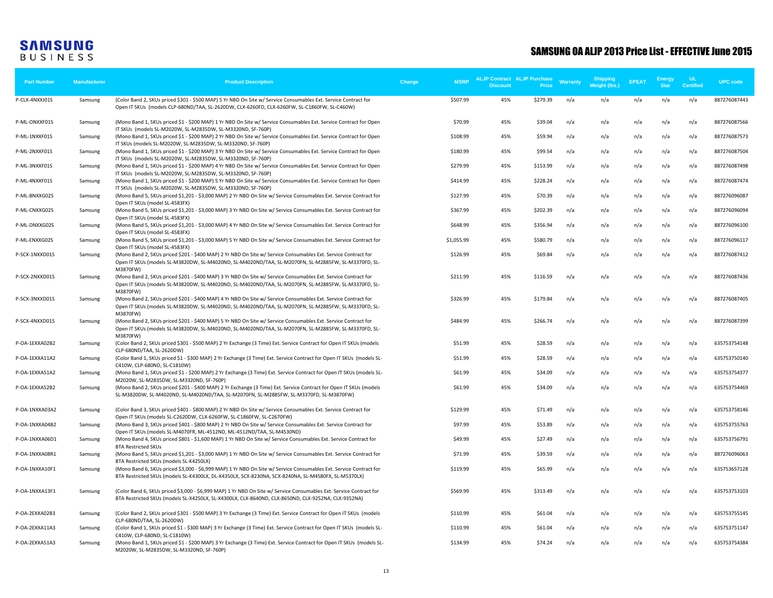| <b>Part Number</b> | <b>Manufacturer</b> | <b>Product Description</b>                                                                                                                                                                                                         | <b>MSRP</b><br>Change | <b>ALJP Contract ALJP Purchase</b><br><b>Discount</b> | Price    | <b>Warranty</b> | <b>Shipping</b><br>Weight (lbs.) | <b>EPEAT</b> | Energy<br><b>Star</b> | UL<br><b>Certified</b> | <b>UPC</b> code |
|--------------------|---------------------|------------------------------------------------------------------------------------------------------------------------------------------------------------------------------------------------------------------------------------|-----------------------|-------------------------------------------------------|----------|-----------------|----------------------------------|--------------|-----------------------|------------------------|-----------------|
| P-CLX-4NXXJ01S     | Samsung             | (Color Band 2, SKUs priced \$301 - \$500 MAP) 5 Yr NBD On Site w/ Service Consumables Ext. Service Contract for<br>Open IT SKUs (models CLP-680ND/TAA, SL-2620DW, CLX-6260FD, CLX-6260FW, SL-C1860FW, SL-C460W)                    | \$507.99              | 45%                                                   | \$279.39 | n/a             | n/a                              | n/a          | n/a                   | n/a                    | 887276087443    |
| P-ML-ONXXF01S      | Samsung             | (Mono Band 1, SKUs priced \$1 - \$200 MAP) 1 Yr NBD On Site w/ Service Consumables Ext. Service Contract for Open<br>IT SKUs (models SL-M2020W, SL-M2835DW, SL-M3320ND, SF-760P)                                                   | \$70.99               | 45%                                                   | \$39.04  | n/a             | n/a                              | n/a          | n/a                   | n/a                    | 887276087566    |
| P-ML-1NXXF01S      | Samsung             | (Mono Band 1, SKUs priced \$1 - \$200 MAP) 2 Yr NBD On Site w/ Service Consumables Ext. Service Contract for Open<br>IT SKUs (models SL-M2020W, SL-M2835DW, SL-M3320ND, SF-760P)                                                   | \$108.99              | 45%                                                   | \$59.94  | n/a             | n/a                              | n/a          | n/a                   | n/a                    | 887276087573    |
| P-ML-2NXXF01S      | Samsung             | (Mono Band 1, SKUs priced \$1 - \$200 MAP) 3 Yr NBD On Site w/ Service Consumables Ext. Service Contract for Open<br>IT SKUs (models SL-M2020W, SL-M2835DW, SL-M3320ND, SF-760P)                                                   | \$180.99              | 45%                                                   | \$99.54  | n/a             | n/a                              | n/a          | n/a                   | n/a                    | 887276087504    |
| P-ML-3NXXF01S      | Samsung             | (Mono Band 1, SKUs priced \$1 - \$200 MAP) 4 Yr NBD On Site w/ Service Consumables Ext. Service Contract for Open<br>IT SKUs (models SL-M2020W, SL-M2835DW, SL-M3320ND, SF-760P)                                                   | \$279.99              | 45%                                                   | \$153.99 | n/a             | n/a                              | n/a          | n/a                   | n/a                    | 887276087498    |
| P-ML-4NXXF01S      | Samsung             | (Mono Band 1, SKUs priced \$1 - \$200 MAP) 5 Yr NBD On Site w/ Service Consumables Ext. Service Contract for Open<br>IT SKUs (models SL-M2020W, SL-M2835DW, SL-M3320ND, SF-760P)                                                   | \$414.99              | 45%                                                   | \$228.24 | n/a             | n/a                              | n/a          | n/a                   | n/a                    | 887276087474    |
| P-ML-BNXXG02S      | Samsung             | (Mono Band 5, SKUs priced \$1,201 - \$3,000 MAP) 2 Yr NBD On Site w/ Service Consumables Ext. Service Contract for<br>Open IT SKUs (model SL-4583FX)                                                                               | \$127.99              | 45%                                                   | \$70.39  | n/a             | n/a                              | n/a          | n/a                   | n/a                    | 887276096087    |
| P-ML-CNXXG02S      | Samsung             | (Mono Band 5, SKUs priced \$1,201 - \$3,000 MAP) 3 Yr NBD On Site w/ Service Consumables Ext. Service Contract for<br>Open IT SKUs (model SL-4583FX)                                                                               | \$367.99              | 45%                                                   | \$202.39 | n/a             | n/a                              | n/a          | n/a                   | n/a                    | 887276096094    |
| P-ML-DNXXG02S      | Samsung             | (Mono Band 5, SKUs priced \$1,201 - \$3,000 MAP) 4 Yr NBD On Site w/ Service Consumables Ext. Service Contract for<br>Open IT SKUs (model SL-4583FX)                                                                               | \$648.99              | 45%                                                   | \$356.94 | n/a             | n/a                              | n/a          | n/a                   | n/a                    | 887276096100    |
| P-ML-ENXXG02S      | Samsung             | (Mono Band 5, SKUs priced \$1,201 - \$3,000 MAP) 5 Yr NBD On Site w/ Service Consumables Ext. Service Contract for<br>Open IT SKUs (model SL-4583FX)                                                                               | \$1,055.99            | 45%                                                   | \$580.79 | n/a             | n/a                              | n/a          | n/a                   | n/a                    | 887276096117    |
| P-SCX-1NXXD01S     | Samsung             | (Mono Band 2, SKUs priced \$201 - \$400 MAP) 2 Yr NBD On Site w/ Service Consumables Ext. Service Contract for<br>Open IT SKUs (models SL-M3820DW, SL-M4020ND, SL-M4020ND/TAA, SL-M2070FN, SL-M2885FW, SL-M3370FD, SL-<br>M3870FW) | \$126.99              | 45%                                                   | \$69.84  | n/a             | n/a                              | n/a          | n/a                   | n/a                    | 887276087412    |
| P-SCX-2NXXD01S     | Samsung             | (Mono Band 2, SKUs priced \$201 - \$400 MAP) 3 Yr NBD On Site w/ Service Consumables Ext. Service Contract for<br>Open IT SKUs (models SL-M3820DW, SL-M4020ND, SL-M4020ND/TAA, SL-M2070FN, SL-M2885FW, SL-M3370FD, SL-<br>M3870FW) | \$211.99              | 45%                                                   | \$116.59 | n/a             | n/a                              | n/a          | n/a                   | n/a                    | 887276087436    |
| P-SCX-3NXXD01S     | Samsung             | (Mono Band 2, SKUs priced \$201 - \$400 MAP) 4 Yr NBD On Site w/ Service Consumables Ext. Service Contract for<br>Open IT SKUs (models SL-M3820DW, SL-M4020ND, SL-M4020ND/TAA, SL-M2070FN, SL-M2885FW, SL-M3370FD, SL-<br>M3870FW) | \$326.99              | 45%                                                   | \$179.84 | n/a             | n/a                              | n/a          | n/a                   | n/a                    | 887276087405    |
| P-SCX-4NXXD01S     | Samsung             | (Mono Band 2, SKUs priced \$201 - \$400 MAP) 5 Yr NBD On Site w/ Service Consumables Ext. Service Contract for<br>Open IT SKUs (models SL-M3820DW, SL-M4020ND, SL-M4020ND/TAA, SL-M2070FN, SL-M2885FW, SL-M3370FD, SL-<br>M3870FW) | \$484.99              | 45%                                                   | \$266.74 | n/a             | n/a                              | n/a          | n/a                   | n/a                    | 887276087399    |
| P-OA-1EXXA02B2     | Samsung             | (Color Band 2, SKUs priced \$301 - \$500 MAP) 2 Yr Exchange (3 Time) Ext. Service Contract for Open IT SKUs (models<br>CLP-680ND/TAA, SL-2620DW)                                                                                   | \$51.99               | 45%                                                   | \$28.59  | n/a             | n/a                              | n/a          | n/a                   | n/a                    | 635753754148    |
| P-OA-1EXXA11A2     | Samsung             | (Color Band 1, SKUs priced \$1 - \$300 MAP) 2 Yr Exchange (3 Time) Ext. Service Contract for Open IT SKUs (models SL-<br>C410W, CLP-680ND, SL-C1810W)                                                                              | \$51.99               | 45%                                                   | \$28.59  | n/a             | n/a                              | n/a          | n/a                   | n/a                    | 635753750140    |
| P-OA-1EXXA51A2     | Samsung             | (Mono Band 1, SKUs priced \$1 - \$200 MAP) 2 Yr Exchange (3 Time) Ext. Service Contract for Open IT SKUs (models SL-<br>M2020W, SL-M2835DW, SL-M3320ND, SF-760P)                                                                   | \$61.99               | 45%                                                   | \$34.09  | n/a             | n/a                              | n/a          | n/a                   | n/a                    | 635753754377    |
| P-OA-1EXXA52B2     | Samsung             | (Mono Band 2, SKUs priced \$201 - \$400 MAP) 2 Yr Exchange (3 Time) Ext. Service Contract for Open IT SKUs (models<br>SL-M3820DW, SL-M4020ND, SL-M4020ND/TAA, SL-M2070FN, SL-M2885FW, SL-M3370FD, SL-M3870FW)                      | \$61.99               | 45%                                                   | \$34.09  | n/a             | n/a                              | n/a          | n/a                   | n/a                    | 635753754469    |
| P-OA-1NXXA03A2     | Samsung             | (Color Band 3, SKUs priced \$401 - \$800 MAP) 2 Yr NBD On Site w/ Service Consumables Ext. Service Contract for<br>Open IT SKUs (models SL-C2620DW, CLX-6260FW, SL-C1860FW, SL-C2670FW)                                            | \$129.99              | 45%                                                   | \$71.49  | n/a             | n/a                              | n/a          | n/a                   | n/a                    | 635753758146    |
| P-OA-1NXXA04B2     | Samsung             | (Mono Band 3, SKUs priced \$401 - \$800 MAP) 2 Yr NBD On Site w/ Service Consumables Ext. Service Contract for<br>Open IT SKUs (models SL-M4070FR, ML-4512ND, ML-4512ND/TAA, SL-M4530ND)                                           | \$97.99               | 45%                                                   | \$53.89  | n/a             | n/a                              | n/a          | n/a                   | n/a                    | 635753755763    |
| P-OA-1NXXA06D1     | Samsung             | (Mono Band 4, SKUs priced \$801 - \$1,600 MAP) 1 Yr NBD On Site w/ Service Consumables Ext. Service Contract for<br><b>BTA Restricted SKUs</b>                                                                                     | \$49.99               | 45%                                                   | \$27.49  | n/a             | n/a                              | n/a          | n/a                   | n/a                    | 635753756791    |
| P-OA-1NXXA08R1     | Samsung             | (Mono Band 5, SKUs priced \$1,201 - \$3,000 MAP) 1 Yr NBD On Site w/ Service Consumables Ext. Service Contract for<br>BTA Restricted SKUs (models SL-K4250LX)                                                                      | \$71.99               | 45%                                                   | \$39.59  | n/a             | n/a                              | n/a          | n/a                   | n/a                    | 887276096063    |
| P-OA-1NXXA10F1     | Samsung             | (Mono Band 6, SKUs priced \$3,000 - \$6,999 MAP) 1 Yr NBD On Site w/ Service Consumables Ext. Service Contract for<br>BTA Restricted SKUs (models SL-K4300LX, DL-K4350LX, SCX-8230NA, SCX-8240NA, SL-M4580FX, SL-M5370LX)          | \$119.99              | 45%                                                   | \$65.99  | n/a             | n/a                              | n/a          | n/a                   | n/a                    | 635753657128    |
| P-OA-1NXXA13F1     | Samsung             | (Color Band 6, SKUs priced \$3,000 - \$6,999 MAP) 1 Yr NBD On Site w/ Service Consumables Ext. Service Contract for<br>BTA Restricted SKUs (models SL-X4250LX, SL-X4300LX, CLX-8640ND, CLX-8650ND, CLX-9252NA, CLX-9352NA)         | \$569.99              | 45%                                                   | \$313.49 | n/a             | n/a                              | n/a          | n/a                   | n/a                    | 635753753103    |
| P-OA-2EXXA02B3     | Samsung             | (Color Band 2, SKUs priced \$301 - \$500 MAP) 3 Yr Exchange (3 Time) Ext. Service Contract for Open IT SKUs (models<br>CLP-680ND/TAA, SL-2620DW)                                                                                   | \$110.99              | 45%                                                   | \$61.04  | n/a             | n/a                              | n/a          | n/a                   | n/a                    | 635753755145    |
| P-OA-2EXXA11A3     | Samsung             | (Color Band 1, SKUs priced \$1 - \$300 MAP) 3 Yr Exchange (3 Time) Ext. Service Contract for Open IT SKUs (models SL-<br>C410W, CLP-680ND, SL-C1810W)                                                                              | \$110.99              | 45%                                                   | \$61.04  | n/a             | n/a                              | n/a          | n/a                   | n/a                    | 635753751147    |
| P-OA-2EXXA51A3     | Samsung             | (Mono Band 1, SKUs priced \$1 - \$200 MAP) 3 Yr Exchange (3 Time) Ext. Service Contract for Open IT SKUs (models SL-<br>M2020W, SL-M2835DW, SL-M3320ND, SF-760P)                                                                   | \$134.99              | 45%                                                   | \$74.24  | n/a             | n/a                              | n/a          | n/a                   | n/a                    | 635753754384    |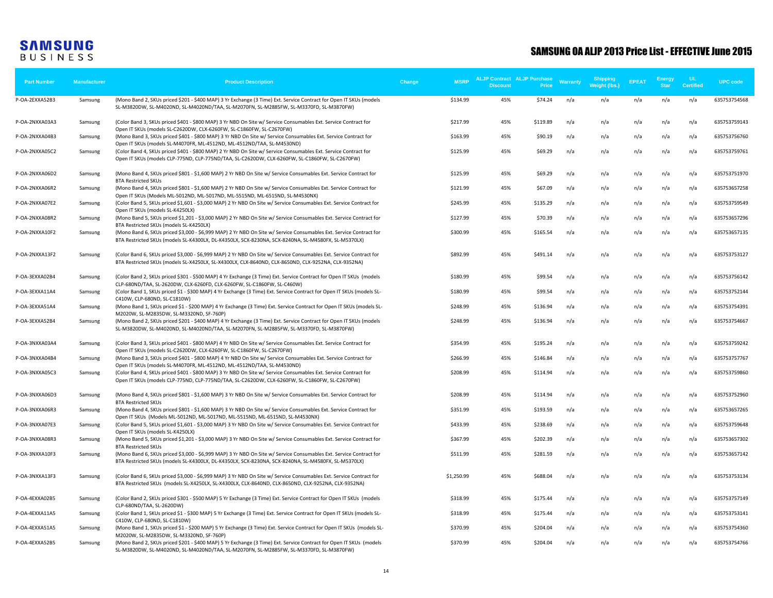| <b>Part Number</b> | Manufacturer | <b>Product Description</b>                                                                                                                                                                                                 | <b>MSRP</b><br>Change | <b>Discount</b> | <b>ALJP Contract ALJP Purchase</b><br><b>Price</b> | <b>Warranty</b> | <b>Shipping</b><br>Weight (lbs.) | <b>EPEAT</b> | Energy<br><b>Star</b> | UL<br><b>Certified</b> | <b>UPC</b> code |
|--------------------|--------------|----------------------------------------------------------------------------------------------------------------------------------------------------------------------------------------------------------------------------|-----------------------|-----------------|----------------------------------------------------|-----------------|----------------------------------|--------------|-----------------------|------------------------|-----------------|
| P-OA-2EXXA52B3     | Samsung      | (Mono Band 2, SKUs priced \$201 - \$400 MAP) 3 Yr Exchange (3 Time) Ext. Service Contract for Open IT SKUs (models<br>SL-M3820DW, SL-M4020ND, SL-M4020ND/TAA, SL-M2070FN, SL-M2885FW, SL-M3370FD, SL-M3870FW)              | \$134.99              | 45%             | \$74.24                                            | n/a             | n/a                              | n/a          | n/a                   | n/a                    | 635753754568    |
| P-OA-2NXXA03A3     | Samsung      | (Color Band 3, SKUs priced \$401 - \$800 MAP) 3 Yr NBD On Site w/ Service Consumables Ext. Service Contract for<br>Open IT SKUs (models SL-C2620DW, CLX-6260FW, SL-C1860FW, SL-C2670FW)                                    | \$217.99              | 45%             | \$119.89                                           | n/a             | n/a                              | n/a          | n/a                   | n/a                    | 635753759143    |
| P-OA-2NXXA04B3     | Samsung      | (Mono Band 3, SKUs priced \$401 - \$800 MAP) 3 Yr NBD On Site w/ Service Consumables Ext. Service Contract for<br>Open IT SKUs (models SL-M4070FR, ML-4512ND, ML-4512ND/TAA, SL-M4530ND)                                   | \$163.99              | 45%             | \$90.19                                            | n/a             | n/a                              | n/a          | n/a                   | n/a                    | 635753756760    |
| P-OA-2NXXA05C2     | Samsung      | (Color Band 4, SKUs priced \$401 - \$800 MAP) 2 Yr NBD On Site w/ Service Consumables Ext. Service Contract for<br>Open IT SKUs (models CLP-775ND, CLP-775ND/TAA, SL-C2620DW, CLX-6260FW, SL-C1860FW, SL-C2670FW)          | \$125.99              | 45%             | \$69.29                                            | n/a             | n/a                              | n/a          | n/a                   | n/a                    | 635753759761    |
| P-OA-2NXXA06D2     | Samsung      | (Mono Band 4, SKUs priced \$801 - \$1,600 MAP) 2 Yr NBD On Site w/ Service Consumables Ext. Service Contract for<br><b>BTA Restricted SKUs</b>                                                                             | \$125.99              | 45%             | \$69.29                                            | n/a             | n/a                              | n/a          | n/a                   | n/a                    | 635753751970    |
| P-OA-2NXXA06R2     | Samsung      | (Mono Band 4, SKUs priced \$801 - \$1,600 MAP) 2 Yr NBD On Site w/ Service Consumables Ext. Service Contract for<br>Open IT SKUs (Models ML-5012ND, ML-5017ND, ML-5515ND, ML-6515ND, SL-M4530NX)                           | \$121.99              | 45%             | \$67.09                                            | n/a             | n/a                              | n/a          | n/a                   | n/a                    | 635753657258    |
| P-OA-2NXXA07E2     | Samsung      | (Color Band 5, SKUs priced \$1,601 - \$3,000 MAP) 2 Yr NBD On Site w/ Service Consumables Ext. Service Contract for<br>Open IT SKUs (models SL-K4250LX)                                                                    | \$245.99              | 45%             | \$135.29                                           | n/a             | n/a                              | n/a          | n/a                   | n/a                    | 635753759549    |
| P-OA-2NXXA08R2     | Samsung      | (Mono Band 5, SKUs priced \$1,201 - \$3,000 MAP) 2 Yr NBD On Site w/ Service Consumables Ext. Service Contract for<br>BTA Restricted SKUs (models SL-K4250LX)                                                              | \$127.99              | 45%             | \$70.39                                            | n/a             | n/a                              | n/a          | n/a                   | n/a                    | 635753657296    |
| P-OA-2NXXA10F2     | Samsung      | (Mono Band 6, SKUs priced \$3,000 - \$6,999 MAP) 2 Yr NBD On Site w/ Service Consumables Ext. Service Contract for<br>BTA Restricted SKUs (models SL-K4300LX, DL-K4350LX, SCX-8230NA, SCX-8240NA, SL-M4580FX, SL-M5370LX)  | \$300.99              | 45%             | \$165.54                                           | n/a             | n/a                              | n/a          | n/a                   | n/a                    | 635753657135    |
| P-OA-2NXXA13F2     | Samsung      | (Color Band 6, SKUs priced \$3,000 - \$6,999 MAP) 2 Yr NBD On Site w/ Service Consumables Ext. Service Contract for<br>BTA Restricted SKUs (models SL-X4250LX, SL-X4300LX, CLX-8640ND, CLX-8650ND, CLX-9252NA, CLX-9352NA) | \$892.99              | 45%             | \$491.14                                           | n/a             | n/a                              | n/a          | n/a                   | n/a                    | 635753753127    |
| P-OA-3EXXA02B4     | Samsung      | (Color Band 2, SKUs priced \$301 - \$500 MAP) 4 Yr Exchange (3 Time) Ext. Service Contract for Open IT SKUs (models<br>CLP-680ND/TAA, SL-2620DW, CLX-6260FD, CLX-6260FW, SL-C1860FW, SL-C460W)                             | \$180.99              | 45%             | \$99.54                                            | n/a             | n/a                              | n/a          | n/a                   | n/a                    | 635753756142    |
| P-OA-3EXXA11A4     | Samsung      | (Color Band 1, SKUs priced \$1 - \$300 MAP) 4 Yr Exchange (3 Time) Ext. Service Contract for Open IT SKUs (models SL-<br>C410W, CLP-680ND, SL-C1810W)                                                                      | \$180.99              | 45%             | \$99.54                                            | n/a             | n/a                              | n/a          | n/a                   | n/a                    | 635753752144    |
| P-OA-3EXXA51A4     | Samsung      | (Mono Band 1, SKUs priced \$1 - \$200 MAP) 4 Yr Exchange (3 Time) Ext. Service Contract for Open IT SKUs (models SL-<br>M2020W, SL-M2835DW, SL-M3320ND, SF-760P)                                                           | \$248.99              | 45%             | \$136.94                                           | n/a             | n/a                              | n/a          | n/a                   | n/a                    | 635753754391    |
| P-OA-3EXXA52B4     | Samsung      | (Mono Band 2, SKUs priced \$201 - \$400 MAP) 4 Yr Exchange (3 Time) Ext. Service Contract for Open IT SKUs (models<br>SL-M3820DW, SL-M4020ND, SL-M4020ND/TAA, SL-M2070FN, SL-M2885FW, SL-M3370FD, SL-M3870FW)              | \$248.99              | 45%             | \$136.94                                           | n/a             | n/a                              | n/a          | n/a                   | n/a                    | 635753754667    |
| P-OA-3NXXA03A4     | Samsung      | (Color Band 3, SKUs priced \$401 - \$800 MAP) 4 Yr NBD On Site w/ Service Consumables Ext. Service Contract for<br>Open IT SKUs (models SL-C2620DW, CLX-6260FW, SL-C1860FW, SL-C2670FW)                                    | \$354.99              | 45%             | \$195.24                                           | n/a             | n/a                              | n/a          | n/a                   | n/a                    | 635753759242    |
| P-OA-3NXXA04B4     | Samsung      | (Mono Band 3, SKUs priced \$401 - \$800 MAP) 4 Yr NBD On Site w/ Service Consumables Ext. Service Contract for<br>Open IT SKUs (models SL-M4070FR, ML-4512ND, ML-4512ND/TAA, SL-M4530ND)                                   | \$266.99              | 45%             | \$146.84                                           | n/a             | n/a                              | n/a          | n/a                   | n/a                    | 635753757767    |
| P-OA-3NXXA05C3     | Samsung      | (Color Band 4, SKUs priced \$401 - \$800 MAP) 3 Yr NBD On Site w/ Service Consumables Ext. Service Contract for<br>Open IT SKUs (models CLP-775ND, CLP-775ND/TAA, SL-C2620DW, CLX-6260FW, SL-C1860FW, SL-C2670FW)          | \$208.99              | 45%             | \$114.94                                           | n/a             | n/a                              | n/a          | n/a                   | n/a                    | 635753759860    |
| P-OA-3NXXA06D3     | Samsung      | (Mono Band 4, SKUs priced \$801 - \$1,600 MAP) 3 Yr NBD On Site w/ Service Consumables Ext. Service Contract for                                                                                                           | \$208.99              | 45%             | \$114.94                                           | n/a             | n/a                              | n/a          | n/a                   | n/a                    | 635753752960    |
| P-OA-3NXXA06R3     | Samsung      | <b>BTA Restricted SKUs</b><br>(Mono Band 4, SKUs priced \$801 - \$1,600 MAP) 3 Yr NBD On Site w/ Service Consumables Ext. Service Contract for                                                                             | \$351.99              | 45%             | \$193.59                                           | n/a             | n/a                              | n/a          | n/a                   | n/a                    | 635753657265    |
| P-OA-3NXXA07E3     | Samsung      | Open IT SKUs (Models ML-5012ND, ML-5017ND, ML-5515ND, ML-6515ND, SL-M4530NX)<br>(Color Band 5, SKUs priced \$1,601 - \$3,000 MAP) 3 Yr NBD On Site w/ Service Consumables Ext. Service Contract for                        | \$433.99              | 45%             | \$238.69                                           | n/a             | n/a                              | n/a          | n/a                   | n/a                    | 635753759648    |
| P-OA-3NXXA08R3     | Samsung      | Open IT SKUs (models SL-K4250LX)<br>(Mono Band 5, SKUs priced \$1,201 - \$3,000 MAP) 3 Yr NBD On Site w/ Service Consumables Ext. Service Contract for<br><b>BTA Restricted SKUs</b>                                       | \$367.99              | 45%             | \$202.39                                           | n/a             | n/a                              | n/a          | n/a                   | n/a                    | 635753657302    |
| P-OA-3NXXA10F3     | Samsung      | (Mono Band 6, SKUs priced \$3,000 - \$6,999 MAP) 3 Yr NBD On Site w/ Service Consumables Ext. Service Contract for<br>BTA Restricted SKUs (models SL-K4300LX, DL-K4350LX, SCX-8230NA, SCX-8240NA, SL-M4580FX, SL-M5370LX)  | \$511.99              | 45%             | \$281.59                                           | n/a             | n/a                              | n/a          | n/a                   | n/a                    | 635753657142    |
| P-OA-3NXXA13F3     | Samsung      | (Color Band 6, SKUs priced \$3,000 - \$6,999 MAP) 3 Yr NBD On Site w/ Service Consumables Ext. Service Contract for<br>BTA Restricted SKUs (models SL-X4250LX, SL-X4300LX, CLX-8640ND, CLX-8650ND, CLX-9252NA, CLX-9352NA) | \$1,250.99            | 45%             | \$688.04                                           | n/a             | n/a                              | n/a          | n/a                   | n/a                    | 635753753134    |
| P-OA-4EXXA02B5     | Samsung      | (Color Band 2, SKUs priced \$301 - \$500 MAP) 5 Yr Exchange (3 Time) Ext. Service Contract for Open IT SKUs (models                                                                                                        | \$318.99              | 45%             | \$175.44                                           | n/a             | n/a                              | n/a          | n/a                   | n/a                    | 635753757149    |
| P-OA-4EXXA11A5     | Samsung      | CLP-680ND/TAA, SL-2620DW)<br>(Color Band 1, SKUs priced \$1 - \$300 MAP) 5 Yr Exchange (3 Time) Ext. Service Contract for Open IT SKUs (models SL-                                                                         | \$318.99              | 45%             | \$175.44                                           | n/a             | n/a                              | n/a          | n/a                   | n/a                    | 635753753141    |
| P-OA-4EXXA51A5     | Samsung      | C410W, CLP-680ND, SL-C1810W)<br>(Mono Band 1, SKUs priced \$1 - \$200 MAP) 5 Yr Exchange (3 Time) Ext. Service Contract for Open IT SKUs (models SL-<br>M2020W, SL-M2835DW, SL-M3320ND, SF-760P)                           | \$370.99              | 45%             | \$204.04                                           | n/a             | n/a                              | n/a          | n/a                   | n/a                    | 635753754360    |
| P-OA-4EXXA52B5     | Samsung      | (Mono Band 2, SKUs priced \$201 - \$400 MAP) 5 Yr Exchange (3 Time) Ext. Service Contract for Open IT SKUs (models<br>SL-M3820DW, SL-M4020ND, SL-M4020ND/TAA, SL-M2070FN, SL-M2885FW, SL-M3370FD, SL-M3870FW)              | \$370.99              | 45%             | \$204.04                                           | n/a             | n/a                              | n/a          | n/a                   | n/a                    | 635753754766    |